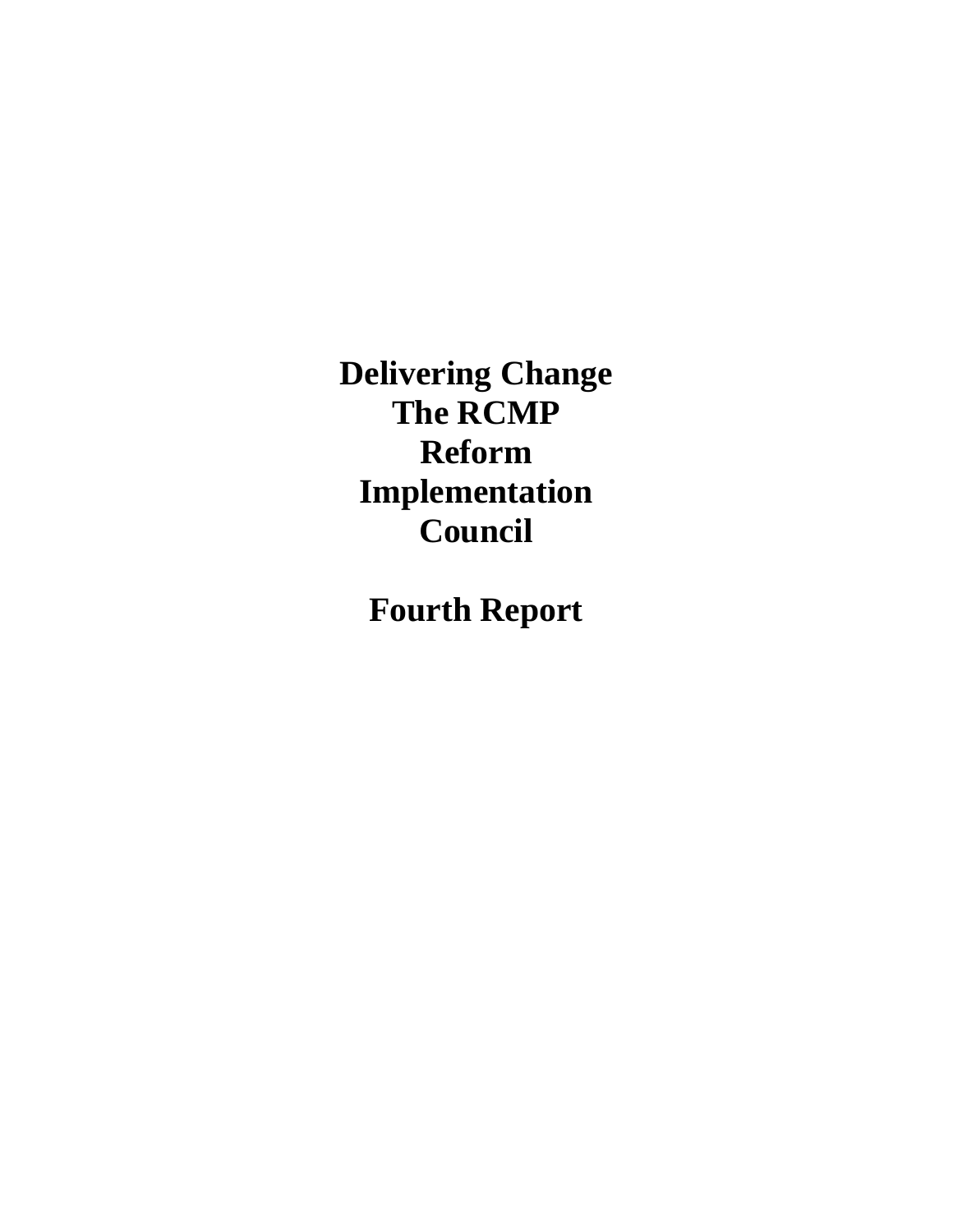**Delivering Change The RCMP Reform Implementation Council** 

**Fourth Report**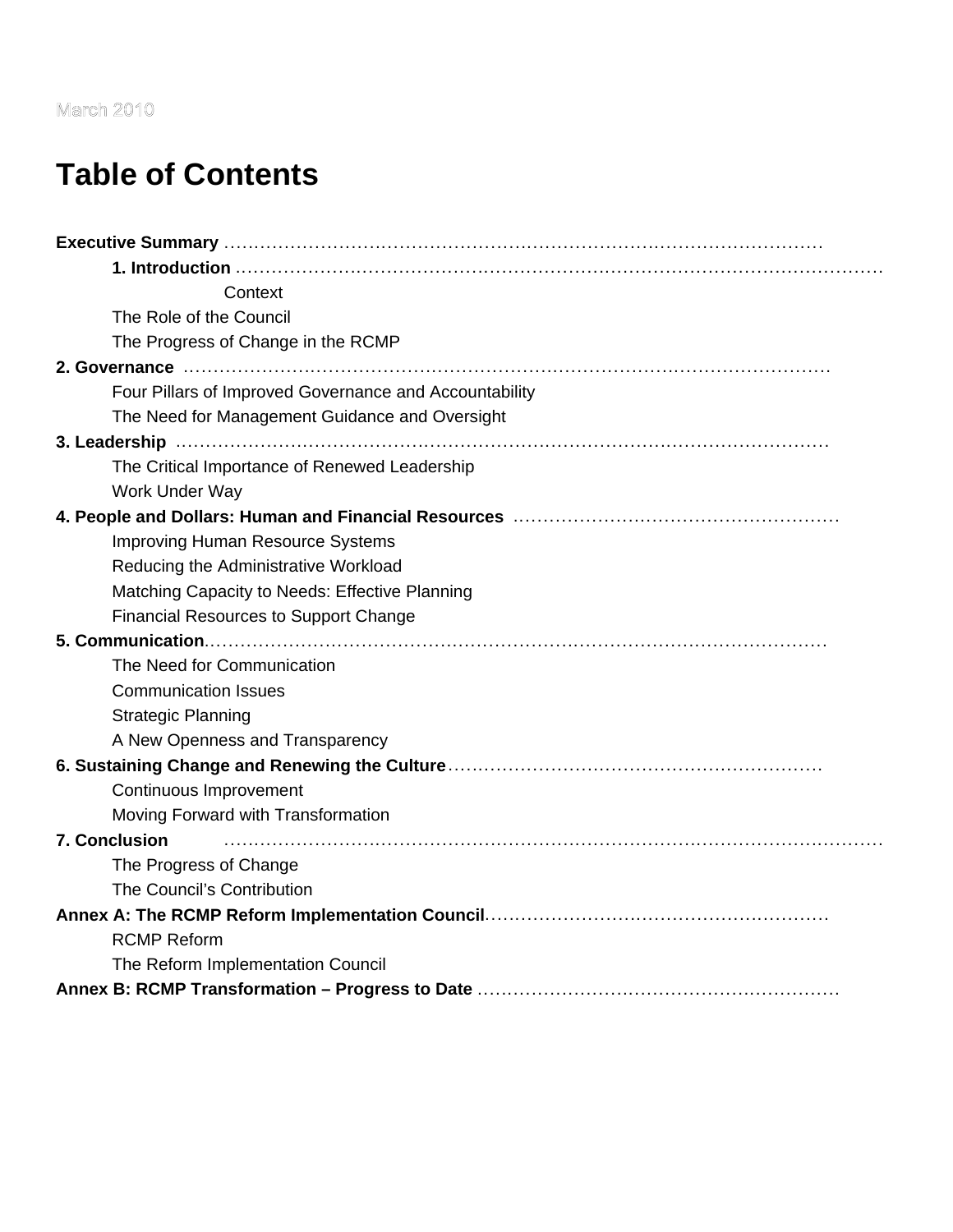#### **March 2010**

# **Table of Contents**

| Context                                                |
|--------------------------------------------------------|
| The Role of the Council                                |
| The Progress of Change in the RCMP                     |
|                                                        |
| Four Pillars of Improved Governance and Accountability |
| The Need for Management Guidance and Oversight         |
|                                                        |
| The Critical Importance of Renewed Leadership          |
| Work Under Way                                         |
|                                                        |
| <b>Improving Human Resource Systems</b>                |
| Reducing the Administrative Workload                   |
| Matching Capacity to Needs: Effective Planning         |
| <b>Financial Resources to Support Change</b>           |
|                                                        |
| The Need for Communication                             |
| <b>Communication Issues</b>                            |
| <b>Strategic Planning</b>                              |
| A New Openness and Transparency                        |
|                                                        |
| Continuous Improvement                                 |
| Moving Forward with Transformation                     |
| <b>7. Conclusion</b>                                   |
| The Progress of Change                                 |
| The Council's Contribution                             |
|                                                        |
| <b>RCMP Reform</b>                                     |
| The Reform Implementation Council                      |
|                                                        |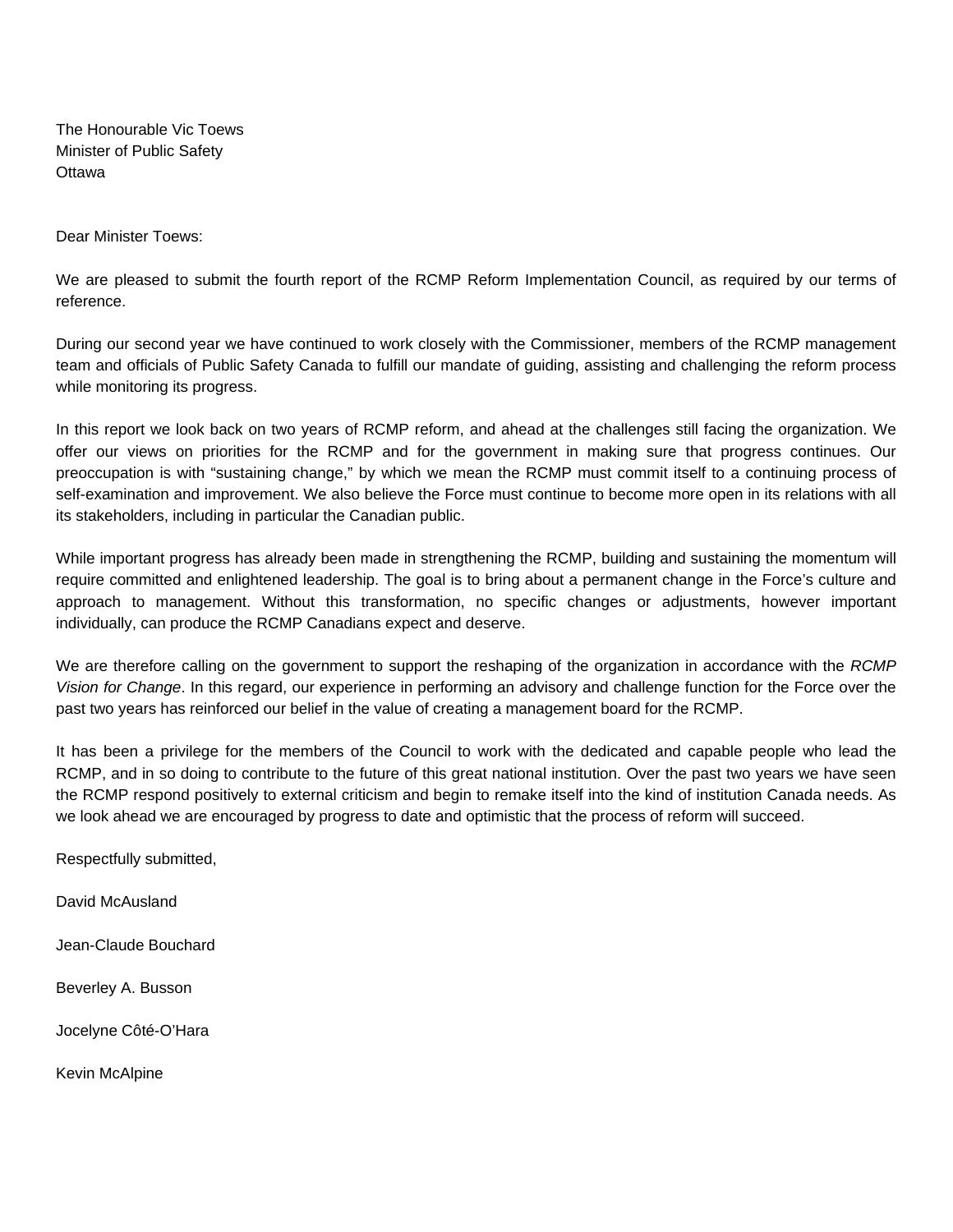The Honourable Vic Toews Minister of Public Safety **Ottawa** 

Dear Minister Toews:

We are pleased to submit the fourth report of the RCMP Reform Implementation Council, as required by our terms of reference.

During our second year we have continued to work closely with the Commissioner, members of the RCMP management team and officials of Public Safety Canada to fulfill our mandate of guiding, assisting and challenging the reform process while monitoring its progress.

In this report we look back on two years of RCMP reform, and ahead at the challenges still facing the organization. We offer our views on priorities for the RCMP and for the government in making sure that progress continues. Our preoccupation is with "sustaining change," by which we mean the RCMP must commit itself to a continuing process of self-examination and improvement. We also believe the Force must continue to become more open in its relations with all its stakeholders, including in particular the Canadian public.

While important progress has already been made in strengthening the RCMP, building and sustaining the momentum will require committed and enlightened leadership. The goal is to bring about a permanent change in the Force's culture and approach to management. Without this transformation, no specific changes or adjustments, however important individually, can produce the RCMP Canadians expect and deserve.

We are therefore calling on the government to support the reshaping of the organization in accordance with the *RCMP Vision for Change*. In this regard, our experience in performing an advisory and challenge function for the Force over the past two years has reinforced our belief in the value of creating a management board for the RCMP.

It has been a privilege for the members of the Council to work with the dedicated and capable people who lead the RCMP, and in so doing to contribute to the future of this great national institution. Over the past two years we have seen the RCMP respond positively to external criticism and begin to remake itself into the kind of institution Canada needs. As we look ahead we are encouraged by progress to date and optimistic that the process of reform will succeed.

Respectfully submitted,

David McAusland

Jean-Claude Bouchard

Beverley A. Busson

Jocelyne Côté-O'Hara

Kevin McAlpine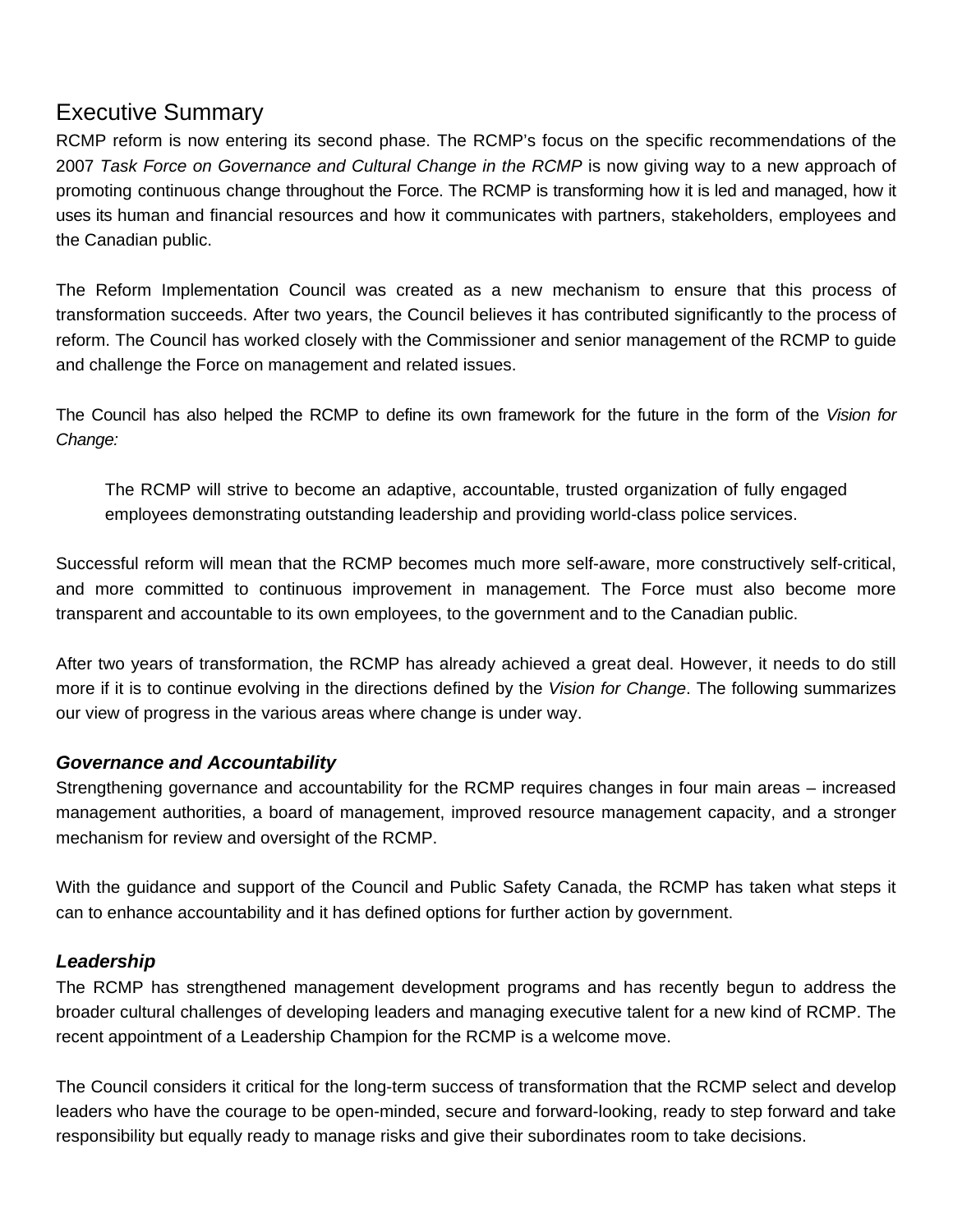#### Executive Summary

RCMP reform is now entering its second phase. The RCMP's focus on the specific recommendations of the 2007 *Task Force on Governance and Cultural Change in the RCMP* is now giving way to a new approach of promoting continuous change throughout the Force. The RCMP is transforming how it is led and managed, how it uses its human and financial resources and how it communicates with partners, stakeholders, employees and the Canadian public.

The Reform Implementation Council was created as a new mechanism to ensure that this process of transformation succeeds. After two years, the Council believes it has contributed significantly to the process of reform. The Council has worked closely with the Commissioner and senior management of the RCMP to guide and challenge the Force on management and related issues.

The Council has also helped the RCMP to define its own framework for the future in the form of the *Vision for Change:* 

The RCMP will strive to become an adaptive, accountable, trusted organization of fully engaged employees demonstrating outstanding leadership and providing world-class police services.

Successful reform will mean that the RCMP becomes much more self-aware, more constructively self-critical, and more committed to continuous improvement in management. The Force must also become more transparent and accountable to its own employees, to the government and to the Canadian public.

After two years of transformation, the RCMP has already achieved a great deal. However, it needs to do still more if it is to continue evolving in the directions defined by the *Vision for Change*. The following summarizes our view of progress in the various areas where change is under way.

#### *Governance and Accountability*

Strengthening governance and accountability for the RCMP requires changes in four main areas – increased management authorities, a board of management, improved resource management capacity, and a stronger mechanism for review and oversight of the RCMP.

With the guidance and support of the Council and Public Safety Canada, the RCMP has taken what steps it can to enhance accountability and it has defined options for further action by government.

#### *Leadership*

The RCMP has strengthened management development programs and has recently begun to address the broader cultural challenges of developing leaders and managing executive talent for a new kind of RCMP. The recent appointment of a Leadership Champion for the RCMP is a welcome move.

The Council considers it critical for the long-term success of transformation that the RCMP select and develop leaders who have the courage to be open-minded, secure and forward-looking, ready to step forward and take responsibility but equally ready to manage risks and give their subordinates room to take decisions.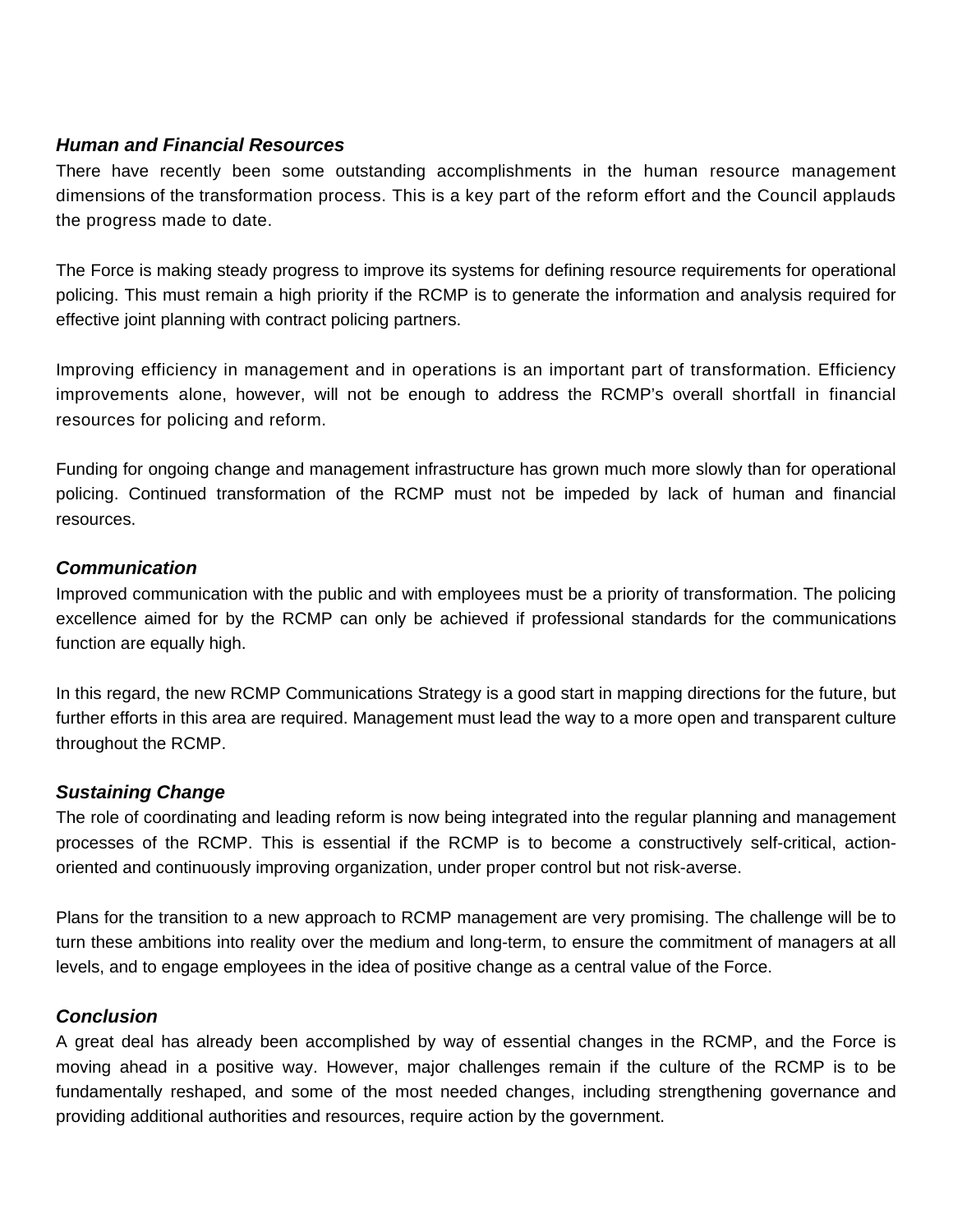#### *Human and Financial Resources*

There have recently been some outstanding accomplishments in the human resource management dimensions of the transformation process. This is a key part of the reform effort and the Council applauds the progress made to date.

The Force is making steady progress to improve its systems for defining resource requirements for operational policing. This must remain a high priority if the RCMP is to generate the information and analysis required for effective joint planning with contract policing partners.

Improving efficiency in management and in operations is an important part of transformation. Efficiency improvements alone, however, will not be enough to address the RCMP's overall shortfall in financial resources for policing and reform.

Funding for ongoing change and management infrastructure has grown much more slowly than for operational policing. Continued transformation of the RCMP must not be impeded by lack of human and financial resources.

#### *Communication*

Improved communication with the public and with employees must be a priority of transformation. The policing excellence aimed for by the RCMP can only be achieved if professional standards for the communications function are equally high.

In this regard, the new RCMP Communications Strategy is a good start in mapping directions for the future, but further efforts in this area are required. Management must lead the way to a more open and transparent culture throughout the RCMP.

#### *Sustaining Change*

The role of coordinating and leading reform is now being integrated into the regular planning and management processes of the RCMP. This is essential if the RCMP is to become a constructively self-critical, actionoriented and continuously improving organization, under proper control but not risk-averse.

Plans for the transition to a new approach to RCMP management are very promising. The challenge will be to turn these ambitions into reality over the medium and long-term, to ensure the commitment of managers at all levels, and to engage employees in the idea of positive change as a central value of the Force.

#### *Conclusion*

A great deal has already been accomplished by way of essential changes in the RCMP, and the Force is moving ahead in a positive way. However, major challenges remain if the culture of the RCMP is to be fundamentally reshaped, and some of the most needed changes, including strengthening governance and providing additional authorities and resources, require action by the government.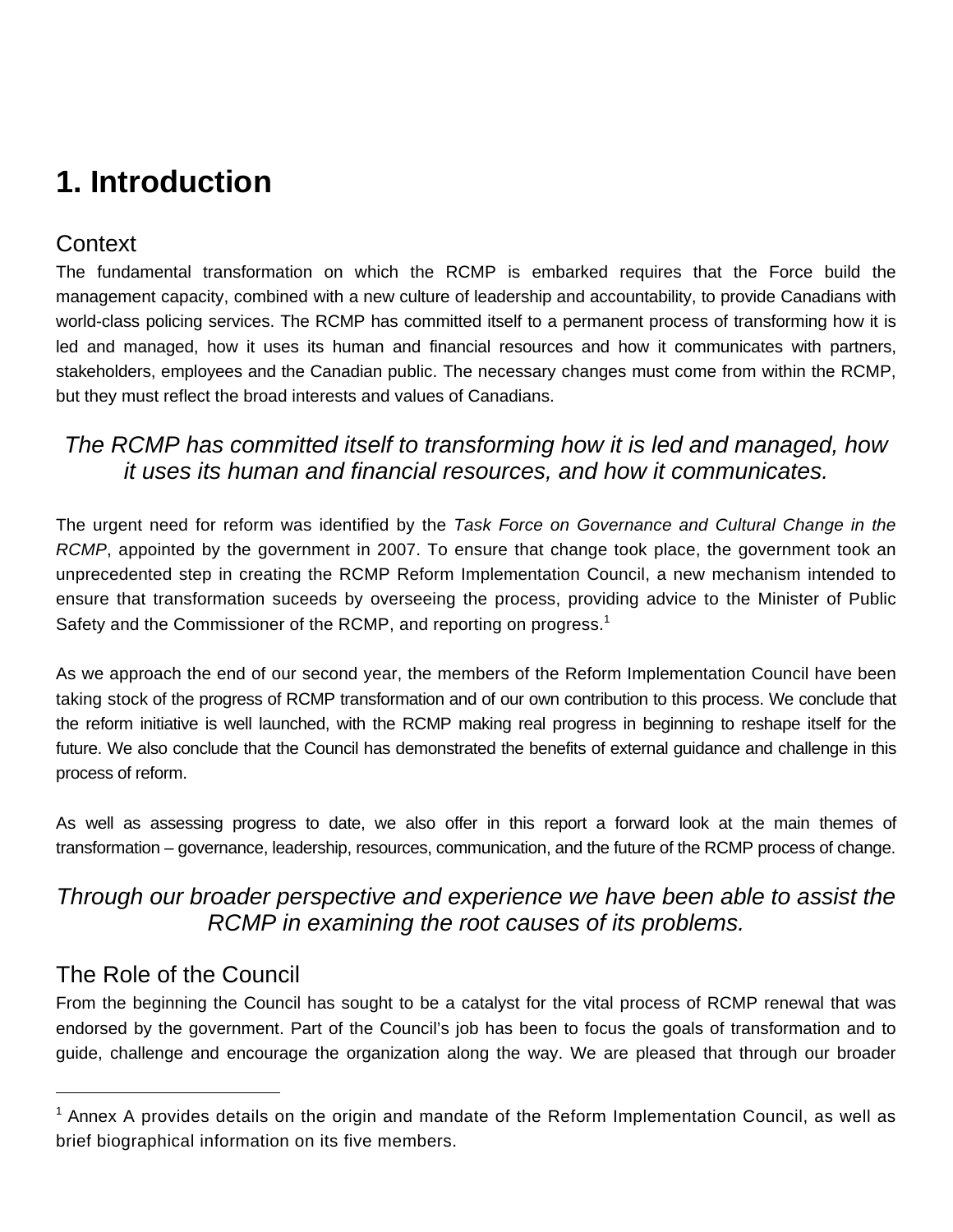# **1. Introduction**

## **Context**

The fundamental transformation on which the RCMP is embarked requires that the Force build the management capacity, combined with a new culture of leadership and accountability, to provide Canadians with world-class policing services. The RCMP has committed itself to a permanent process of transforming how it is led and managed, how it uses its human and financial resources and how it communicates with partners, stakeholders, employees and the Canadian public. The necessary changes must come from within the RCMP, but they must reflect the broad interests and values of Canadians.

### *The RCMP has committed itself to transforming how it is led and managed, how it uses its human and financial resources, and how it communicates.*

The urgent need for reform was identified by the *Task Force on Governance and Cultural Change in the RCMP*, appointed by the government in 2007. To ensure that change took place, the government took an unprecedented step in creating the RCMP Reform Implementation Council, a new mechanism intended to ensure that transformation suceeds by overseeing the process, providing advice to the Minister of Public Safety and the Commissioner of the RCMP, and reporting on progress. $1$ 

As we approach the end of our second year, the members of the Reform Implementation Council have been taking stock of the progress of RCMP transformation and of our own contribution to this process. We conclude that the reform initiative is well launched, with the RCMP making real progress in beginning to reshape itself for the future. We also conclude that the Council has demonstrated the benefits of external guidance and challenge in this process of reform.

As well as assessing progress to date, we also offer in this report a forward look at the main themes of transformation – governance, leadership, resources, communication, and the future of the RCMP process of change.

### *Through our broader perspective and experience we have been able to assist the RCMP in examining the root causes of its problems.*

# The Role of the Council

 $\overline{a}$ 

From the beginning the Council has sought to be a catalyst for the vital process of RCMP renewal that was endorsed by the government. Part of the Council's job has been to focus the goals of transformation and to guide, challenge and encourage the organization along the way. We are pleased that through our broader

<sup>&</sup>lt;sup>1</sup> Annex A provides details on the origin and mandate of the Reform Implementation Council, as well as brief biographical information on its five members.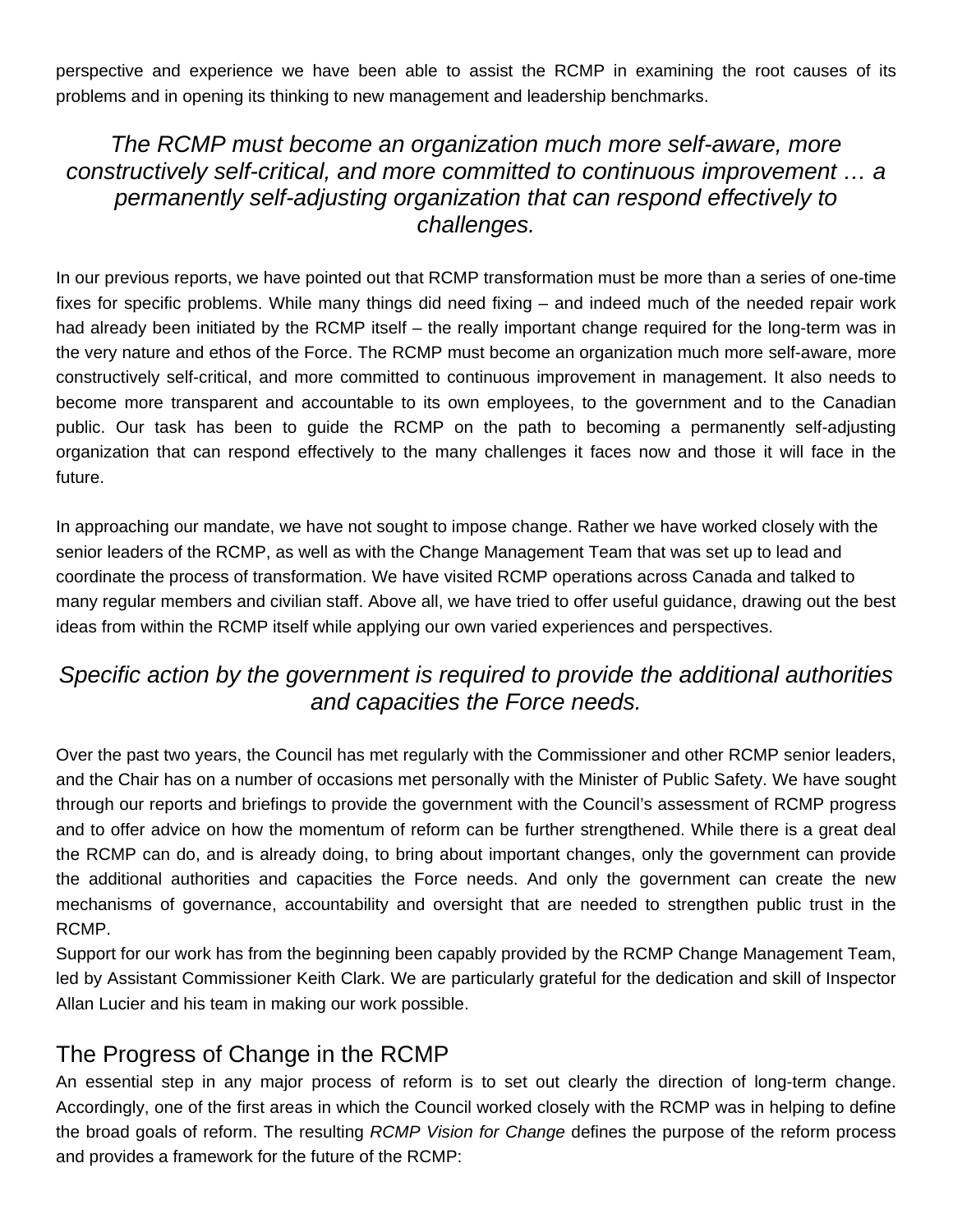perspective and experience we have been able to assist the RCMP in examining the root causes of its problems and in opening its thinking to new management and leadership benchmarks.

#### *The RCMP must become an organization much more self-aware, more constructively self-critical, and more committed to continuous improvement … a permanently self-adjusting organization that can respond effectively to challenges.*

In our previous reports, we have pointed out that RCMP transformation must be more than a series of one-time fixes for specific problems. While many things did need fixing – and indeed much of the needed repair work had already been initiated by the RCMP itself – the really important change required for the long-term was in the very nature and ethos of the Force. The RCMP must become an organization much more self-aware, more constructively self-critical, and more committed to continuous improvement in management. It also needs to become more transparent and accountable to its own employees, to the government and to the Canadian public. Our task has been to guide the RCMP on the path to becoming a permanently self-adjusting organization that can respond effectively to the many challenges it faces now and those it will face in the future.

In approaching our mandate, we have not sought to impose change. Rather we have worked closely with the senior leaders of the RCMP, as well as with the Change Management Team that was set up to lead and coordinate the process of transformation. We have visited RCMP operations across Canada and talked to many regular members and civilian staff. Above all, we have tried to offer useful guidance, drawing out the best ideas from within the RCMP itself while applying our own varied experiences and perspectives.

### *Specific action by the government is required to provide the additional authorities and capacities the Force needs.*

Over the past two years, the Council has met regularly with the Commissioner and other RCMP senior leaders, and the Chair has on a number of occasions met personally with the Minister of Public Safety. We have sought through our reports and briefings to provide the government with the Council's assessment of RCMP progress and to offer advice on how the momentum of reform can be further strengthened. While there is a great deal the RCMP can do, and is already doing, to bring about important changes, only the government can provide the additional authorities and capacities the Force needs. And only the government can create the new mechanisms of governance, accountability and oversight that are needed to strengthen public trust in the RCMP.

Support for our work has from the beginning been capably provided by the RCMP Change Management Team, led by Assistant Commissioner Keith Clark. We are particularly grateful for the dedication and skill of Inspector Allan Lucier and his team in making our work possible.

#### The Progress of Change in the RCMP

An essential step in any major process of reform is to set out clearly the direction of long-term change. Accordingly, one of the first areas in which the Council worked closely with the RCMP was in helping to define the broad goals of reform. The resulting *RCMP Vision for Change* defines the purpose of the reform process and provides a framework for the future of the RCMP: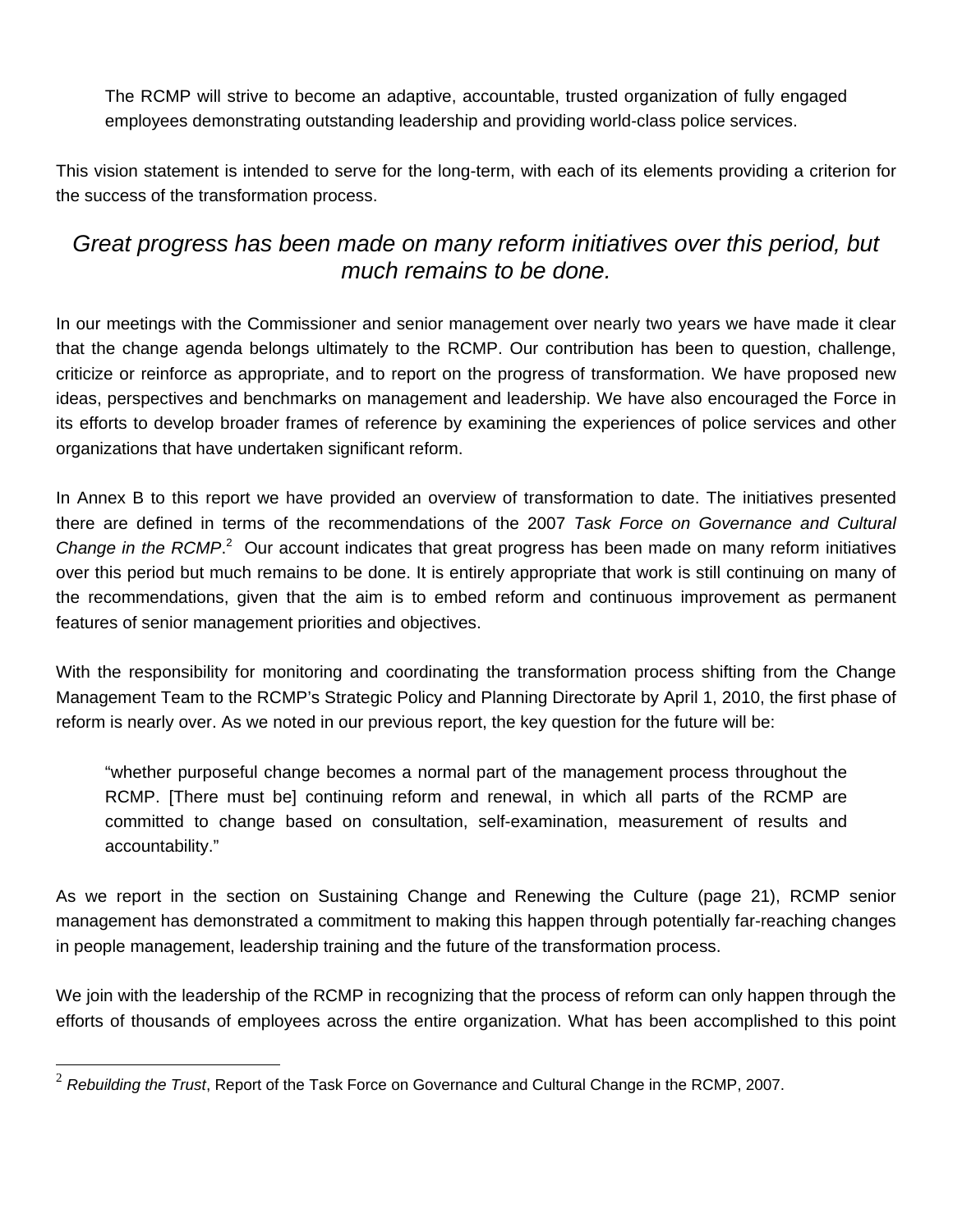The RCMP will strive to become an adaptive, accountable, trusted organization of fully engaged employees demonstrating outstanding leadership and providing world-class police services.

This vision statement is intended to serve for the long-term, with each of its elements providing a criterion for the success of the transformation process.

### *Great progress has been made on many reform initiatives over this period, but much remains to be done.*

In our meetings with the Commissioner and senior management over nearly two years we have made it clear that the change agenda belongs ultimately to the RCMP. Our contribution has been to question, challenge, criticize or reinforce as appropriate, and to report on the progress of transformation. We have proposed new ideas, perspectives and benchmarks on management and leadership. We have also encouraged the Force in its efforts to develop broader frames of reference by examining the experiences of police services and other organizations that have undertaken significant reform.

In Annex B to this report we have provided an overview of transformation to date. The initiatives presented there are defined in terms of the recommendations of the 2007 *Task Force on Governance and Cultural*  Change in the RCMP.<sup>2</sup> Our account indicates that great progress has been made on many reform initiatives over this period but much remains to be done. It is entirely appropriate that work is still continuing on many of the recommendations, given that the aim is to embed reform and continuous improvement as permanent features of senior management priorities and objectives.

With the responsibility for monitoring and coordinating the transformation process shifting from the Change Management Team to the RCMP's Strategic Policy and Planning Directorate by April 1, 2010, the first phase of reform is nearly over. As we noted in our previous report, the key question for the future will be:

"whether purposeful change becomes a normal part of the management process throughout the RCMP. [There must be] continuing reform and renewal, in which all parts of the RCMP are committed to change based on consultation, self-examination, measurement of results and accountability."

As we report in the section on Sustaining Change and Renewing the Culture (page 21), RCMP senior management has demonstrated a commitment to making this happen through potentially far-reaching changes in people management, leadership training and the future of the transformation process.

We join with the leadership of the RCMP in recognizing that the process of reform can only happen through the efforts of thousands of employees across the entire organization. What has been accomplished to this point

 $\overline{a}$ 

<sup>2</sup> *Rebuilding the Trust*, Report of the Task Force on Governance and Cultural Change in the RCMP, 2007.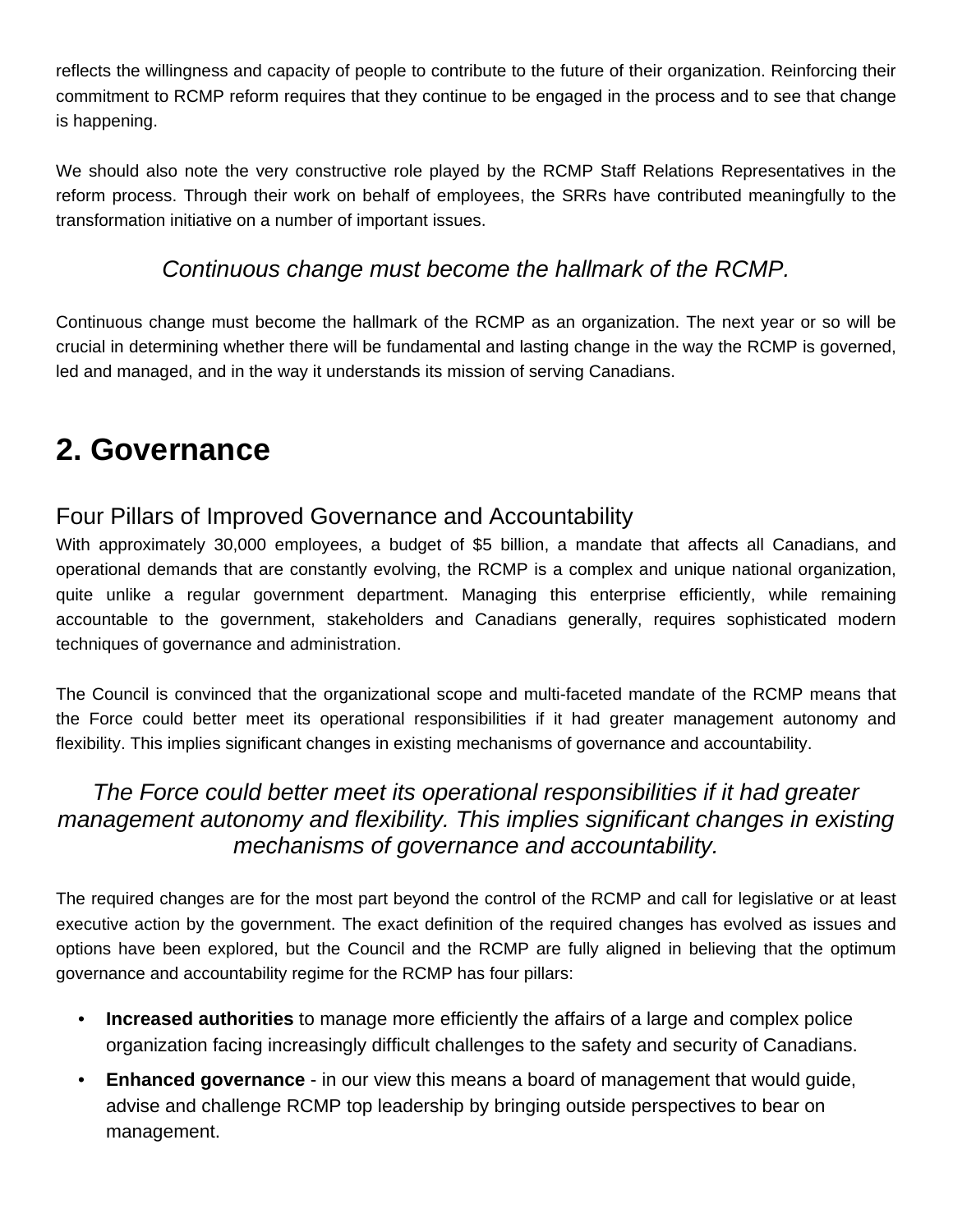reflects the willingness and capacity of people to contribute to the future of their organization. Reinforcing their commitment to RCMP reform requires that they continue to be engaged in the process and to see that change is happening.

We should also note the very constructive role played by the RCMP Staff Relations Representatives in the reform process. Through their work on behalf of employees, the SRRs have contributed meaningfully to the transformation initiative on a number of important issues.

### *Continuous change must become the hallmark of the RCMP.*

Continuous change must become the hallmark of the RCMP as an organization. The next year or so will be crucial in determining whether there will be fundamental and lasting change in the way the RCMP is governed, led and managed, and in the way it understands its mission of serving Canadians.

# **2. Governance**

#### Four Pillars of Improved Governance and Accountability

With approximately 30,000 employees, a budget of \$5 billion, a mandate that affects all Canadians, and operational demands that are constantly evolving, the RCMP is a complex and unique national organization, quite unlike a regular government department. Managing this enterprise efficiently, while remaining accountable to the government, stakeholders and Canadians generally, requires sophisticated modern techniques of governance and administration.

The Council is convinced that the organizational scope and multi-faceted mandate of the RCMP means that the Force could better meet its operational responsibilities if it had greater management autonomy and flexibility. This implies significant changes in existing mechanisms of governance and accountability.

### *The Force could better meet its operational responsibilities if it had greater management autonomy and flexibility. This implies significant changes in existing mechanisms of governance and accountability.*

The required changes are for the most part beyond the control of the RCMP and call for legislative or at least executive action by the government. The exact definition of the required changes has evolved as issues and options have been explored, but the Council and the RCMP are fully aligned in believing that the optimum governance and accountability regime for the RCMP has four pillars:

- **Increased authorities** to manage more efficiently the affairs of a large and complex police organization facing increasingly difficult challenges to the safety and security of Canadians.
- **Enhanced governance** in our view this means a board of management that would guide, advise and challenge RCMP top leadership by bringing outside perspectives to bear on management.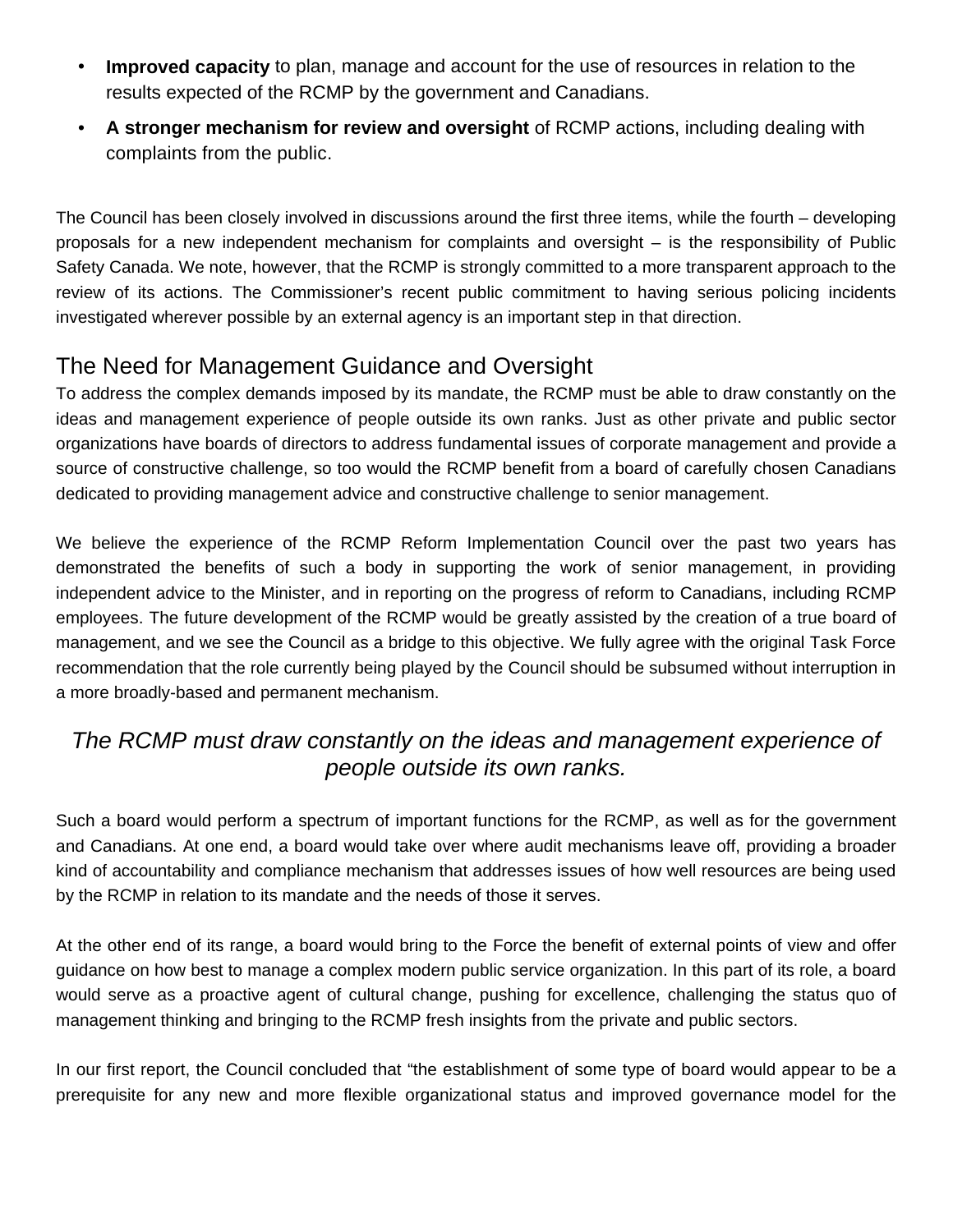- **Improved capacity** to plan, manage and account for the use of resources in relation to the results expected of the RCMP by the government and Canadians.
- **A stronger mechanism for review and oversight** of RCMP actions, including dealing with complaints from the public.

The Council has been closely involved in discussions around the first three items, while the fourth – developing proposals for a new independent mechanism for complaints and oversight – is the responsibility of Public Safety Canada. We note, however, that the RCMP is strongly committed to a more transparent approach to the review of its actions. The Commissioner's recent public commitment to having serious policing incidents investigated wherever possible by an external agency is an important step in that direction.

# The Need for Management Guidance and Oversight

To address the complex demands imposed by its mandate, the RCMP must be able to draw constantly on the ideas and management experience of people outside its own ranks. Just as other private and public sector organizations have boards of directors to address fundamental issues of corporate management and provide a source of constructive challenge, so too would the RCMP benefit from a board of carefully chosen Canadians dedicated to providing management advice and constructive challenge to senior management.

We believe the experience of the RCMP Reform Implementation Council over the past two years has demonstrated the benefits of such a body in supporting the work of senior management, in providing independent advice to the Minister, and in reporting on the progress of reform to Canadians, including RCMP employees. The future development of the RCMP would be greatly assisted by the creation of a true board of management, and we see the Council as a bridge to this objective. We fully agree with the original Task Force recommendation that the role currently being played by the Council should be subsumed without interruption in a more broadly-based and permanent mechanism.

### *The RCMP must draw constantly on the ideas and management experience of people outside its own ranks.*

Such a board would perform a spectrum of important functions for the RCMP, as well as for the government and Canadians. At one end, a board would take over where audit mechanisms leave off, providing a broader kind of accountability and compliance mechanism that addresses issues of how well resources are being used by the RCMP in relation to its mandate and the needs of those it serves.

At the other end of its range, a board would bring to the Force the benefit of external points of view and offer guidance on how best to manage a complex modern public service organization. In this part of its role, a board would serve as a proactive agent of cultural change, pushing for excellence, challenging the status quo of management thinking and bringing to the RCMP fresh insights from the private and public sectors.

In our first report, the Council concluded that "the establishment of some type of board would appear to be a prerequisite for any new and more flexible organizational status and improved governance model for the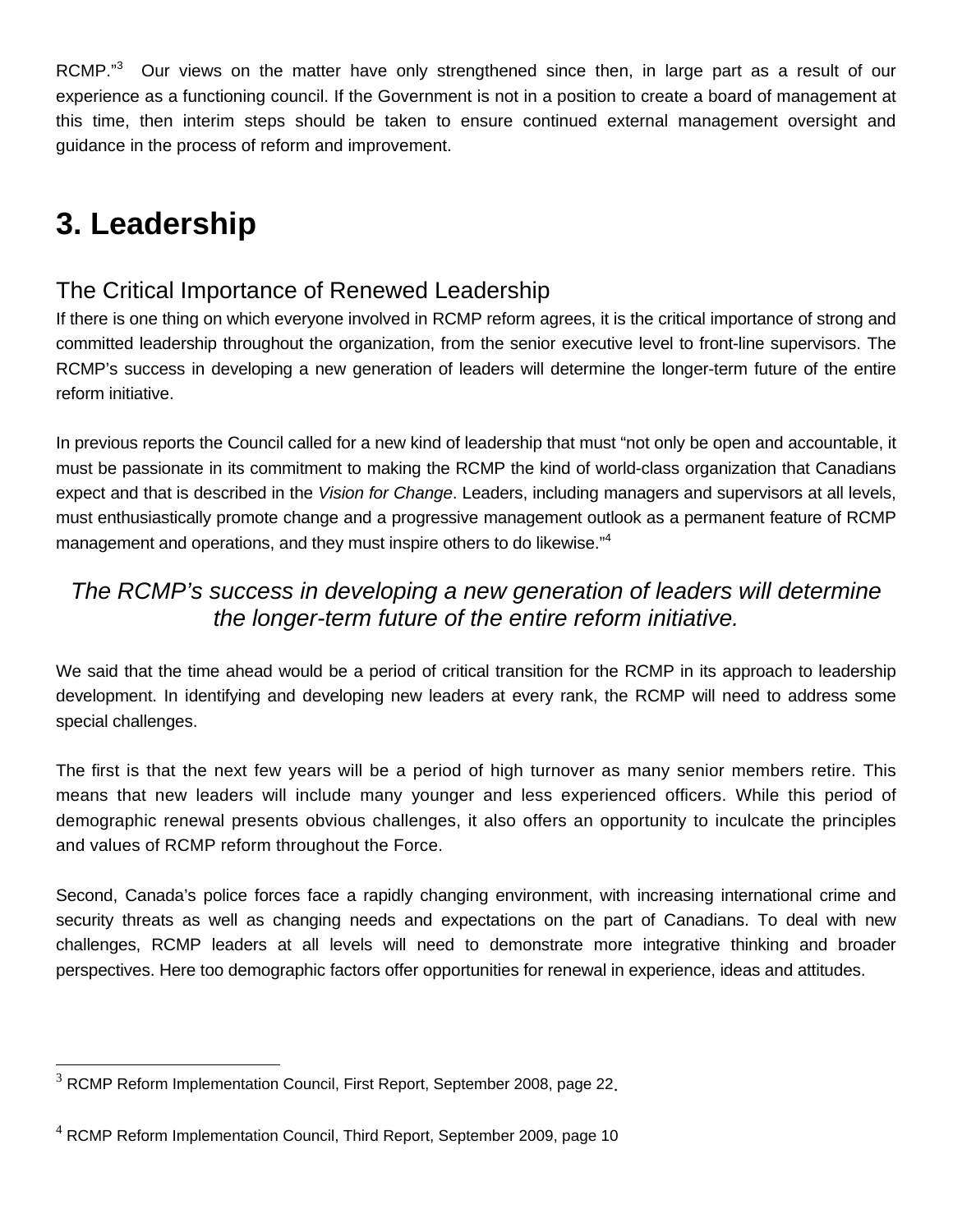RCMP."<sup>3</sup> Our views on the matter have only strengthened since then, in large part as a result of our experience as a functioning council. If the Government is not in a position to create a board of management at this time, then interim steps should be taken to ensure continued external management oversight and guidance in the process of reform and improvement.

# **3. Leadership**

 $\overline{a}$ 

### The Critical Importance of Renewed Leadership

If there is one thing on which everyone involved in RCMP reform agrees, it is the critical importance of strong and committed leadership throughout the organization, from the senior executive level to front-line supervisors. The RCMP's success in developing a new generation of leaders will determine the longer-term future of the entire reform initiative.

In previous reports the Council called for a new kind of leadership that must "not only be open and accountable, it must be passionate in its commitment to making the RCMP the kind of world-class organization that Canadians expect and that is described in the *Vision for Change*. Leaders, including managers and supervisors at all levels, must enthusiastically promote change and a progressive management outlook as a permanent feature of RCMP management and operations, and they must inspire others to do likewise."<sup>4</sup>

### *The RCMP's success in developing a new generation of leaders will determine the longer-term future of the entire reform initiative.*

We said that the time ahead would be a period of critical transition for the RCMP in its approach to leadership development. In identifying and developing new leaders at every rank, the RCMP will need to address some special challenges.

The first is that the next few years will be a period of high turnover as many senior members retire. This means that new leaders will include many younger and less experienced officers. While this period of demographic renewal presents obvious challenges, it also offers an opportunity to inculcate the principles and values of RCMP reform throughout the Force.

Second, Canada's police forces face a rapidly changing environment, with increasing international crime and security threats as well as changing needs and expectations on the part of Canadians. To deal with new challenges, RCMP leaders at all levels will need to demonstrate more integrative thinking and broader perspectives. Here too demographic factors offer opportunities for renewal in experience, ideas and attitudes.

<sup>&</sup>lt;sup>3</sup> RCMP Reform Implementation Council, First Report, September 2008, page 22.

 $4$  RCMP Reform Implementation Council, Third Report, September 2009, page 10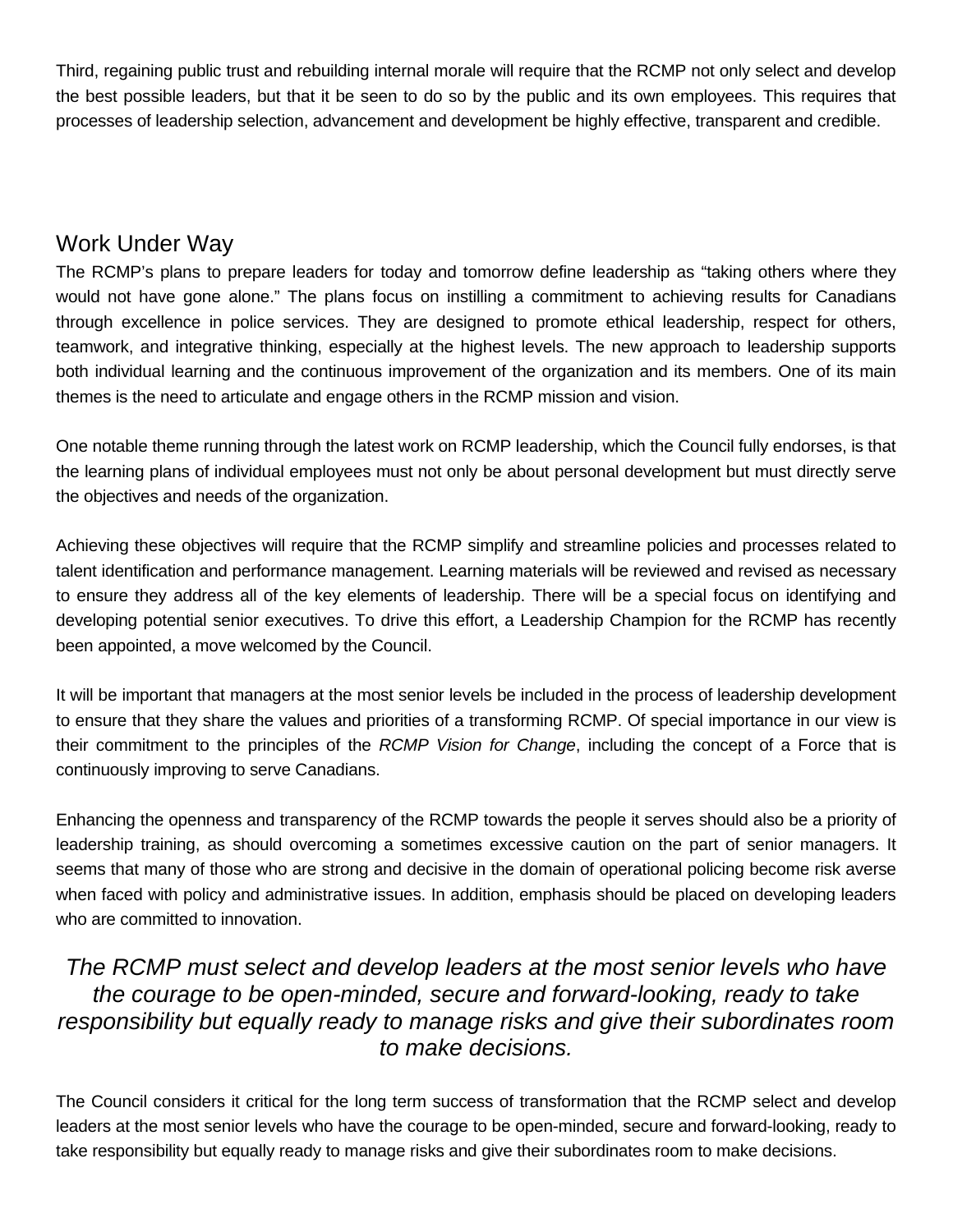Third, regaining public trust and rebuilding internal morale will require that the RCMP not only select and develop the best possible leaders, but that it be seen to do so by the public and its own employees. This requires that processes of leadership selection, advancement and development be highly effective, transparent and credible.

#### Work Under Way

The RCMP's plans to prepare leaders for today and tomorrow define leadership as "taking others where they would not have gone alone." The plans focus on instilling a commitment to achieving results for Canadians through excellence in police services. They are designed to promote ethical leadership, respect for others, teamwork, and integrative thinking, especially at the highest levels. The new approach to leadership supports both individual learning and the continuous improvement of the organization and its members. One of its main themes is the need to articulate and engage others in the RCMP mission and vision.

One notable theme running through the latest work on RCMP leadership, which the Council fully endorses, is that the learning plans of individual employees must not only be about personal development but must directly serve the objectives and needs of the organization.

Achieving these objectives will require that the RCMP simplify and streamline policies and processes related to talent identification and performance management. Learning materials will be reviewed and revised as necessary to ensure they address all of the key elements of leadership. There will be a special focus on identifying and developing potential senior executives. To drive this effort, a Leadership Champion for the RCMP has recently been appointed, a move welcomed by the Council.

It will be important that managers at the most senior levels be included in the process of leadership development to ensure that they share the values and priorities of a transforming RCMP. Of special importance in our view is their commitment to the principles of the *RCMP Vision for Change*, including the concept of a Force that is continuously improving to serve Canadians.

Enhancing the openness and transparency of the RCMP towards the people it serves should also be a priority of leadership training, as should overcoming a sometimes excessive caution on the part of senior managers. It seems that many of those who are strong and decisive in the domain of operational policing become risk averse when faced with policy and administrative issues. In addition, emphasis should be placed on developing leaders who are committed to innovation.

#### *The RCMP must select and develop leaders at the most senior levels who have the courage to be open-minded, secure and forward-looking, ready to take responsibility but equally ready to manage risks and give their subordinates room to make decisions.*

The Council considers it critical for the long term success of transformation that the RCMP select and develop leaders at the most senior levels who have the courage to be open-minded, secure and forward-looking, ready to take responsibility but equally ready to manage risks and give their subordinates room to make decisions.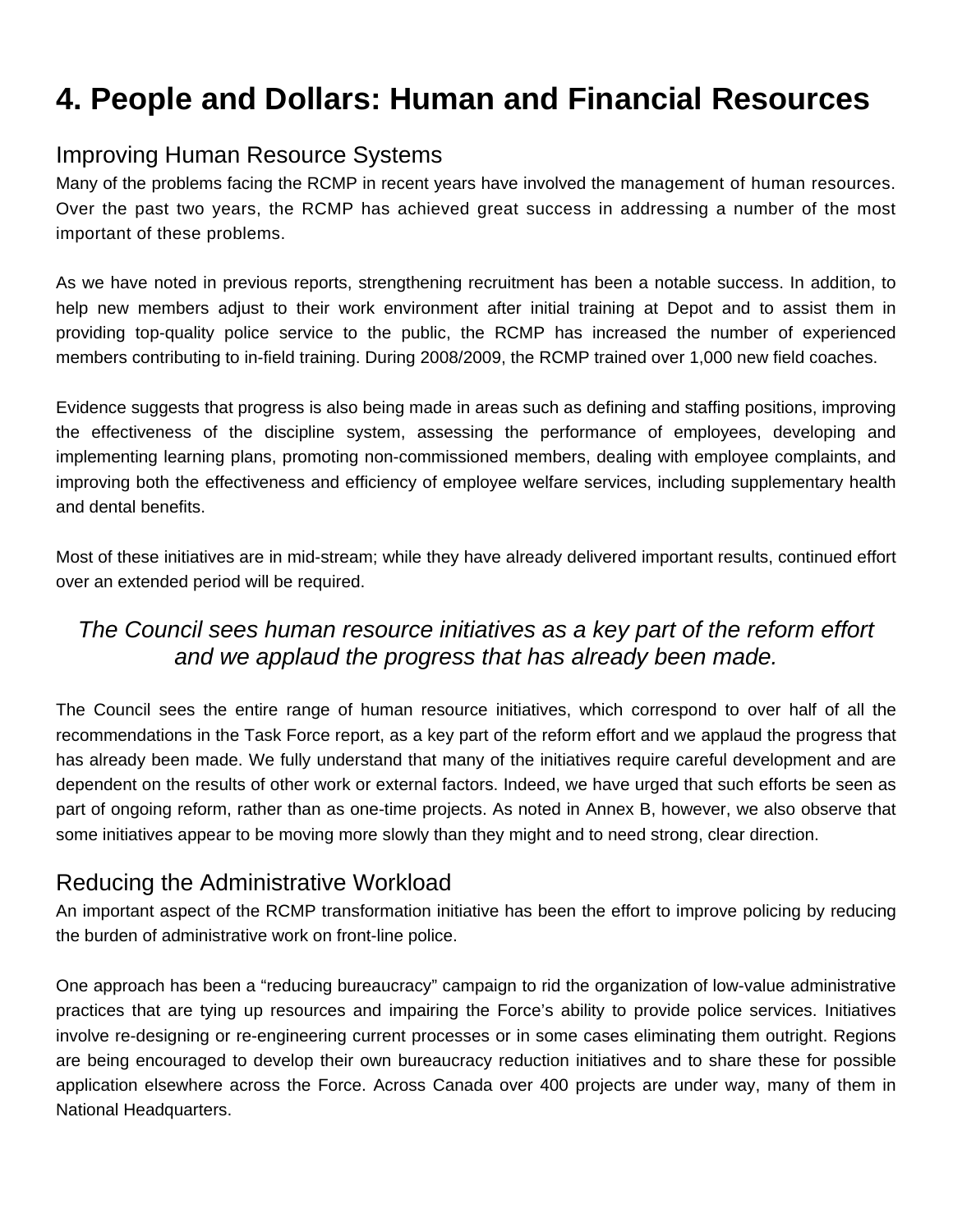# **4. People and Dollars: Human and Financial Resources**

# Improving Human Resource Systems

Many of the problems facing the RCMP in recent years have involved the management of human resources. Over the past two years, the RCMP has achieved great success in addressing a number of the most important of these problems.

As we have noted in previous reports, strengthening recruitment has been a notable success. In addition, to help new members adjust to their work environment after initial training at Depot and to assist them in providing top-quality police service to the public, the RCMP has increased the number of experienced members contributing to in-field training. During 2008/2009, the RCMP trained over 1,000 new field coaches.

Evidence suggests that progress is also being made in areas such as defining and staffing positions, improving the effectiveness of the discipline system, assessing the performance of employees, developing and implementing learning plans, promoting non-commissioned members, dealing with employee complaints, and improving both the effectiveness and efficiency of employee welfare services, including supplementary health and dental benefits.

Most of these initiatives are in mid-stream; while they have already delivered important results, continued effort over an extended period will be required.

## *The Council sees human resource initiatives as a key part of the reform effort and we applaud the progress that has already been made.*

The Council sees the entire range of human resource initiatives, which correspond to over half of all the recommendations in the Task Force report, as a key part of the reform effort and we applaud the progress that has already been made. We fully understand that many of the initiatives require careful development and are dependent on the results of other work or external factors. Indeed, we have urged that such efforts be seen as part of ongoing reform, rather than as one-time projects. As noted in Annex B, however, we also observe that some initiatives appear to be moving more slowly than they might and to need strong, clear direction.

## Reducing the Administrative Workload

An important aspect of the RCMP transformation initiative has been the effort to improve policing by reducing the burden of administrative work on front-line police.

One approach has been a "reducing bureaucracy" campaign to rid the organization of low-value administrative practices that are tying up resources and impairing the Force's ability to provide police services. Initiatives involve re-designing or re-engineering current processes or in some cases eliminating them outright. Regions are being encouraged to develop their own bureaucracy reduction initiatives and to share these for possible application elsewhere across the Force. Across Canada over 400 projects are under way, many of them in National Headquarters.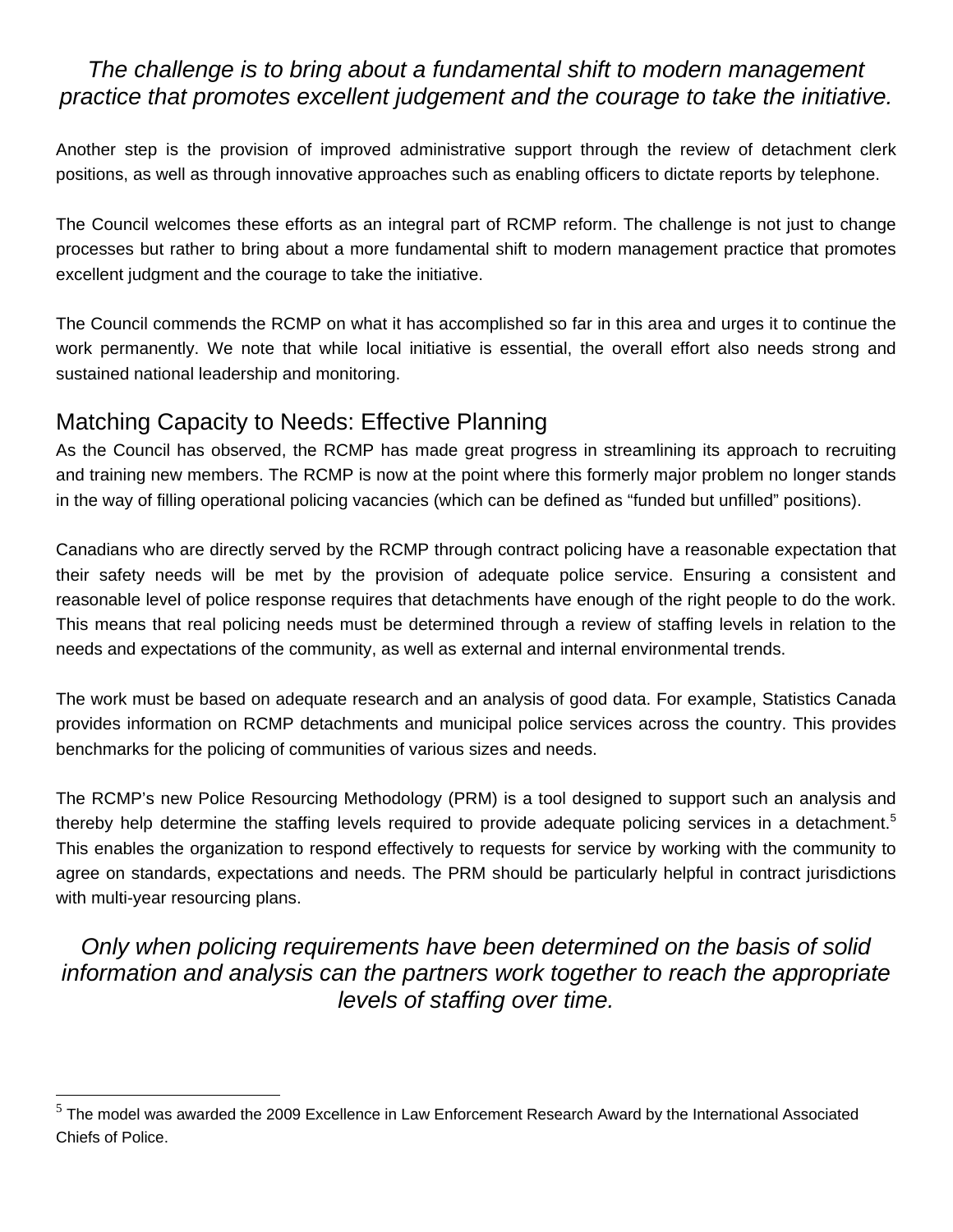#### *The challenge is to bring about a fundamental shift to modern management practice that promotes excellent judgement and the courage to take the initiative.*

Another step is the provision of improved administrative support through the review of detachment clerk positions, as well as through innovative approaches such as enabling officers to dictate reports by telephone.

The Council welcomes these efforts as an integral part of RCMP reform. The challenge is not just to change processes but rather to bring about a more fundamental shift to modern management practice that promotes excellent judgment and the courage to take the initiative.

The Council commends the RCMP on what it has accomplished so far in this area and urges it to continue the work permanently. We note that while local initiative is essential, the overall effort also needs strong and sustained national leadership and monitoring.

#### Matching Capacity to Needs: Effective Planning

 $\overline{a}$ 

As the Council has observed, the RCMP has made great progress in streamlining its approach to recruiting and training new members. The RCMP is now at the point where this formerly major problem no longer stands in the way of filling operational policing vacancies (which can be defined as "funded but unfilled" positions).

Canadians who are directly served by the RCMP through contract policing have a reasonable expectation that their safety needs will be met by the provision of adequate police service. Ensuring a consistent and reasonable level of police response requires that detachments have enough of the right people to do the work. This means that real policing needs must be determined through a review of staffing levels in relation to the needs and expectations of the community, as well as external and internal environmental trends.

The work must be based on adequate research and an analysis of good data. For example, Statistics Canada provides information on RCMP detachments and municipal police services across the country. This provides benchmarks for the policing of communities of various sizes and needs.

The RCMP's new Police Resourcing Methodology (PRM) is a tool designed to support such an analysis and thereby help determine the staffing levels required to provide adequate policing services in a detachment.<sup>5</sup> This enables the organization to respond effectively to requests for service by working with the community to agree on standards, expectations and needs. The PRM should be particularly helpful in contract jurisdictions with multi-year resourcing plans.

*Only when policing requirements have been determined on the basis of solid information and analysis can the partners work together to reach the appropriate levels of staffing over time.* 

 $<sup>5</sup>$  The model was awarded the 2009 Excellence in Law Enforcement Research Award by the International Associated</sup> Chiefs of Police.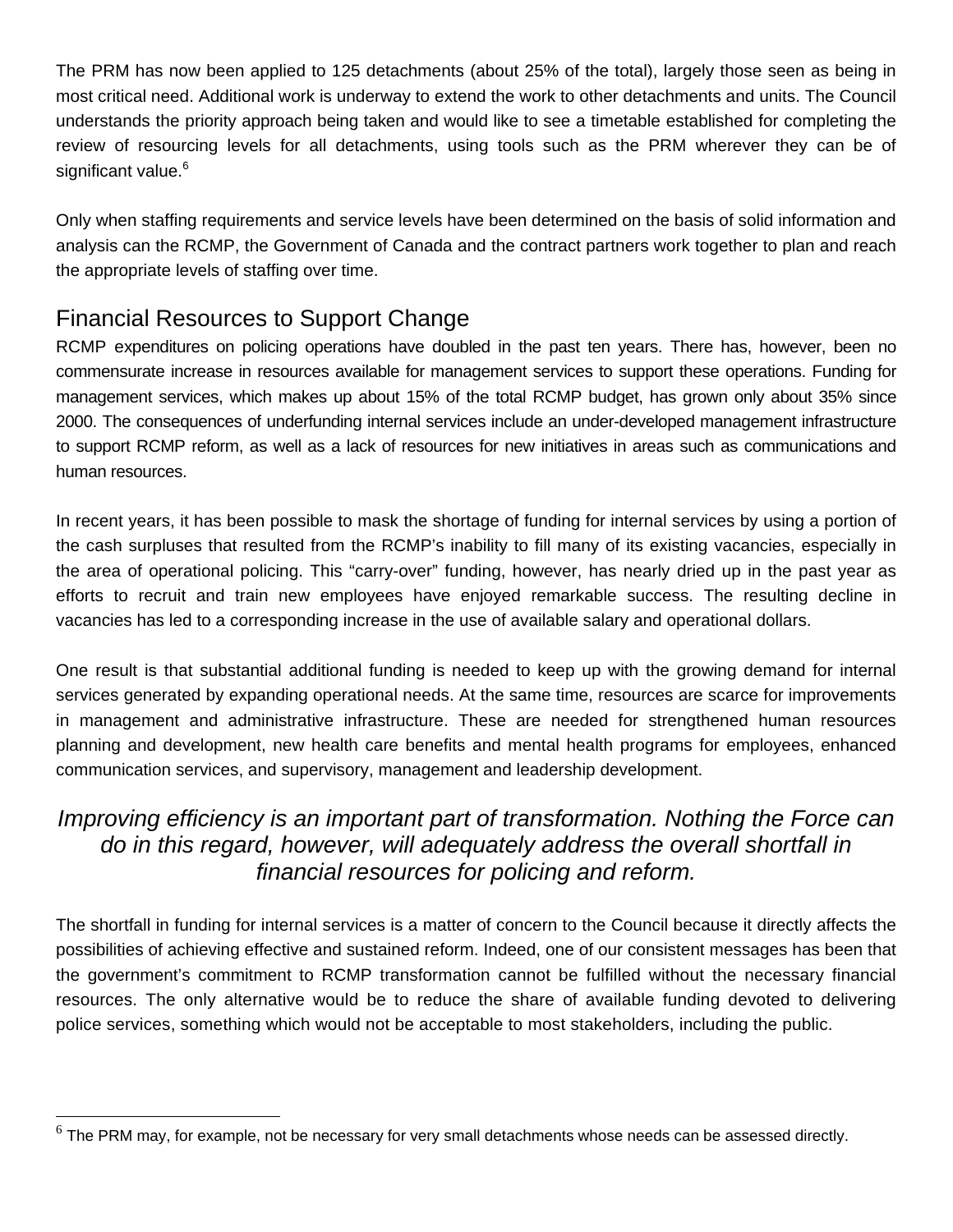The PRM has now been applied to 125 detachments (about 25% of the total), largely those seen as being in most critical need. Additional work is underway to extend the work to other detachments and units. The Council understands the priority approach being taken and would like to see a timetable established for completing the review of resourcing levels for all detachments, using tools such as the PRM wherever they can be of significant value.<sup>6</sup>

Only when staffing requirements and service levels have been determined on the basis of solid information and analysis can the RCMP, the Government of Canada and the contract partners work together to plan and reach the appropriate levels of staffing over time.

# Financial Resources to Support Change

 $\overline{a}$ 

RCMP expenditures on policing operations have doubled in the past ten years. There has, however, been no commensurate increase in resources available for management services to support these operations. Funding for management services, which makes up about 15% of the total RCMP budget, has grown only about 35% since 2000. The consequences of underfunding internal services include an under-developed management infrastructure to support RCMP reform, as well as a lack of resources for new initiatives in areas such as communications and human resources.

In recent years, it has been possible to mask the shortage of funding for internal services by using a portion of the cash surpluses that resulted from the RCMP's inability to fill many of its existing vacancies, especially in the area of operational policing. This "carry-over" funding, however, has nearly dried up in the past year as efforts to recruit and train new employees have enjoyed remarkable success. The resulting decline in vacancies has led to a corresponding increase in the use of available salary and operational dollars.

One result is that substantial additional funding is needed to keep up with the growing demand for internal services generated by expanding operational needs. At the same time, resources are scarce for improvements in management and administrative infrastructure. These are needed for strengthened human resources planning and development, new health care benefits and mental health programs for employees, enhanced communication services, and supervisory, management and leadership development.

### *Improving efficiency is an important part of transformation. Nothing the Force can do in this regard, however, will adequately address the overall shortfall in financial resources for policing and reform.*

The shortfall in funding for internal services is a matter of concern to the Council because it directly affects the possibilities of achieving effective and sustained reform. Indeed, one of our consistent messages has been that the government's commitment to RCMP transformation cannot be fulfilled without the necessary financial resources. The only alternative would be to reduce the share of available funding devoted to delivering police services, something which would not be acceptable to most stakeholders, including the public.

 $6$  The PRM may, for example, not be necessary for very small detachments whose needs can be assessed directly.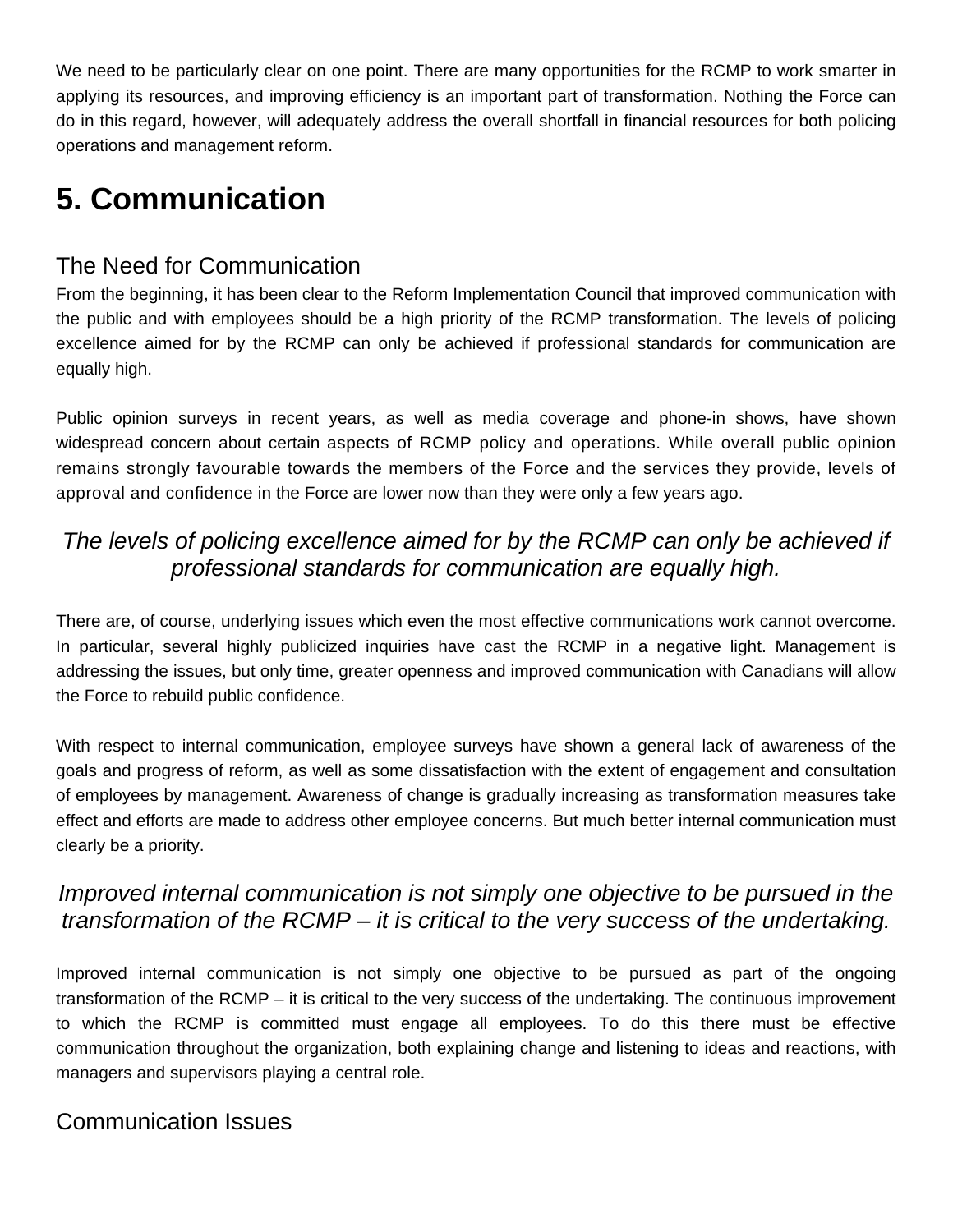We need to be particularly clear on one point. There are many opportunities for the RCMP to work smarter in applying its resources, and improving efficiency is an important part of transformation. Nothing the Force can do in this regard, however, will adequately address the overall shortfall in financial resources for both policing operations and management reform.

# **5. Communication**

# The Need for Communication

From the beginning, it has been clear to the Reform Implementation Council that improved communication with the public and with employees should be a high priority of the RCMP transformation. The levels of policing excellence aimed for by the RCMP can only be achieved if professional standards for communication are equally high.

Public opinion surveys in recent years, as well as media coverage and phone-in shows, have shown widespread concern about certain aspects of RCMP policy and operations. While overall public opinion remains strongly favourable towards the members of the Force and the services they provide, levels of approval and confidence in the Force are lower now than they were only a few years ago.

## *The levels of policing excellence aimed for by the RCMP can only be achieved if professional standards for communication are equally high.*

There are, of course, underlying issues which even the most effective communications work cannot overcome. In particular, several highly publicized inquiries have cast the RCMP in a negative light. Management is addressing the issues, but only time, greater openness and improved communication with Canadians will allow the Force to rebuild public confidence.

With respect to internal communication, employee surveys have shown a general lack of awareness of the goals and progress of reform, as well as some dissatisfaction with the extent of engagement and consultation of employees by management. Awareness of change is gradually increasing as transformation measures take effect and efforts are made to address other employee concerns. But much better internal communication must clearly be a priority.

## *Improved internal communication is not simply one objective to be pursued in the transformation of the RCMP – it is critical to the very success of the undertaking.*

Improved internal communication is not simply one objective to be pursued as part of the ongoing transformation of the RCMP – it is critical to the very success of the undertaking. The continuous improvement to which the RCMP is committed must engage all employees. To do this there must be effective communication throughout the organization, both explaining change and listening to ideas and reactions, with managers and supervisors playing a central role.

## Communication Issues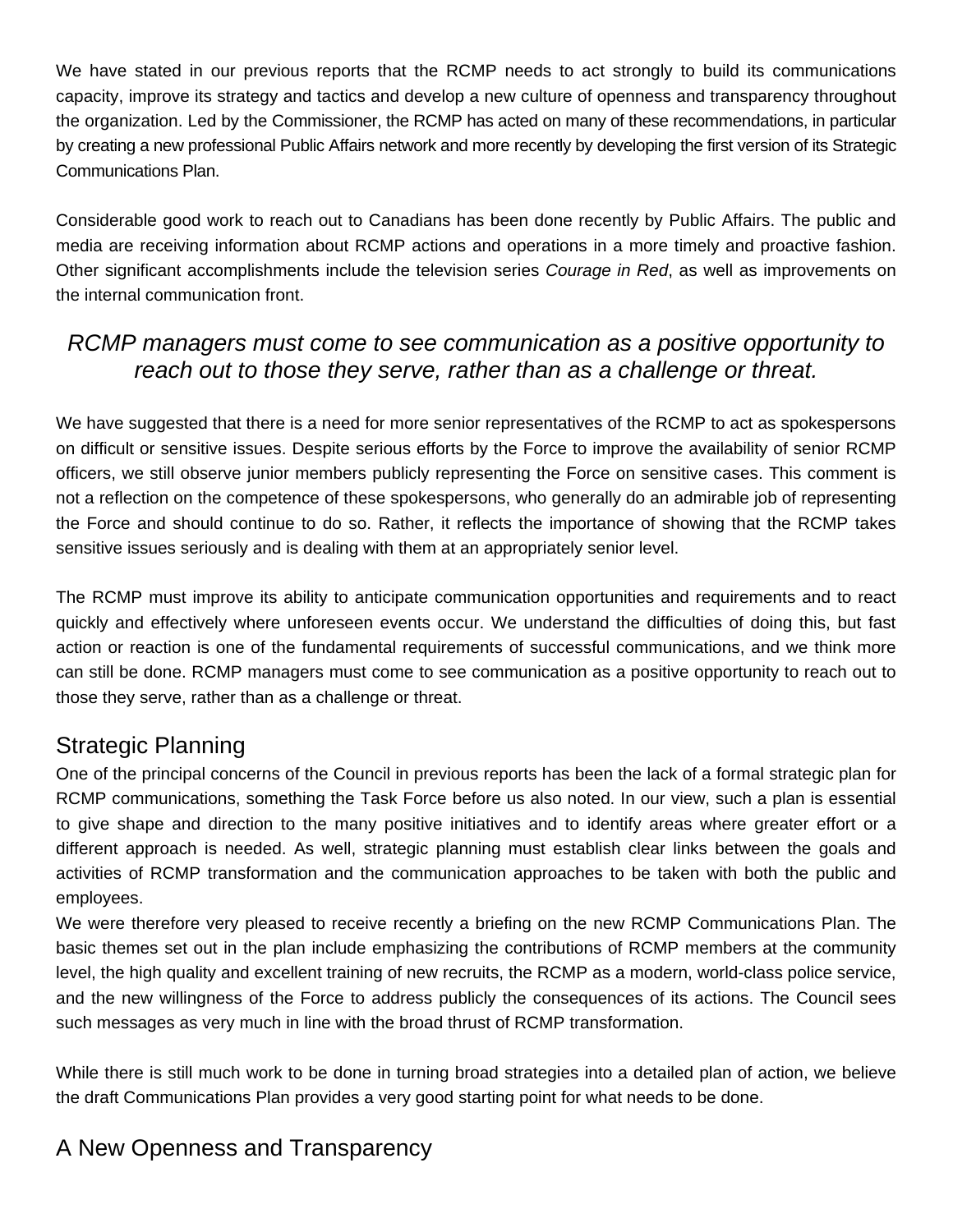We have stated in our previous reports that the RCMP needs to act strongly to build its communications capacity, improve its strategy and tactics and develop a new culture of openness and transparency throughout the organization. Led by the Commissioner, the RCMP has acted on many of these recommendations, in particular by creating a new professional Public Affairs network and more recently by developing the first version of its Strategic Communications Plan.

Considerable good work to reach out to Canadians has been done recently by Public Affairs. The public and media are receiving information about RCMP actions and operations in a more timely and proactive fashion. Other significant accomplishments include the television series *Courage in Red*, as well as improvements on the internal communication front.

#### *RCMP managers must come to see communication as a positive opportunity to reach out to those they serve, rather than as a challenge or threat.*

We have suggested that there is a need for more senior representatives of the RCMP to act as spokespersons on difficult or sensitive issues. Despite serious efforts by the Force to improve the availability of senior RCMP officers, we still observe junior members publicly representing the Force on sensitive cases. This comment is not a reflection on the competence of these spokespersons, who generally do an admirable job of representing the Force and should continue to do so. Rather, it reflects the importance of showing that the RCMP takes sensitive issues seriously and is dealing with them at an appropriately senior level.

The RCMP must improve its ability to anticipate communication opportunities and requirements and to react quickly and effectively where unforeseen events occur. We understand the difficulties of doing this, but fast action or reaction is one of the fundamental requirements of successful communications, and we think more can still be done. RCMP managers must come to see communication as a positive opportunity to reach out to those they serve, rather than as a challenge or threat.

#### Strategic Planning

One of the principal concerns of the Council in previous reports has been the lack of a formal strategic plan for RCMP communications, something the Task Force before us also noted. In our view, such a plan is essential to give shape and direction to the many positive initiatives and to identify areas where greater effort or a different approach is needed. As well, strategic planning must establish clear links between the goals and activities of RCMP transformation and the communication approaches to be taken with both the public and employees.

We were therefore very pleased to receive recently a briefing on the new RCMP Communications Plan. The basic themes set out in the plan include emphasizing the contributions of RCMP members at the community level, the high quality and excellent training of new recruits, the RCMP as a modern, world-class police service, and the new willingness of the Force to address publicly the consequences of its actions. The Council sees such messages as very much in line with the broad thrust of RCMP transformation.

While there is still much work to be done in turning broad strategies into a detailed plan of action, we believe the draft Communications Plan provides a very good starting point for what needs to be done.

# A New Openness and Transparency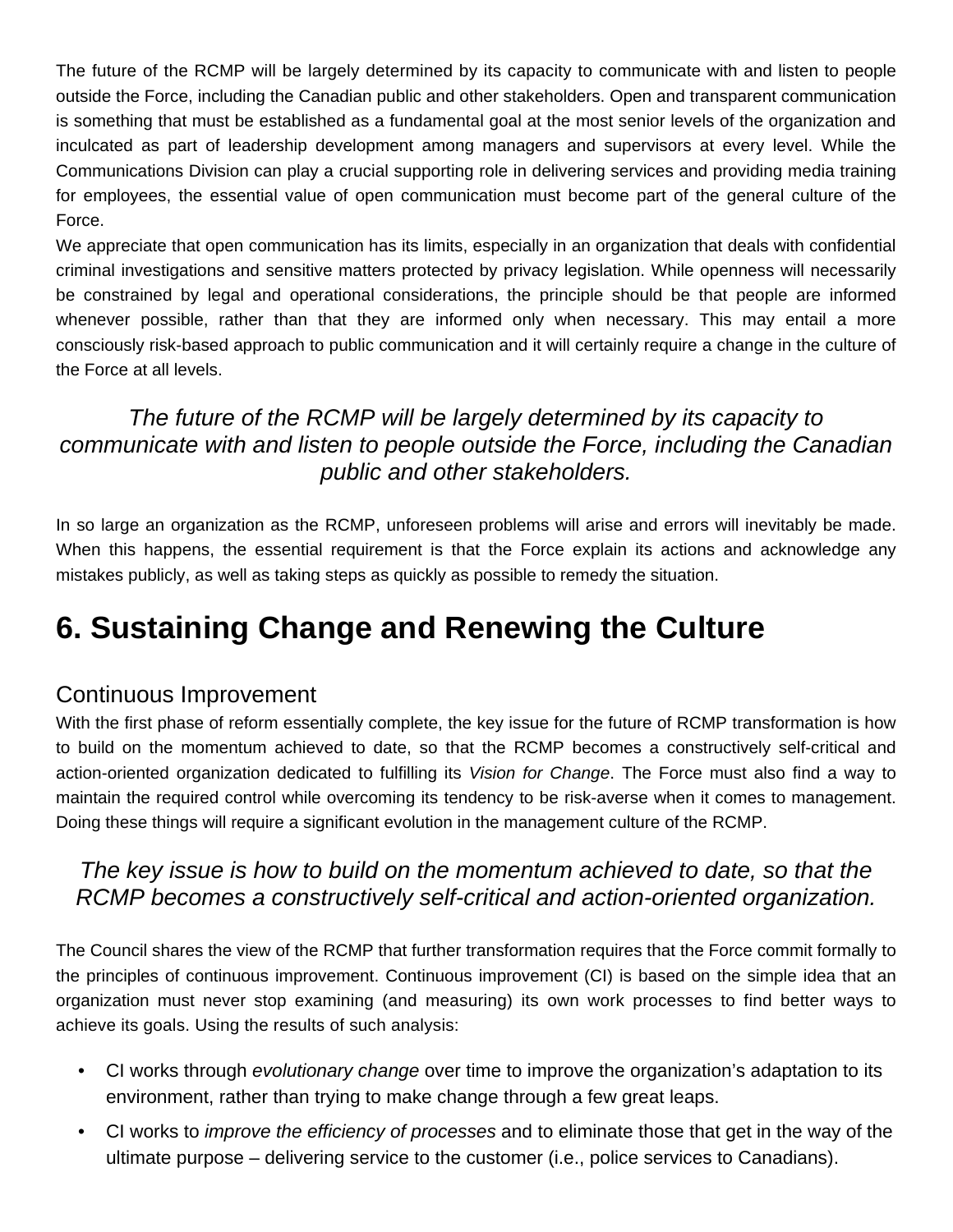The future of the RCMP will be largely determined by its capacity to communicate with and listen to people outside the Force, including the Canadian public and other stakeholders. Open and transparent communication is something that must be established as a fundamental goal at the most senior levels of the organization and inculcated as part of leadership development among managers and supervisors at every level. While the Communications Division can play a crucial supporting role in delivering services and providing media training for employees, the essential value of open communication must become part of the general culture of the Force.

We appreciate that open communication has its limits, especially in an organization that deals with confidential criminal investigations and sensitive matters protected by privacy legislation. While openness will necessarily be constrained by legal and operational considerations, the principle should be that people are informed whenever possible, rather than that they are informed only when necessary. This may entail a more consciously risk-based approach to public communication and it will certainly require a change in the culture of the Force at all levels.

#### *The future of the RCMP will be largely determined by its capacity to communicate with and listen to people outside the Force, including the Canadian public and other stakeholders.*

In so large an organization as the RCMP, unforeseen problems will arise and errors will inevitably be made. When this happens, the essential requirement is that the Force explain its actions and acknowledge any mistakes publicly, as well as taking steps as quickly as possible to remedy the situation.

# **6. Sustaining Change and Renewing the Culture**

#### Continuous Improvement

With the first phase of reform essentially complete, the key issue for the future of RCMP transformation is how to build on the momentum achieved to date, so that the RCMP becomes a constructively self-critical and action-oriented organization dedicated to fulfilling its *Vision for Change*. The Force must also find a way to maintain the required control while overcoming its tendency to be risk-averse when it comes to management. Doing these things will require a significant evolution in the management culture of the RCMP.

#### *The key issue is how to build on the momentum achieved to date, so that the RCMP becomes a constructively self-critical and action-oriented organization.*

The Council shares the view of the RCMP that further transformation requires that the Force commit formally to the principles of continuous improvement. Continuous improvement (CI) is based on the simple idea that an organization must never stop examining (and measuring) its own work processes to find better ways to achieve its goals. Using the results of such analysis:

- CI works through *evolutionary change* over time to improve the organization's adaptation to its environment, rather than trying to make change through a few great leaps.
- CI works to *improve the efficiency of processes* and to eliminate those that get in the way of the ultimate purpose – delivering service to the customer (i.e., police services to Canadians).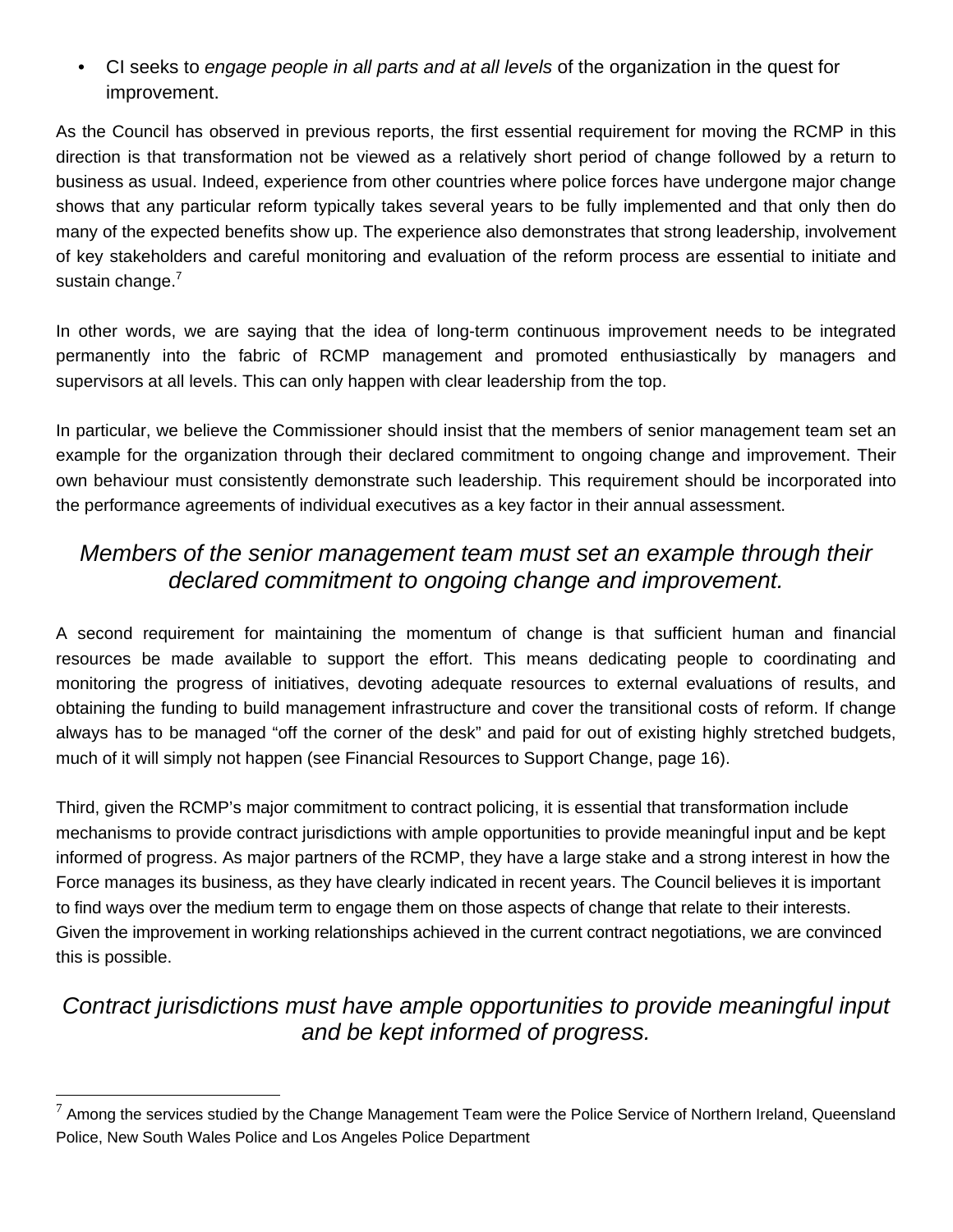• CI seeks to *engage people in all parts and at all levels* of the organization in the quest for improvement.

As the Council has observed in previous reports, the first essential requirement for moving the RCMP in this direction is that transformation not be viewed as a relatively short period of change followed by a return to business as usual. Indeed, experience from other countries where police forces have undergone major change shows that any particular reform typically takes several years to be fully implemented and that only then do many of the expected benefits show up. The experience also demonstrates that strong leadership, involvement of key stakeholders and careful monitoring and evaluation of the reform process are essential to initiate and sustain change.<sup>7</sup>

In other words, we are saying that the idea of long-term continuous improvement needs to be integrated permanently into the fabric of RCMP management and promoted enthusiastically by managers and supervisors at all levels. This can only happen with clear leadership from the top.

In particular, we believe the Commissioner should insist that the members of senior management team set an example for the organization through their declared commitment to ongoing change and improvement. Their own behaviour must consistently demonstrate such leadership. This requirement should be incorporated into the performance agreements of individual executives as a key factor in their annual assessment.

### *Members of the senior management team must set an example through their declared commitment to ongoing change and improvement.*

A second requirement for maintaining the momentum of change is that sufficient human and financial resources be made available to support the effort. This means dedicating people to coordinating and monitoring the progress of initiatives, devoting adequate resources to external evaluations of results, and obtaining the funding to build management infrastructure and cover the transitional costs of reform. If change always has to be managed "off the corner of the desk" and paid for out of existing highly stretched budgets, much of it will simply not happen (see Financial Resources to Support Change, page 16).

Third, given the RCMP's major commitment to contract policing, it is essential that transformation include mechanisms to provide contract jurisdictions with ample opportunities to provide meaningful input and be kept informed of progress. As major partners of the RCMP, they have a large stake and a strong interest in how the Force manages its business, as they have clearly indicated in recent years. The Council believes it is important to find ways over the medium term to engage them on those aspects of change that relate to their interests. Given the improvement in working relationships achieved in the current contract negotiations, we are convinced this is possible.

## *Contract jurisdictions must have ample opportunities to provide meaningful input and be kept informed of progress.*

 $\overline{a}$ 

 $^7$  Among the services studied by the Change Management Team were the Police Service of Northern Ireland, Queensland Police, New South Wales Police and Los Angeles Police Department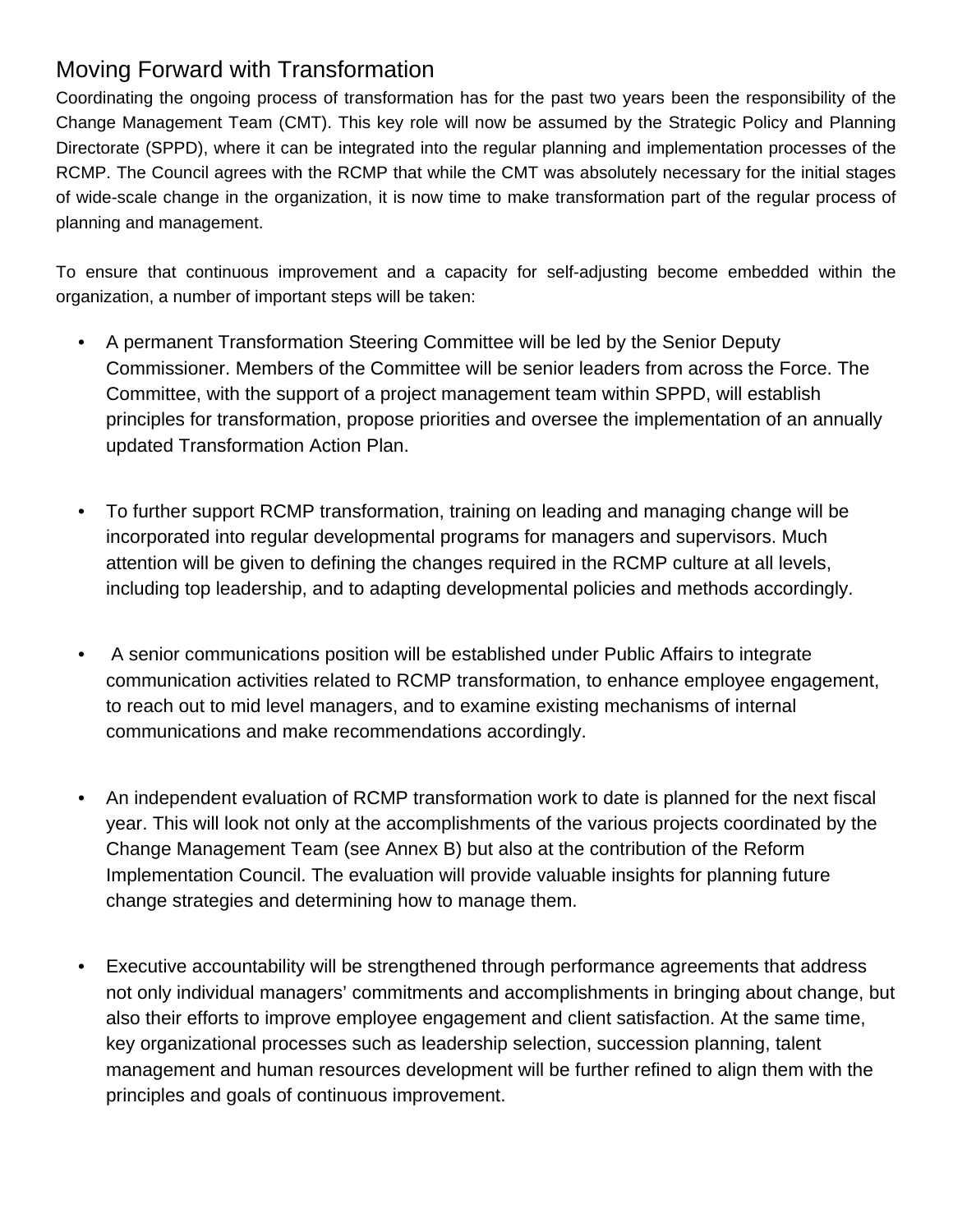# Moving Forward with Transformation

Coordinating the ongoing process of transformation has for the past two years been the responsibility of the Change Management Team (CMT). This key role will now be assumed by the Strategic Policy and Planning Directorate (SPPD), where it can be integrated into the regular planning and implementation processes of the RCMP. The Council agrees with the RCMP that while the CMT was absolutely necessary for the initial stages of wide-scale change in the organization, it is now time to make transformation part of the regular process of planning and management.

To ensure that continuous improvement and a capacity for self-adjusting become embedded within the organization, a number of important steps will be taken:

- A permanent Transformation Steering Committee will be led by the Senior Deputy Commissioner. Members of the Committee will be senior leaders from across the Force. The Committee, with the support of a project management team within SPPD, will establish principles for transformation, propose priorities and oversee the implementation of an annually updated Transformation Action Plan.
- To further support RCMP transformation, training on leading and managing change will be incorporated into regular developmental programs for managers and supervisors. Much attention will be given to defining the changes required in the RCMP culture at all levels, including top leadership, and to adapting developmental policies and methods accordingly.
- A senior communications position will be established under Public Affairs to integrate communication activities related to RCMP transformation, to enhance employee engagement, to reach out to mid level managers, and to examine existing mechanisms of internal communications and make recommendations accordingly.
- An independent evaluation of RCMP transformation work to date is planned for the next fiscal year. This will look not only at the accomplishments of the various projects coordinated by the Change Management Team (see Annex B) but also at the contribution of the Reform Implementation Council. The evaluation will provide valuable insights for planning future change strategies and determining how to manage them.
- Executive accountability will be strengthened through performance agreements that address not only individual managers' commitments and accomplishments in bringing about change, but also their efforts to improve employee engagement and client satisfaction. At the same time, key organizational processes such as leadership selection, succession planning, talent management and human resources development will be further refined to align them with the principles and goals of continuous improvement.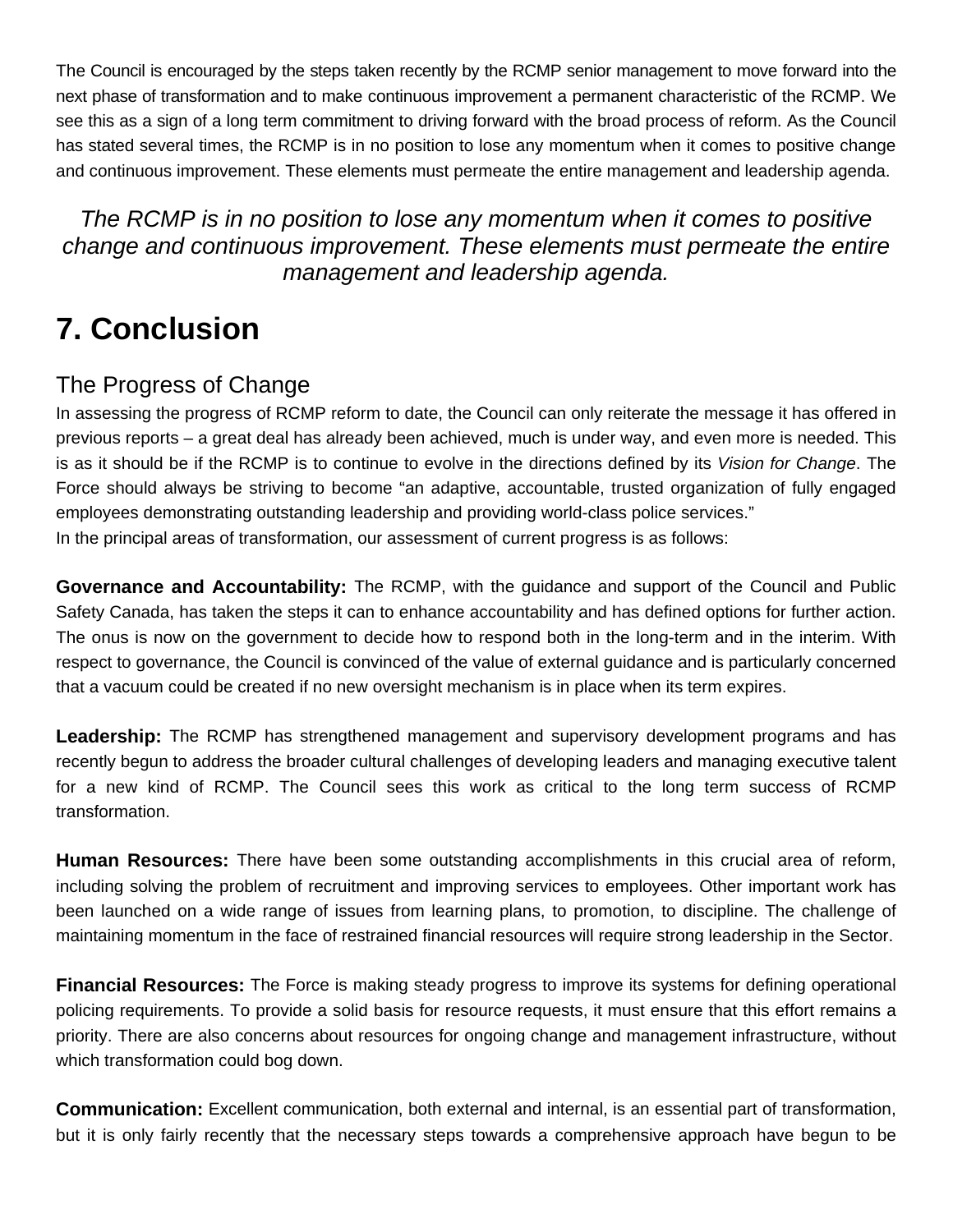The Council is encouraged by the steps taken recently by the RCMP senior management to move forward into the next phase of transformation and to make continuous improvement a permanent characteristic of the RCMP. We see this as a sign of a long term commitment to driving forward with the broad process of reform. As the Council has stated several times, the RCMP is in no position to lose any momentum when it comes to positive change and continuous improvement. These elements must permeate the entire management and leadership agenda.

*The RCMP is in no position to lose any momentum when it comes to positive change and continuous improvement. These elements must permeate the entire management and leadership agenda.* 

# **7. Conclusion**

### The Progress of Change

In assessing the progress of RCMP reform to date, the Council can only reiterate the message it has offered in previous reports – a great deal has already been achieved, much is under way, and even more is needed. This is as it should be if the RCMP is to continue to evolve in the directions defined by its *Vision for Change*. The Force should always be striving to become "an adaptive, accountable, trusted organization of fully engaged employees demonstrating outstanding leadership and providing world-class police services." In the principal areas of transformation, our assessment of current progress is as follows:

**Governance and Accountability:** The RCMP, with the guidance and support of the Council and Public Safety Canada, has taken the steps it can to enhance accountability and has defined options for further action. The onus is now on the government to decide how to respond both in the long-term and in the interim. With respect to governance, the Council is convinced of the value of external guidance and is particularly concerned that a vacuum could be created if no new oversight mechanism is in place when its term expires.

**Leadership:** The RCMP has strengthened management and supervisory development programs and has recently begun to address the broader cultural challenges of developing leaders and managing executive talent for a new kind of RCMP. The Council sees this work as critical to the long term success of RCMP transformation.

**Human Resources:** There have been some outstanding accomplishments in this crucial area of reform, including solving the problem of recruitment and improving services to employees. Other important work has been launched on a wide range of issues from learning plans, to promotion, to discipline. The challenge of maintaining momentum in the face of restrained financial resources will require strong leadership in the Sector.

**Financial Resources:** The Force is making steady progress to improve its systems for defining operational policing requirements. To provide a solid basis for resource requests, it must ensure that this effort remains a priority. There are also concerns about resources for ongoing change and management infrastructure, without which transformation could bog down.

**Communication:** Excellent communication, both external and internal, is an essential part of transformation, but it is only fairly recently that the necessary steps towards a comprehensive approach have begun to be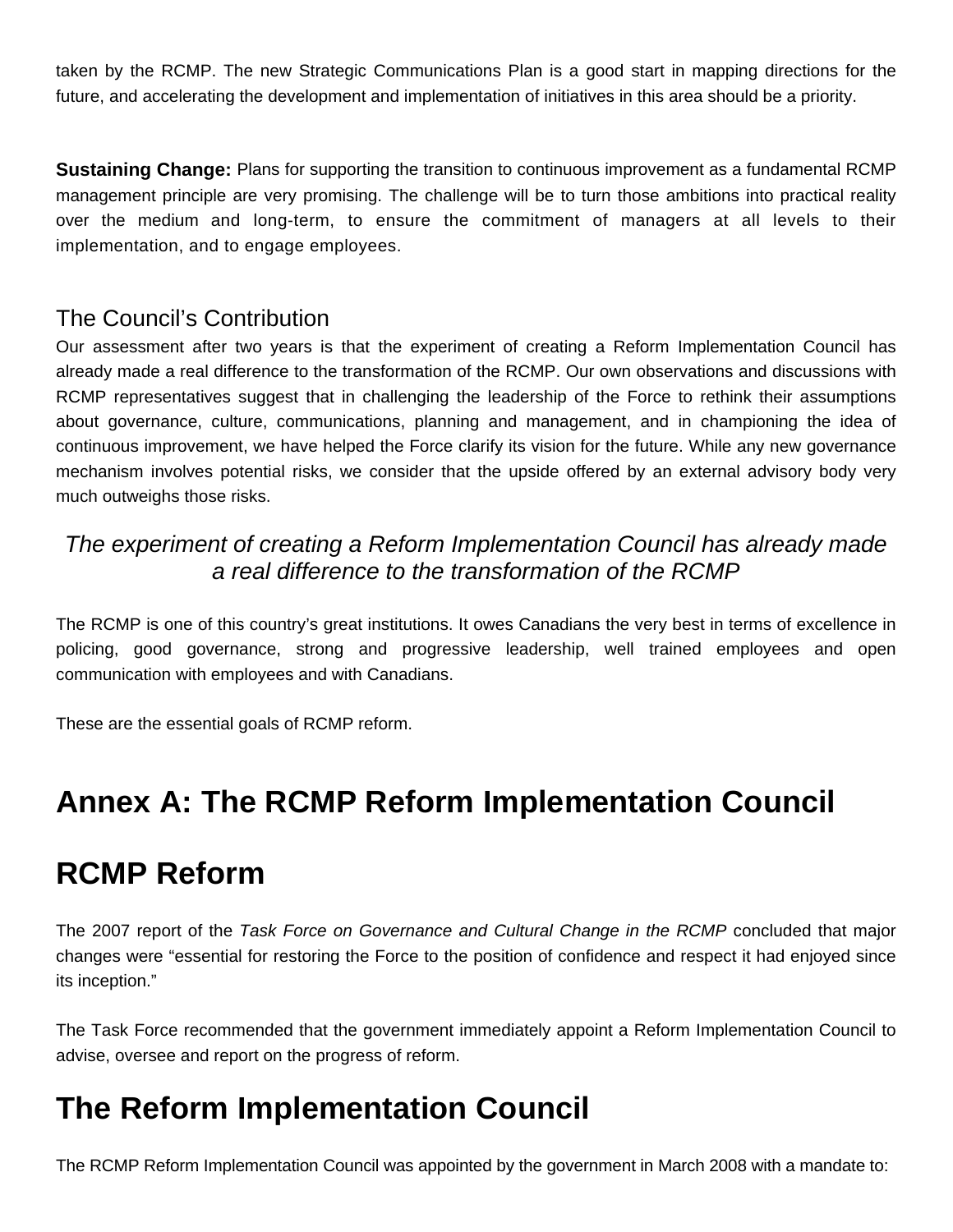taken by the RCMP. The new Strategic Communications Plan is a good start in mapping directions for the future, and accelerating the development and implementation of initiatives in this area should be a priority.

**Sustaining Change:** Plans for supporting the transition to continuous improvement as a fundamental RCMP management principle are very promising. The challenge will be to turn those ambitions into practical reality over the medium and long-term, to ensure the commitment of managers at all levels to their implementation, and to engage employees.

#### The Council's Contribution

Our assessment after two years is that the experiment of creating a Reform Implementation Council has already made a real difference to the transformation of the RCMP. Our own observations and discussions with RCMP representatives suggest that in challenging the leadership of the Force to rethink their assumptions about governance, culture, communications, planning and management, and in championing the idea of continuous improvement, we have helped the Force clarify its vision for the future. While any new governance mechanism involves potential risks, we consider that the upside offered by an external advisory body very much outweighs those risks.

#### *The experiment of creating a Reform Implementation Council has already made a real difference to the transformation of the RCMP*

The RCMP is one of this country's great institutions. It owes Canadians the very best in terms of excellence in policing, good governance, strong and progressive leadership, well trained employees and open communication with employees and with Canadians.

These are the essential goals of RCMP reform.

# **Annex A: The RCMP Reform Implementation Council**

# **RCMP Reform**

The 2007 report of the *Task Force on Governance and Cultural Change in the RCMP* concluded that major changes were "essential for restoring the Force to the position of confidence and respect it had enjoyed since its inception."

The Task Force recommended that the government immediately appoint a Reform Implementation Council to advise, oversee and report on the progress of reform.

# **The Reform Implementation Council**

The RCMP Reform Implementation Council was appointed by the government in March 2008 with a mandate to: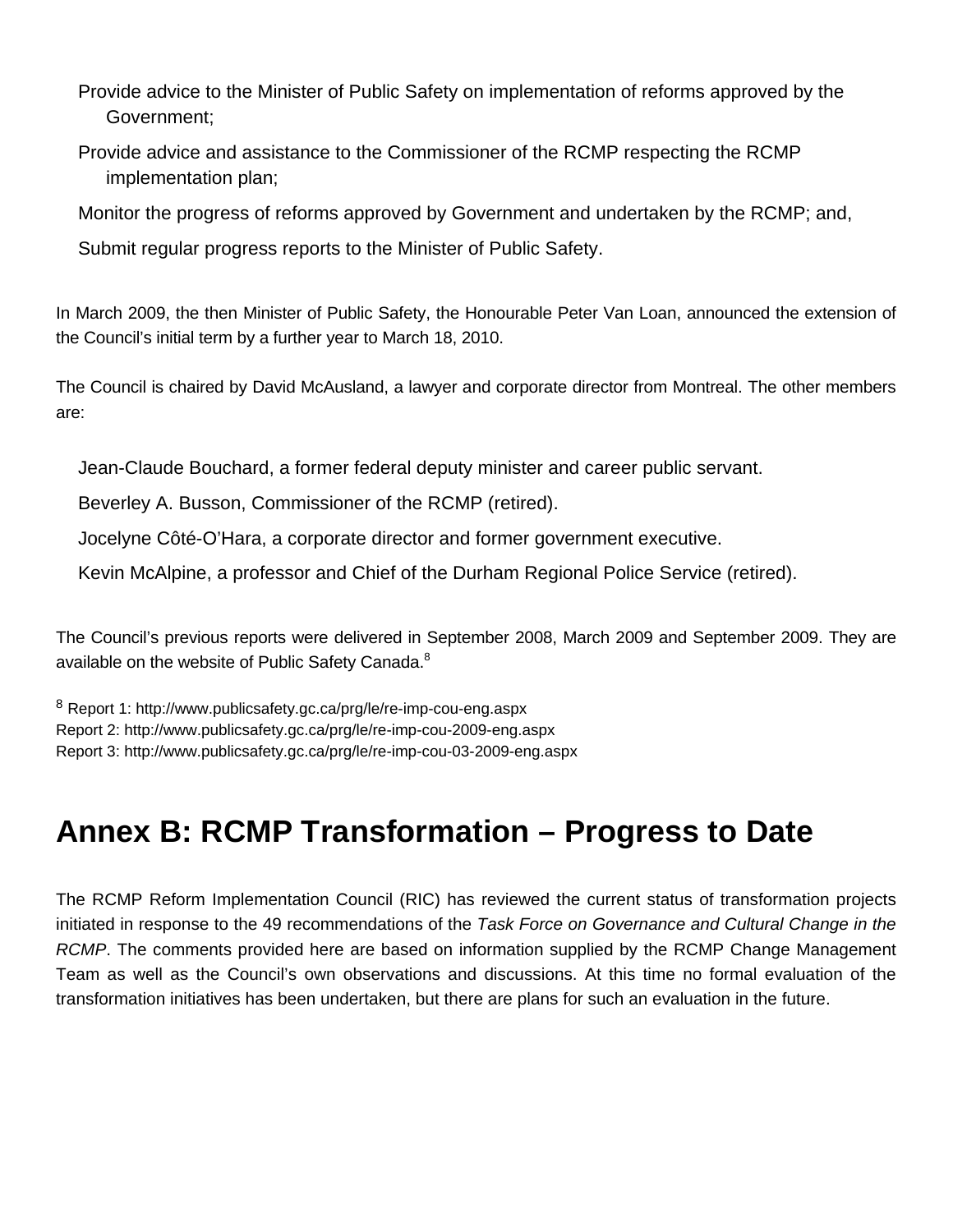- Provide advice to the Minister of Public Safety on implementation of reforms approved by the Government;
- Provide advice and assistance to the Commissioner of the RCMP respecting the RCMP implementation plan;
- Monitor the progress of reforms approved by Government and undertaken by the RCMP; and,
- Submit regular progress reports to the Minister of Public Safety.

In March 2009, the then Minister of Public Safety, the Honourable Peter Van Loan, announced the extension of the Council's initial term by a further year to March 18, 2010.

The Council is chaired by David McAusland, a lawyer and corporate director from Montreal. The other members are:

Jean-Claude Bouchard, a former federal deputy minister and career public servant.

Beverley A. Busson, Commissioner of the RCMP (retired).

Jocelyne Côté-O'Hara, a corporate director and former government executive.

Kevin McAlpine, a professor and Chief of the Durham Regional Police Service (retired).

The Council's previous reports were delivered in September 2008, March 2009 and September 2009. They are available on the website of Public Safety Canada.<sup>8</sup>

<sup>8</sup> Report 1: http://www.publicsafety.gc.ca/prg/le/re-imp-cou-eng.aspx Report 2: http://www.publicsafety.gc.ca/prg/le/re-imp-cou-2009-eng.aspx Report 3: http://www.publicsafety.gc.ca/prg/le/re-imp-cou-03-2009-eng.aspx

# **Annex B: RCMP Transformation – Progress to Date**

The RCMP Reform Implementation Council (RIC) has reviewed the current status of transformation projects initiated in response to the 49 recommendations of the *Task Force on Governance and Cultural Change in the RCMP*. The comments provided here are based on information supplied by the RCMP Change Management Team as well as the Council's own observations and discussions. At this time no formal evaluation of the transformation initiatives has been undertaken, but there are plans for such an evaluation in the future.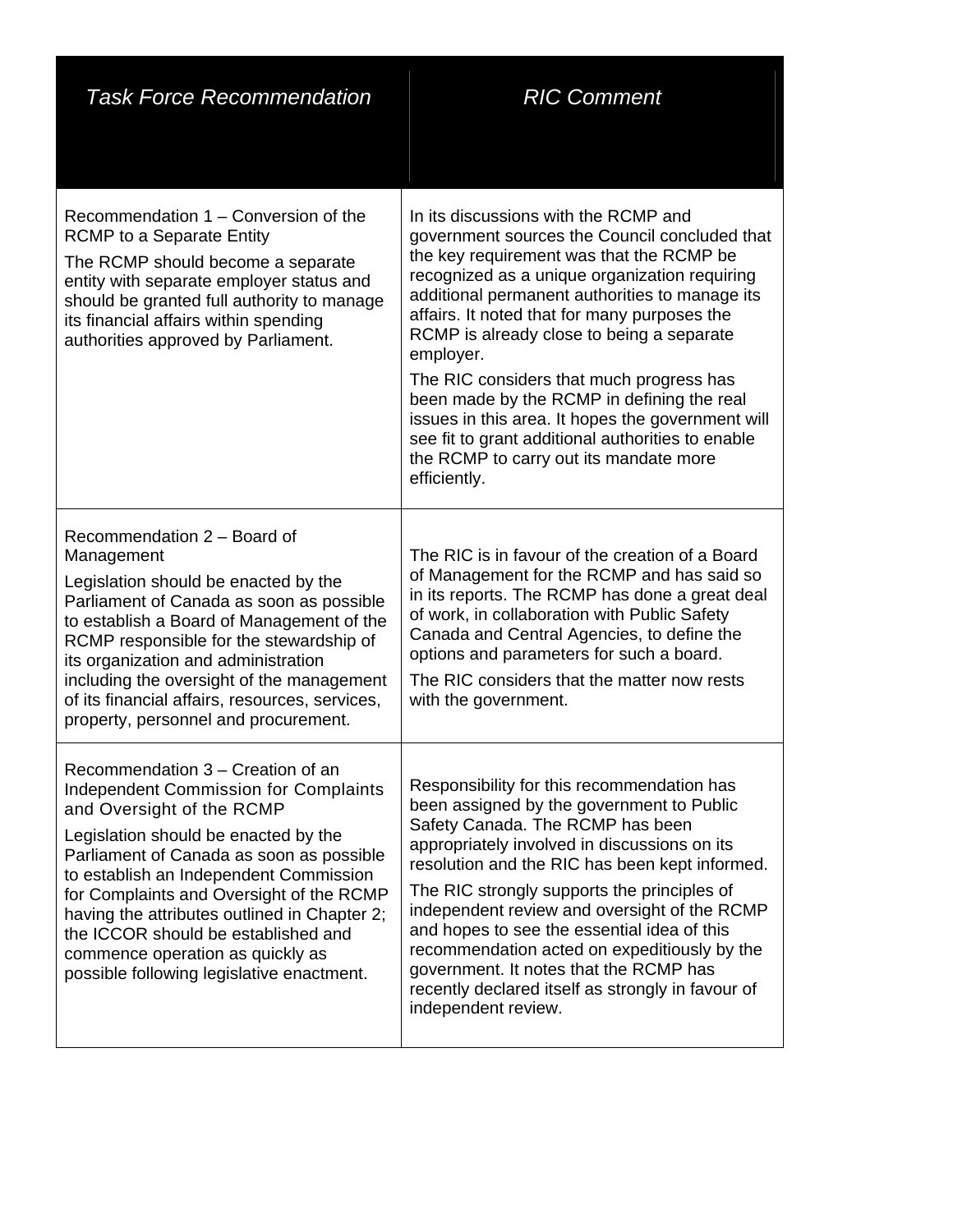| <b>Task Force Recommendation</b>                                                                                                                                                                                                                                                                                                                                                                                                                                 | <b>RIC Comment</b>                                                                                                                                                                                                                                                                                                                                                                                                                                                                                                                                                                                           |
|------------------------------------------------------------------------------------------------------------------------------------------------------------------------------------------------------------------------------------------------------------------------------------------------------------------------------------------------------------------------------------------------------------------------------------------------------------------|--------------------------------------------------------------------------------------------------------------------------------------------------------------------------------------------------------------------------------------------------------------------------------------------------------------------------------------------------------------------------------------------------------------------------------------------------------------------------------------------------------------------------------------------------------------------------------------------------------------|
| Recommendation 1 – Conversion of the<br><b>RCMP</b> to a Separate Entity<br>The RCMP should become a separate<br>entity with separate employer status and<br>should be granted full authority to manage<br>its financial affairs within spending<br>authorities approved by Parliament.                                                                                                                                                                          | In its discussions with the RCMP and<br>government sources the Council concluded that<br>the key requirement was that the RCMP be<br>recognized as a unique organization requiring<br>additional permanent authorities to manage its<br>affairs. It noted that for many purposes the<br>RCMP is already close to being a separate<br>employer.<br>The RIC considers that much progress has<br>been made by the RCMP in defining the real<br>issues in this area. It hopes the government will<br>see fit to grant additional authorities to enable<br>the RCMP to carry out its mandate more<br>efficiently. |
| Recommendation 2 - Board of<br>Management<br>Legislation should be enacted by the<br>Parliament of Canada as soon as possible<br>to establish a Board of Management of the<br>RCMP responsible for the stewardship of<br>its organization and administration<br>including the oversight of the management<br>of its financial affairs, resources, services,<br>property, personnel and procurement.                                                              | The RIC is in favour of the creation of a Board<br>of Management for the RCMP and has said so<br>in its reports. The RCMP has done a great deal<br>of work, in collaboration with Public Safety<br>Canada and Central Agencies, to define the<br>options and parameters for such a board.<br>The RIC considers that the matter now rests<br>with the government.                                                                                                                                                                                                                                             |
| Recommendation 3 – Creation of an<br><b>Independent Commission for Complaints</b><br>and Oversight of the RCMP<br>Legislation should be enacted by the<br>Parliament of Canada as soon as possible<br>to establish an Independent Commission<br>for Complaints and Oversight of the RCMP<br>having the attributes outlined in Chapter 2;<br>the ICCOR should be established and<br>commence operation as quickly as<br>possible following legislative enactment. | Responsibility for this recommendation has<br>been assigned by the government to Public<br>Safety Canada. The RCMP has been<br>appropriately involved in discussions on its<br>resolution and the RIC has been kept informed.<br>The RIC strongly supports the principles of<br>independent review and oversight of the RCMP<br>and hopes to see the essential idea of this<br>recommendation acted on expeditiously by the<br>government. It notes that the RCMP has<br>recently declared itself as strongly in favour of<br>independent review.                                                            |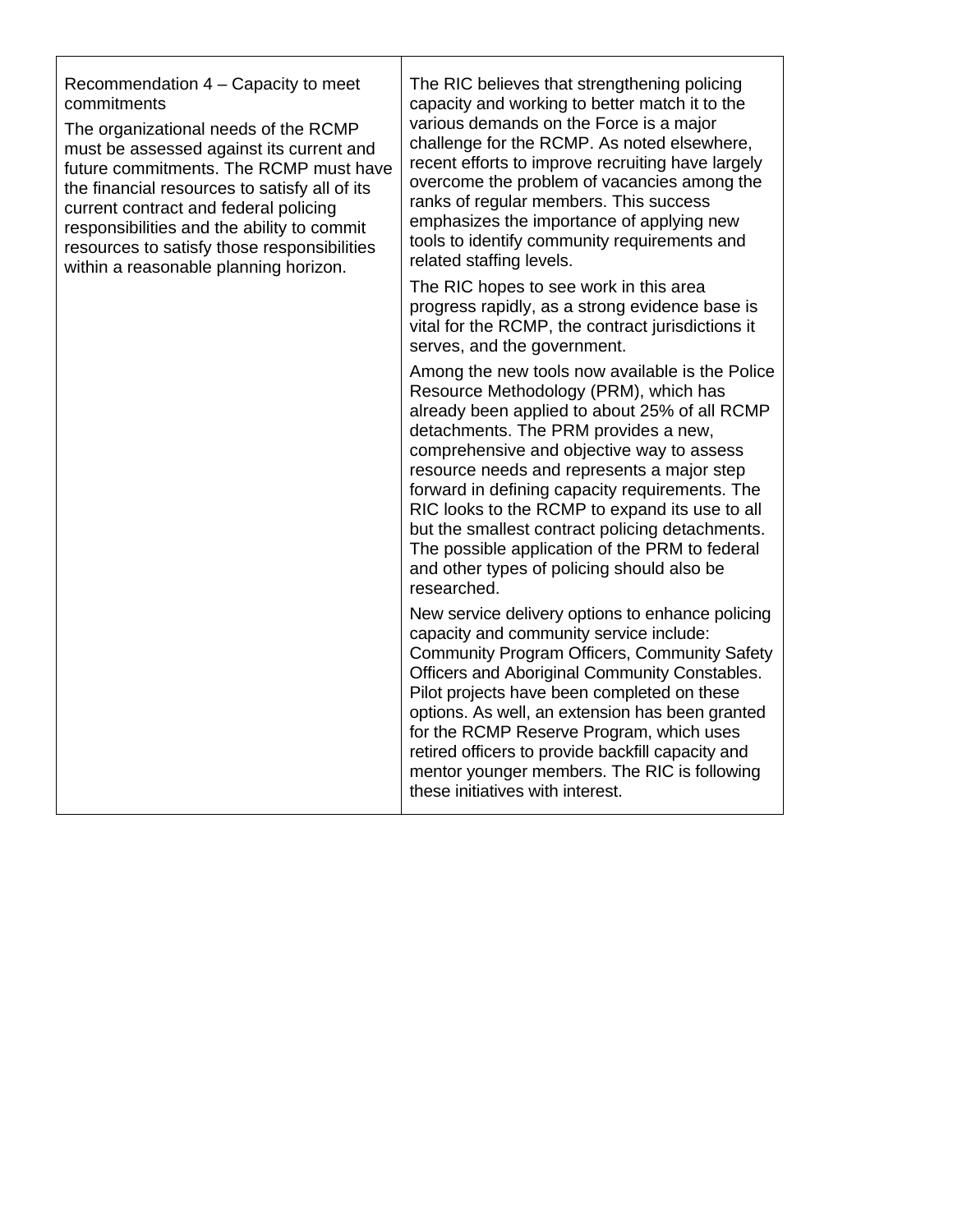Recommendation 4 – Capacity to meet commitments

The organizational needs of the RCMP must be assessed against its current and future commitments. The RCMP must have the financial resources to satisfy all of its current contract and federal policing responsibilities and the ability to commit resources to satisfy those responsibilities within a reasonable planning horizon.

The RIC believes that strengthening policing capacity and working to better match it to the various demands on the Force is a major challenge for the RCMP. As noted elsewhere, recent efforts to improve recruiting have largely overcome the problem of vacancies among the ranks of regular members. This success emphasizes the importance of applying new tools to identify community requirements and related staffing levels.

The RIC hopes to see work in this area progress rapidly, as a strong evidence base is vital for the RCMP, the contract jurisdictions it serves, and the government.

Among the new tools now available is the Police Resource Methodology (PRM), which has already been applied to about 25% of all RCMP detachments. The PRM provides a new, comprehensive and objective way to assess resource needs and represents a major step forward in defining capacity requirements. The RIC looks to the RCMP to expand its use to all but the smallest contract policing detachments. The possible application of the PRM to federal and other types of policing should also be researched.

New service delivery options to enhance policing capacity and community service include: Community Program Officers, Community Safety Officers and Aboriginal Community Constables. Pilot projects have been completed on these options. As well, an extension has been granted for the RCMP Reserve Program, which uses retired officers to provide backfill capacity and mentor younger members. The RIC is following these initiatives with interest.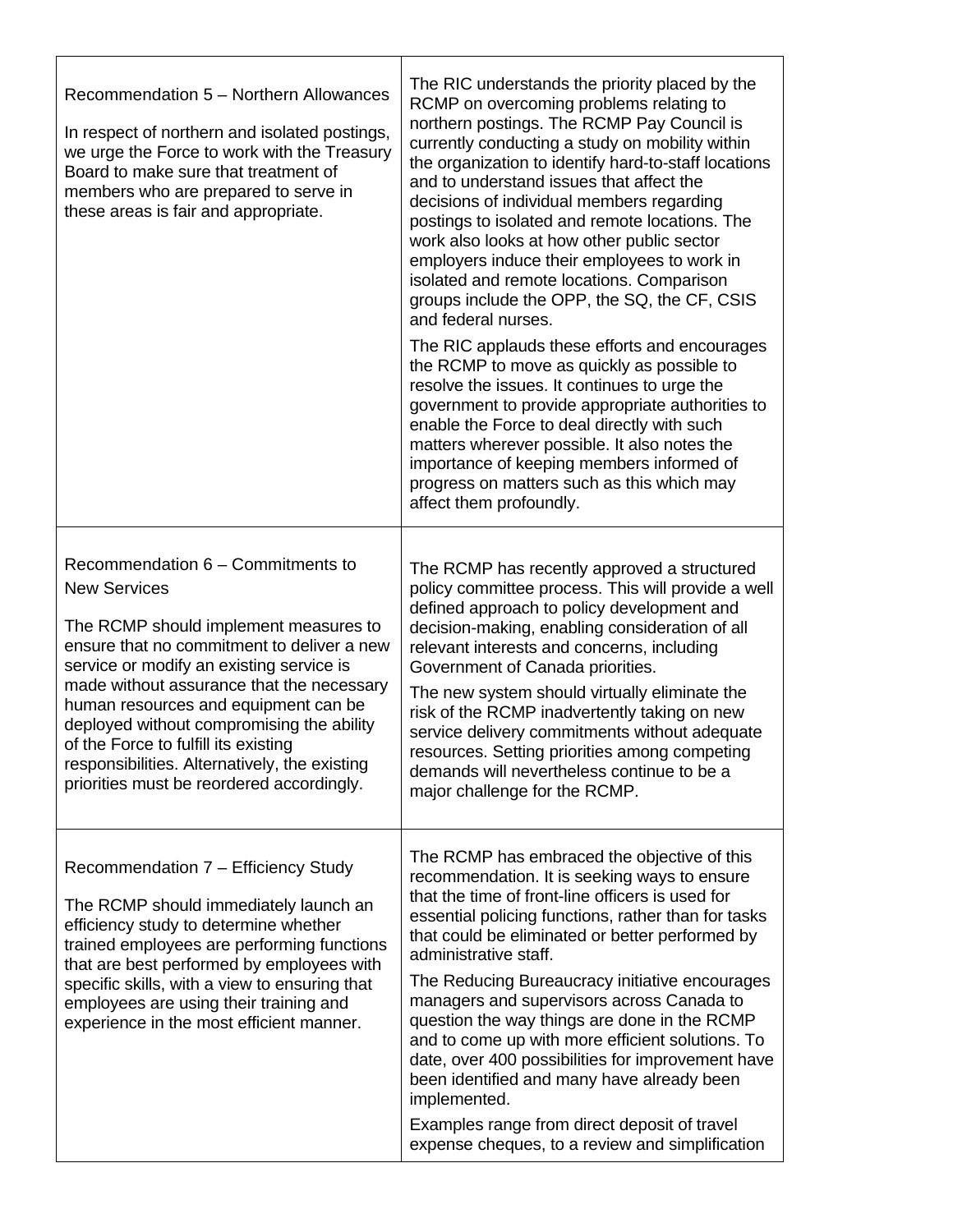| Recommendation 5 - Northern Allowances<br>In respect of northern and isolated postings,<br>we urge the Force to work with the Treasury<br>Board to make sure that treatment of<br>members who are prepared to serve in<br>these areas is fair and appropriate.                                                                                                                                                                                                      | The RIC understands the priority placed by the<br>RCMP on overcoming problems relating to<br>northern postings. The RCMP Pay Council is<br>currently conducting a study on mobility within<br>the organization to identify hard-to-staff locations<br>and to understand issues that affect the<br>decisions of individual members regarding<br>postings to isolated and remote locations. The<br>work also looks at how other public sector<br>employers induce their employees to work in<br>isolated and remote locations. Comparison<br>groups include the OPP, the SQ, the CF, CSIS<br>and federal nurses.<br>The RIC applauds these efforts and encourages<br>the RCMP to move as quickly as possible to<br>resolve the issues. It continues to urge the<br>government to provide appropriate authorities to<br>enable the Force to deal directly with such<br>matters wherever possible. It also notes the<br>importance of keeping members informed of<br>progress on matters such as this which may<br>affect them profoundly. |
|---------------------------------------------------------------------------------------------------------------------------------------------------------------------------------------------------------------------------------------------------------------------------------------------------------------------------------------------------------------------------------------------------------------------------------------------------------------------|----------------------------------------------------------------------------------------------------------------------------------------------------------------------------------------------------------------------------------------------------------------------------------------------------------------------------------------------------------------------------------------------------------------------------------------------------------------------------------------------------------------------------------------------------------------------------------------------------------------------------------------------------------------------------------------------------------------------------------------------------------------------------------------------------------------------------------------------------------------------------------------------------------------------------------------------------------------------------------------------------------------------------------------|
| Recommendation 6 – Commitments to<br><b>New Services</b><br>The RCMP should implement measures to<br>ensure that no commitment to deliver a new<br>service or modify an existing service is<br>made without assurance that the necessary<br>human resources and equipment can be<br>deployed without compromising the ability<br>of the Force to fulfill its existing<br>responsibilities. Alternatively, the existing<br>priorities must be reordered accordingly. | The RCMP has recently approved a structured<br>policy committee process. This will provide a well<br>defined approach to policy development and<br>decision-making, enabling consideration of all<br>relevant interests and concerns, including<br>Government of Canada priorities.<br>The new system should virtually eliminate the<br>risk of the RCMP inadvertently taking on new<br>service delivery commitments without adequate<br>resources. Setting priorities among competing<br>demands will nevertheless continue to be a<br>major challenge for the RCMP.                                                                                                                                                                                                                                                                                                                                                                                                                                                                  |
| Recommendation 7 - Efficiency Study<br>The RCMP should immediately launch an<br>efficiency study to determine whether<br>trained employees are performing functions<br>that are best performed by employees with<br>specific skills, with a view to ensuring that<br>employees are using their training and<br>experience in the most efficient manner.                                                                                                             | The RCMP has embraced the objective of this<br>recommendation. It is seeking ways to ensure<br>that the time of front-line officers is used for<br>essential policing functions, rather than for tasks<br>that could be eliminated or better performed by<br>administrative staff.<br>The Reducing Bureaucracy initiative encourages<br>managers and supervisors across Canada to<br>question the way things are done in the RCMP<br>and to come up with more efficient solutions. To<br>date, over 400 possibilities for improvement have<br>been identified and many have already been<br>implemented.<br>Examples range from direct deposit of travel<br>expense cheques, to a review and simplification                                                                                                                                                                                                                                                                                                                            |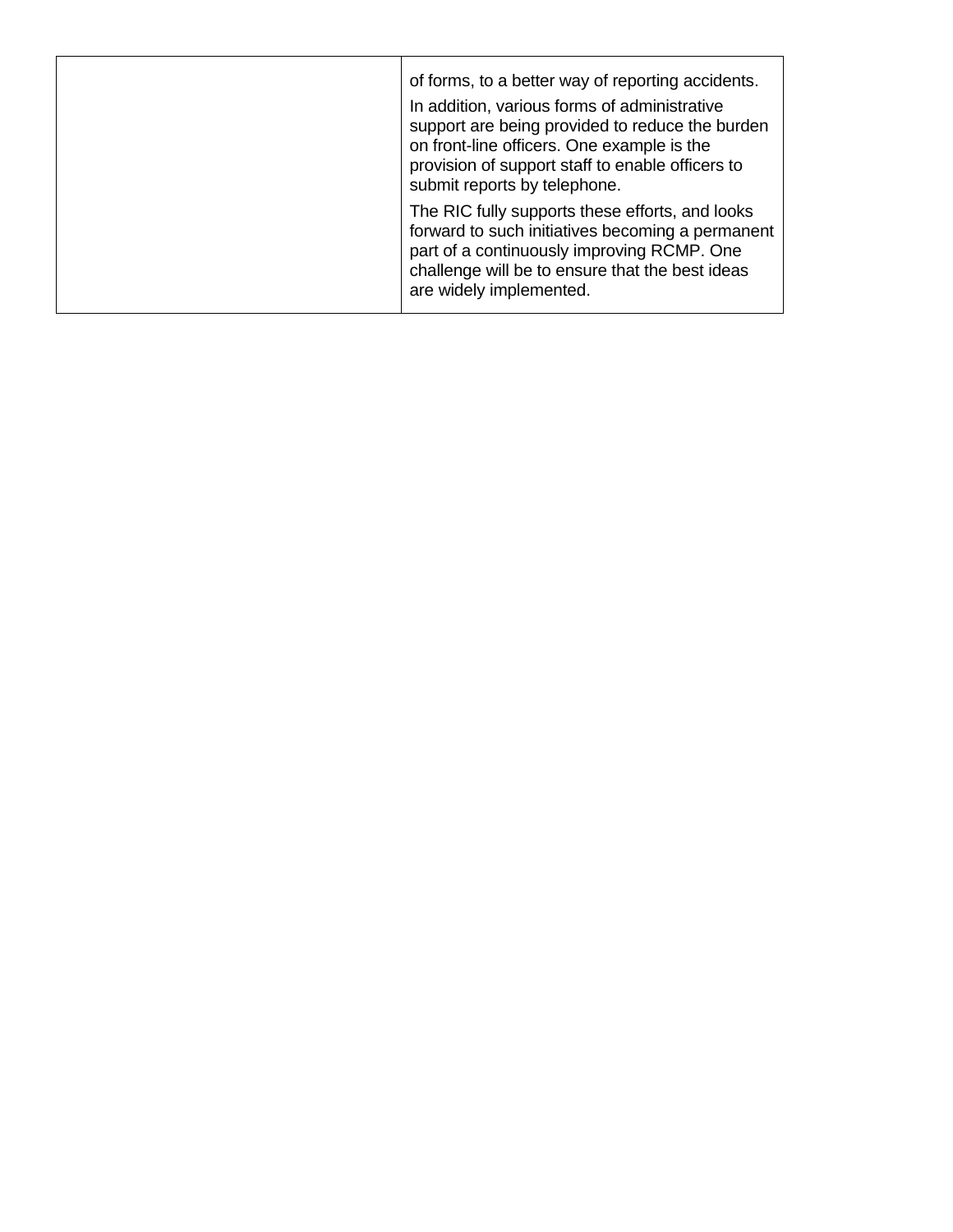| of forms, to a better way of reporting accidents.<br>In addition, various forms of administrative<br>support are being provided to reduce the burden<br>on front-line officers. One example is the<br>provision of support staff to enable officers to<br>submit reports by telephone. |
|----------------------------------------------------------------------------------------------------------------------------------------------------------------------------------------------------------------------------------------------------------------------------------------|
| The RIC fully supports these efforts, and looks<br>forward to such initiatives becoming a permanent<br>part of a continuously improving RCMP. One<br>challenge will be to ensure that the best ideas<br>are widely implemented.                                                        |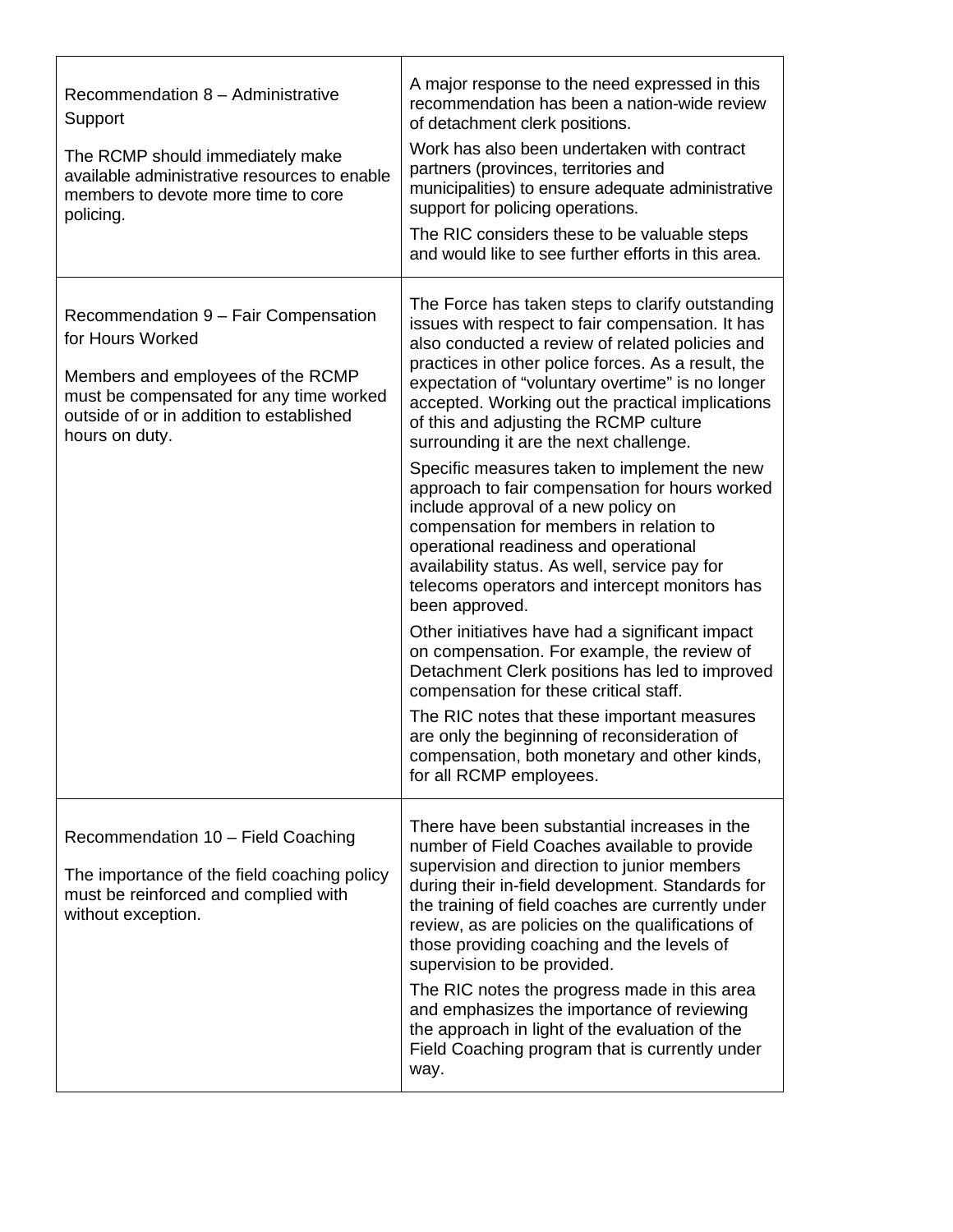| Recommendation 8 - Administrative<br>Support<br>The RCMP should immediately make<br>available administrative resources to enable<br>members to devote more time to core<br>policing.                   | A major response to the need expressed in this<br>recommendation has been a nation-wide review<br>of detachment clerk positions.<br>Work has also been undertaken with contract<br>partners (provinces, territories and<br>municipalities) to ensure adequate administrative<br>support for policing operations.<br>The RIC considers these to be valuable steps<br>and would like to see further efforts in this area.                                                                                                                                                                                                                                                                                                                                                                                                                                                                                                                                                                                                                                                                                                            |
|--------------------------------------------------------------------------------------------------------------------------------------------------------------------------------------------------------|------------------------------------------------------------------------------------------------------------------------------------------------------------------------------------------------------------------------------------------------------------------------------------------------------------------------------------------------------------------------------------------------------------------------------------------------------------------------------------------------------------------------------------------------------------------------------------------------------------------------------------------------------------------------------------------------------------------------------------------------------------------------------------------------------------------------------------------------------------------------------------------------------------------------------------------------------------------------------------------------------------------------------------------------------------------------------------------------------------------------------------|
| Recommendation 9 - Fair Compensation<br>for Hours Worked<br>Members and employees of the RCMP<br>must be compensated for any time worked<br>outside of or in addition to established<br>hours on duty. | The Force has taken steps to clarify outstanding<br>issues with respect to fair compensation. It has<br>also conducted a review of related policies and<br>practices in other police forces. As a result, the<br>expectation of "voluntary overtime" is no longer<br>accepted. Working out the practical implications<br>of this and adjusting the RCMP culture<br>surrounding it are the next challenge.<br>Specific measures taken to implement the new<br>approach to fair compensation for hours worked<br>include approval of a new policy on<br>compensation for members in relation to<br>operational readiness and operational<br>availability status. As well, service pay for<br>telecoms operators and intercept monitors has<br>been approved.<br>Other initiatives have had a significant impact<br>on compensation. For example, the review of<br>Detachment Clerk positions has led to improved<br>compensation for these critical staff.<br>The RIC notes that these important measures<br>are only the beginning of reconsideration of<br>compensation, both monetary and other kinds,<br>for all RCMP employees. |
| Recommendation 10 - Field Coaching<br>The importance of the field coaching policy<br>must be reinforced and complied with<br>without exception.                                                        | There have been substantial increases in the<br>number of Field Coaches available to provide<br>supervision and direction to junior members<br>during their in-field development. Standards for<br>the training of field coaches are currently under<br>review, as are policies on the qualifications of<br>those providing coaching and the levels of<br>supervision to be provided.<br>The RIC notes the progress made in this area<br>and emphasizes the importance of reviewing<br>the approach in light of the evaluation of the<br>Field Coaching program that is currently under<br>way.                                                                                                                                                                                                                                                                                                                                                                                                                                                                                                                                    |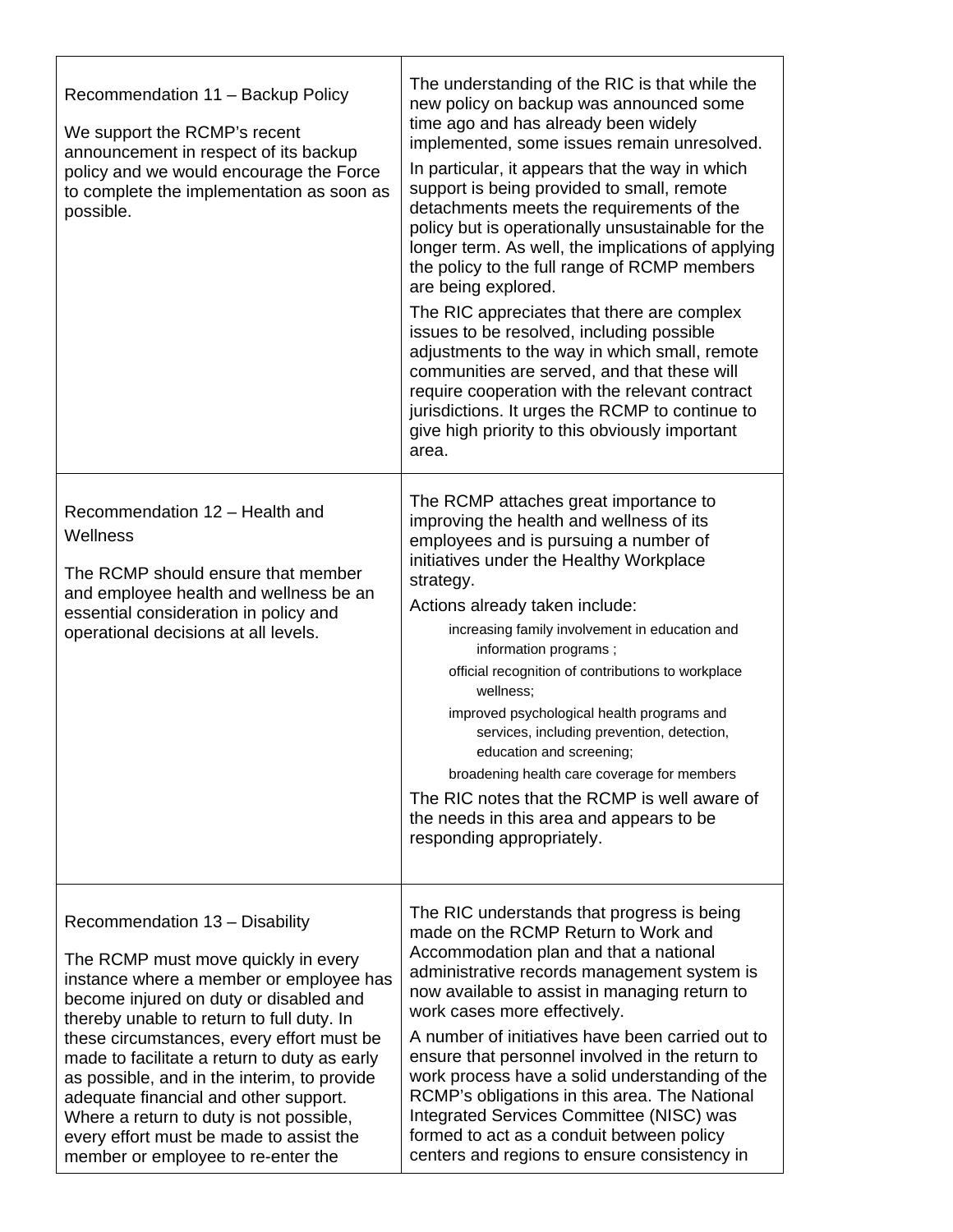| Recommendation 11 - Backup Policy<br>We support the RCMP's recent<br>announcement in respect of its backup<br>policy and we would encourage the Force<br>to complete the implementation as soon as<br>possible.                                                                                                                                                                                                                                                                                                          | The understanding of the RIC is that while the<br>new policy on backup was announced some<br>time ago and has already been widely<br>implemented, some issues remain unresolved.<br>In particular, it appears that the way in which<br>support is being provided to small, remote<br>detachments meets the requirements of the<br>policy but is operationally unsustainable for the<br>longer term. As well, the implications of applying<br>the policy to the full range of RCMP members<br>are being explored.<br>The RIC appreciates that there are complex<br>issues to be resolved, including possible<br>adjustments to the way in which small, remote<br>communities are served, and that these will<br>require cooperation with the relevant contract<br>jurisdictions. It urges the RCMP to continue to<br>give high priority to this obviously important<br>area. |
|--------------------------------------------------------------------------------------------------------------------------------------------------------------------------------------------------------------------------------------------------------------------------------------------------------------------------------------------------------------------------------------------------------------------------------------------------------------------------------------------------------------------------|-----------------------------------------------------------------------------------------------------------------------------------------------------------------------------------------------------------------------------------------------------------------------------------------------------------------------------------------------------------------------------------------------------------------------------------------------------------------------------------------------------------------------------------------------------------------------------------------------------------------------------------------------------------------------------------------------------------------------------------------------------------------------------------------------------------------------------------------------------------------------------|
| Recommendation 12 - Health and<br>Wellness<br>The RCMP should ensure that member<br>and employee health and wellness be an<br>essential consideration in policy and<br>operational decisions at all levels.                                                                                                                                                                                                                                                                                                              | The RCMP attaches great importance to<br>improving the health and wellness of its<br>employees and is pursuing a number of<br>initiatives under the Healthy Workplace<br>strategy.<br>Actions already taken include:<br>increasing family involvement in education and<br>information programs;<br>official recognition of contributions to workplace<br>wellness;<br>improved psychological health programs and<br>services, including prevention, detection,<br>education and screening;<br>broadening health care coverage for members<br>The RIC notes that the RCMP is well aware of<br>the needs in this area and appears to be<br>responding appropriately.                                                                                                                                                                                                          |
| Recommendation 13 - Disability<br>The RCMP must move quickly in every<br>instance where a member or employee has<br>become injured on duty or disabled and<br>thereby unable to return to full duty. In<br>these circumstances, every effort must be<br>made to facilitate a return to duty as early<br>as possible, and in the interim, to provide<br>adequate financial and other support.<br>Where a return to duty is not possible,<br>every effort must be made to assist the<br>member or employee to re-enter the | The RIC understands that progress is being<br>made on the RCMP Return to Work and<br>Accommodation plan and that a national<br>administrative records management system is<br>now available to assist in managing return to<br>work cases more effectively.<br>A number of initiatives have been carried out to<br>ensure that personnel involved in the return to<br>work process have a solid understanding of the<br>RCMP's obligations in this area. The National<br>Integrated Services Committee (NISC) was<br>formed to act as a conduit between policy<br>centers and regions to ensure consistency in                                                                                                                                                                                                                                                              |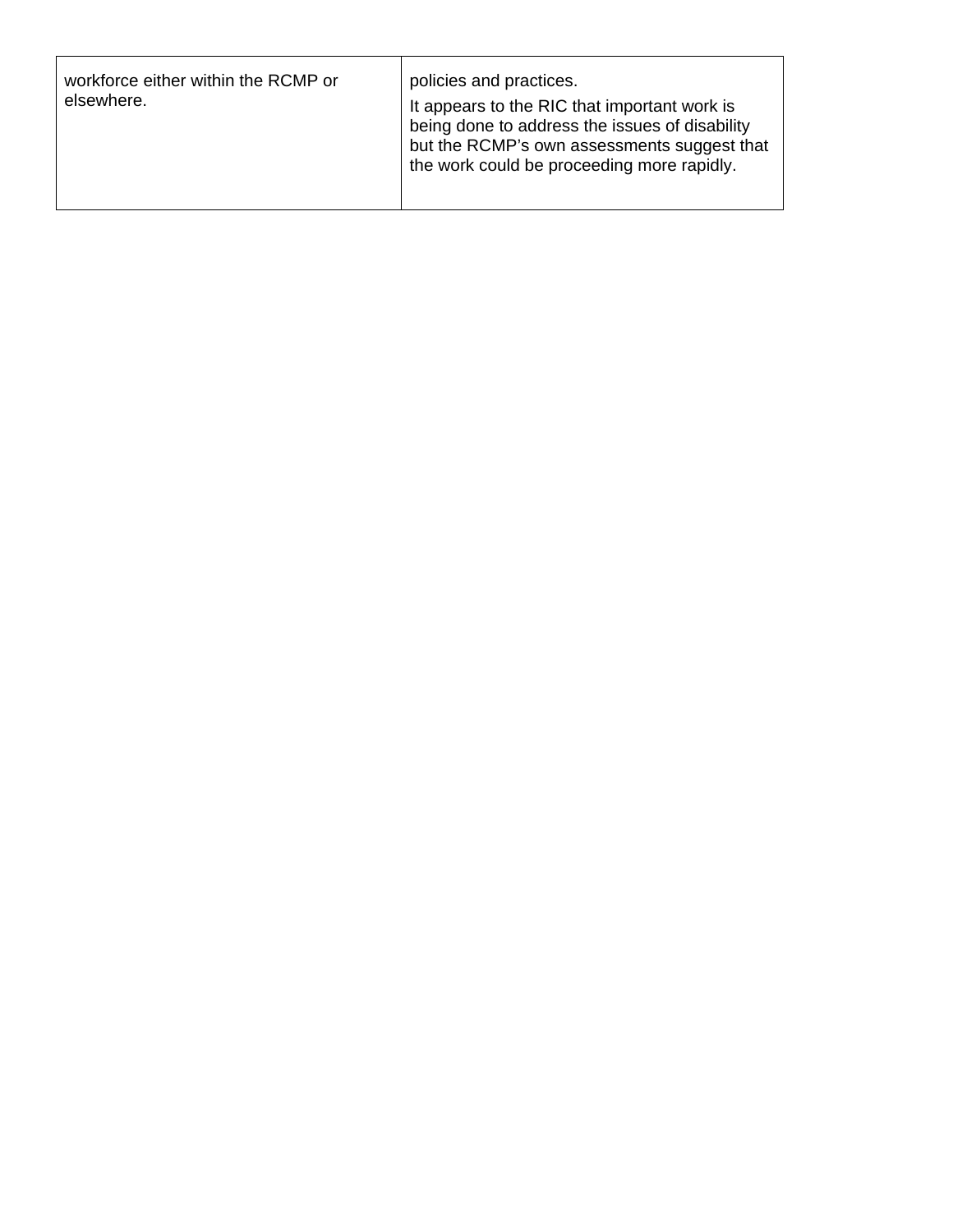| workforce either within the RCMP or<br>policies and practices.<br>elsewhere.<br>It appears to the RIC that important work is<br>being done to address the issues of disability<br>but the RCMP's own assessments suggest that<br>the work could be proceeding more rapidly. |  |  |
|-----------------------------------------------------------------------------------------------------------------------------------------------------------------------------------------------------------------------------------------------------------------------------|--|--|
|-----------------------------------------------------------------------------------------------------------------------------------------------------------------------------------------------------------------------------------------------------------------------------|--|--|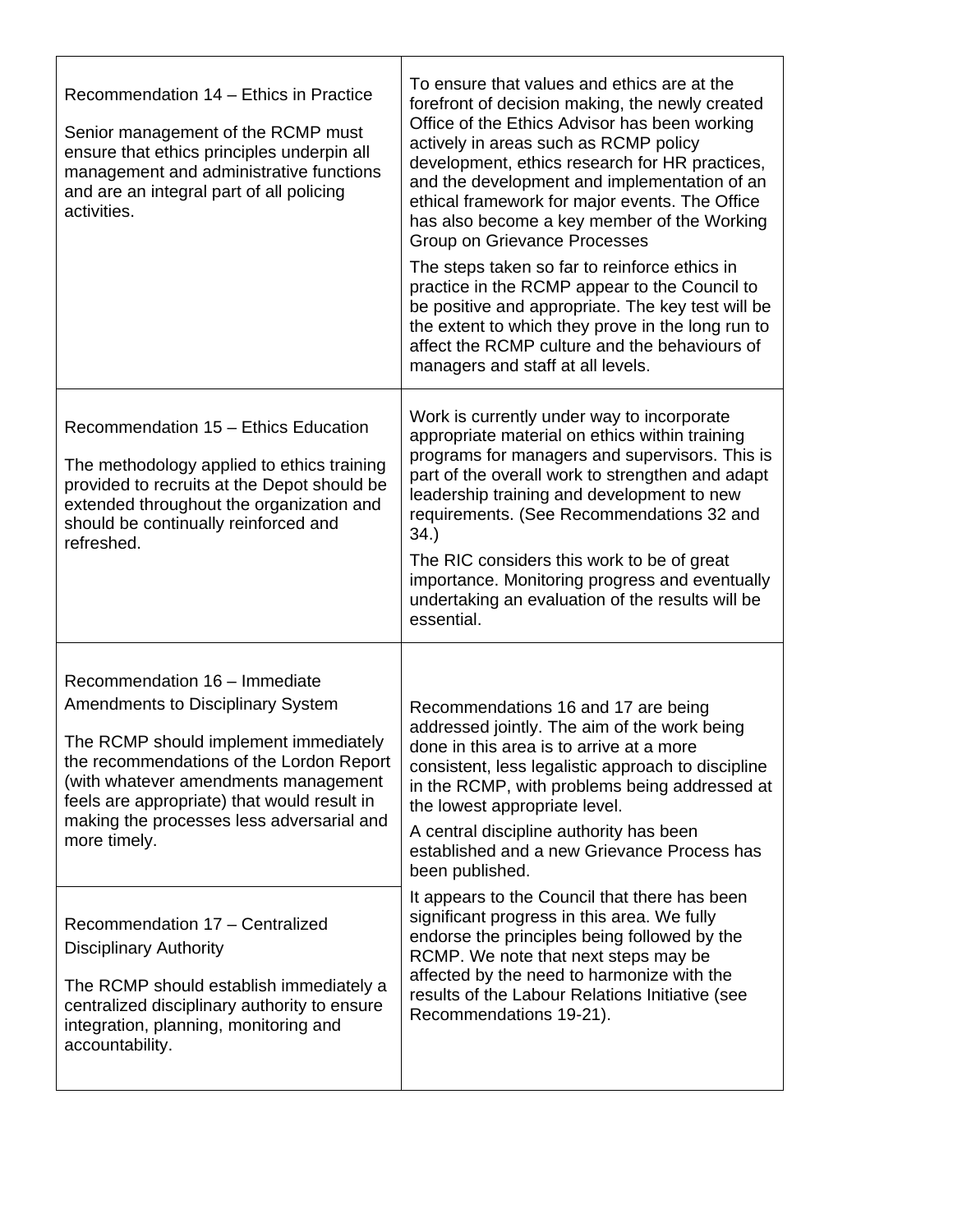| Recommendation 14 - Ethics in Practice<br>Senior management of the RCMP must<br>ensure that ethics principles underpin all<br>management and administrative functions<br>and are an integral part of all policing<br>activities.                                                                                   | To ensure that values and ethics are at the<br>forefront of decision making, the newly created<br>Office of the Ethics Advisor has been working<br>actively in areas such as RCMP policy<br>development, ethics research for HR practices,<br>and the development and implementation of an<br>ethical framework for major events. The Office<br>has also become a key member of the Working<br>Group on Grievance Processes<br>The steps taken so far to reinforce ethics in<br>practice in the RCMP appear to the Council to<br>be positive and appropriate. The key test will be<br>the extent to which they prove in the long run to<br>affect the RCMP culture and the behaviours of<br>managers and staff at all levels. |
|--------------------------------------------------------------------------------------------------------------------------------------------------------------------------------------------------------------------------------------------------------------------------------------------------------------------|-------------------------------------------------------------------------------------------------------------------------------------------------------------------------------------------------------------------------------------------------------------------------------------------------------------------------------------------------------------------------------------------------------------------------------------------------------------------------------------------------------------------------------------------------------------------------------------------------------------------------------------------------------------------------------------------------------------------------------|
| Recommendation 15 - Ethics Education<br>The methodology applied to ethics training<br>provided to recruits at the Depot should be<br>extended throughout the organization and<br>should be continually reinforced and<br>refreshed.                                                                                | Work is currently under way to incorporate<br>appropriate material on ethics within training<br>programs for managers and supervisors. This is<br>part of the overall work to strengthen and adapt<br>leadership training and development to new<br>requirements. (See Recommendations 32 and<br>34.<br>The RIC considers this work to be of great<br>importance. Monitoring progress and eventually<br>undertaking an evaluation of the results will be<br>essential.                                                                                                                                                                                                                                                        |
| Recommendation 16 - Immediate<br><b>Amendments to Disciplinary System</b><br>The RCMP should implement immediately<br>the recommendations of the Lordon Report<br>(with whatever amendments management<br>feels are appropriate) that would result in<br>making the processes less adversarial and<br>more timely. | Recommendations 16 and 17 are being<br>addressed jointly. The aim of the work being<br>done in this area is to arrive at a more<br>consistent, less legalistic approach to discipline<br>in the RCMP, with problems being addressed at<br>the lowest appropriate level.<br>A central discipline authority has been<br>established and a new Grievance Process has<br>been published.<br>It appears to the Council that there has been<br>significant progress in this area. We fully                                                                                                                                                                                                                                          |
| Recommendation 17 - Centralized<br><b>Disciplinary Authority</b><br>The RCMP should establish immediately a<br>centralized disciplinary authority to ensure<br>integration, planning, monitoring and<br>accountability.                                                                                            | endorse the principles being followed by the<br>RCMP. We note that next steps may be<br>affected by the need to harmonize with the<br>results of the Labour Relations Initiative (see<br>Recommendations 19-21).                                                                                                                                                                                                                                                                                                                                                                                                                                                                                                              |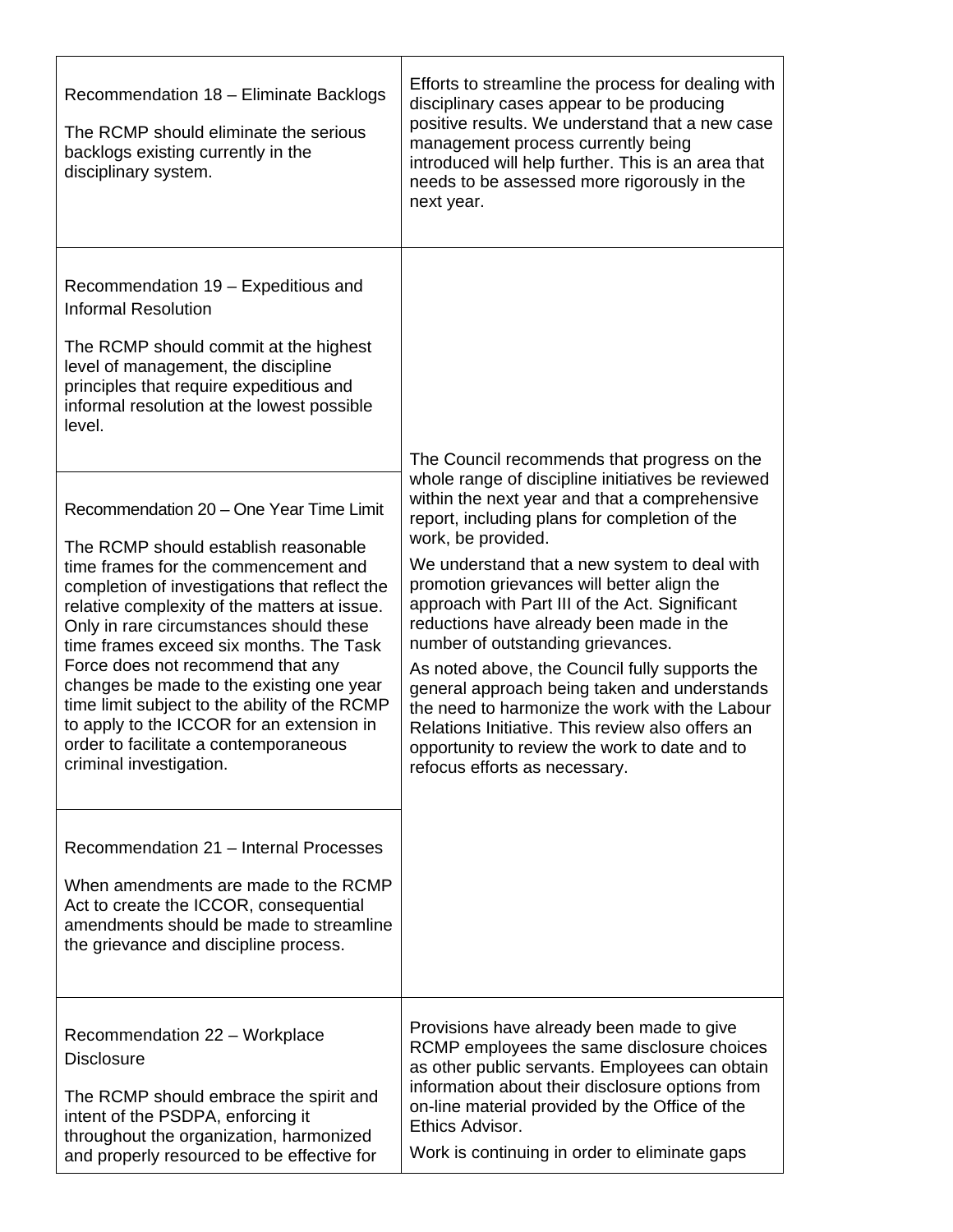| Recommendation 18 - Eliminate Backlogs<br>The RCMP should eliminate the serious<br>backlogs existing currently in the<br>disciplinary system.                                                                                                                                                                                                                                                                                                                                                                                                                                                                                                                                                                                                                                                                             | Efforts to streamline the process for dealing with<br>disciplinary cases appear to be producing<br>positive results. We understand that a new case<br>management process currently being<br>introduced will help further. This is an area that<br>needs to be assessed more rigorously in the<br>next year.                                                                                                                                                                                                                                                                                                                                                                                                                                         |
|---------------------------------------------------------------------------------------------------------------------------------------------------------------------------------------------------------------------------------------------------------------------------------------------------------------------------------------------------------------------------------------------------------------------------------------------------------------------------------------------------------------------------------------------------------------------------------------------------------------------------------------------------------------------------------------------------------------------------------------------------------------------------------------------------------------------------|-----------------------------------------------------------------------------------------------------------------------------------------------------------------------------------------------------------------------------------------------------------------------------------------------------------------------------------------------------------------------------------------------------------------------------------------------------------------------------------------------------------------------------------------------------------------------------------------------------------------------------------------------------------------------------------------------------------------------------------------------------|
| Recommendation 19 - Expeditious and<br><b>Informal Resolution</b><br>The RCMP should commit at the highest<br>level of management, the discipline<br>principles that require expeditious and<br>informal resolution at the lowest possible<br>level.<br>Recommendation 20 - One Year Time Limit<br>The RCMP should establish reasonable<br>time frames for the commencement and<br>completion of investigations that reflect the<br>relative complexity of the matters at issue.<br>Only in rare circumstances should these<br>time frames exceed six months. The Task<br>Force does not recommend that any<br>changes be made to the existing one year<br>time limit subject to the ability of the RCMP<br>to apply to the ICCOR for an extension in<br>order to facilitate a contemporaneous<br>criminal investigation. | The Council recommends that progress on the<br>whole range of discipline initiatives be reviewed<br>within the next year and that a comprehensive<br>report, including plans for completion of the<br>work, be provided.<br>We understand that a new system to deal with<br>promotion grievances will better align the<br>approach with Part III of the Act. Significant<br>reductions have already been made in the<br>number of outstanding grievances.<br>As noted above, the Council fully supports the<br>general approach being taken and understands<br>the need to harmonize the work with the Labour<br>Relations Initiative. This review also offers an<br>opportunity to review the work to date and to<br>refocus efforts as necessary. |
| Recommendation 21 - Internal Processes<br>When amendments are made to the RCMP<br>Act to create the ICCOR, consequential<br>amendments should be made to streamline<br>the grievance and discipline process.                                                                                                                                                                                                                                                                                                                                                                                                                                                                                                                                                                                                              |                                                                                                                                                                                                                                                                                                                                                                                                                                                                                                                                                                                                                                                                                                                                                     |
| Recommendation 22 - Workplace<br><b>Disclosure</b><br>The RCMP should embrace the spirit and<br>intent of the PSDPA, enforcing it<br>throughout the organization, harmonized<br>and properly resourced to be effective for                                                                                                                                                                                                                                                                                                                                                                                                                                                                                                                                                                                                | Provisions have already been made to give<br>RCMP employees the same disclosure choices<br>as other public servants. Employees can obtain<br>information about their disclosure options from<br>on-line material provided by the Office of the<br>Ethics Advisor.<br>Work is continuing in order to eliminate gaps                                                                                                                                                                                                                                                                                                                                                                                                                                  |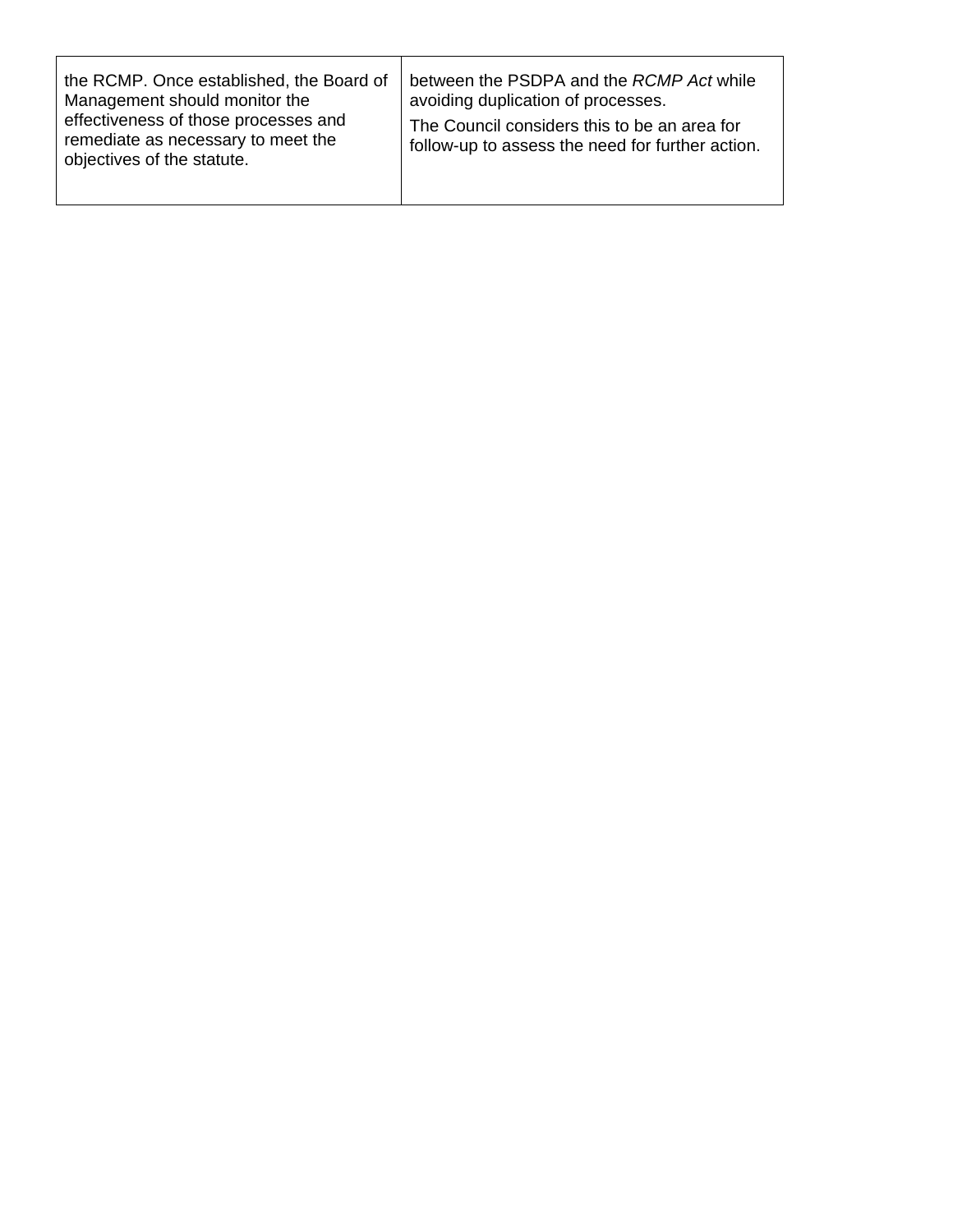| the RCMP. Once established, the Board of                                                                                                  | between the PSDPA and the RCMP Act while                                                         |
|-------------------------------------------------------------------------------------------------------------------------------------------|--------------------------------------------------------------------------------------------------|
| Management should monitor the<br>effectiveness of those processes and<br>remediate as necessary to meet the<br>objectives of the statute. | avoiding duplication of processes.                                                               |
|                                                                                                                                           | The Council considers this to be an area for<br>follow-up to assess the need for further action. |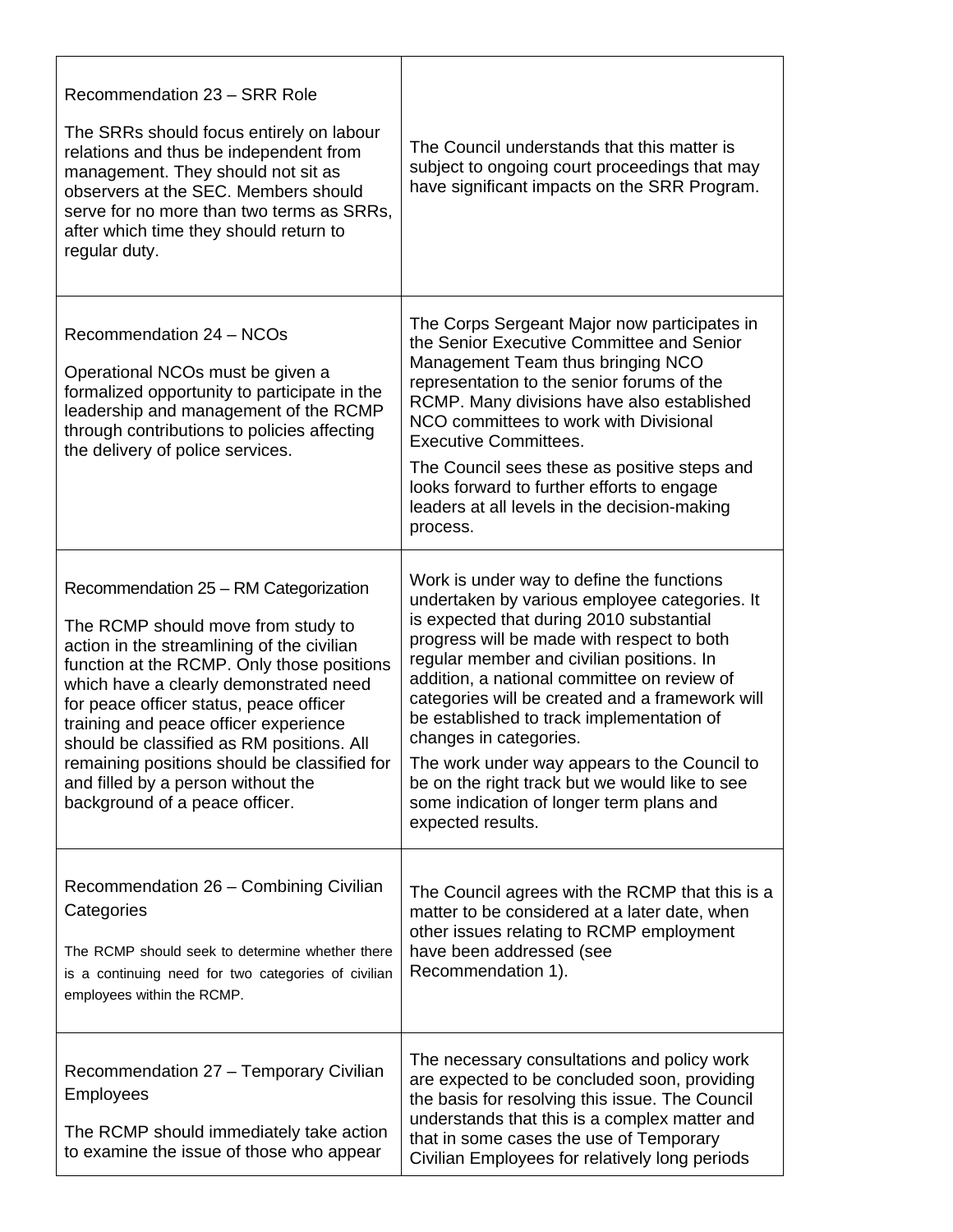| Recommendation 23 - SRR Role<br>The SRRs should focus entirely on labour<br>relations and thus be independent from<br>management. They should not sit as<br>observers at the SEC. Members should<br>serve for no more than two terms as SRRs,<br>after which time they should return to<br>regular duty.                                                                                                                                                                   | The Council understands that this matter is<br>subject to ongoing court proceedings that may<br>have significant impacts on the SRR Program.                                                                                                                                                                                                                                                                                                                                                                                                                                  |
|----------------------------------------------------------------------------------------------------------------------------------------------------------------------------------------------------------------------------------------------------------------------------------------------------------------------------------------------------------------------------------------------------------------------------------------------------------------------------|-------------------------------------------------------------------------------------------------------------------------------------------------------------------------------------------------------------------------------------------------------------------------------------------------------------------------------------------------------------------------------------------------------------------------------------------------------------------------------------------------------------------------------------------------------------------------------|
| Recommendation 24 - NCOs<br>Operational NCOs must be given a<br>formalized opportunity to participate in the<br>leadership and management of the RCMP<br>through contributions to policies affecting<br>the delivery of police services.                                                                                                                                                                                                                                   | The Corps Sergeant Major now participates in<br>the Senior Executive Committee and Senior<br>Management Team thus bringing NCO<br>representation to the senior forums of the<br>RCMP. Many divisions have also established<br>NCO committees to work with Divisional<br><b>Executive Committees.</b><br>The Council sees these as positive steps and<br>looks forward to further efforts to engage<br>leaders at all levels in the decision-making<br>process.                                                                                                                |
| Recommendation 25 - RM Categorization<br>The RCMP should move from study to<br>action in the streamlining of the civilian<br>function at the RCMP. Only those positions<br>which have a clearly demonstrated need<br>for peace officer status, peace officer<br>training and peace officer experience<br>should be classified as RM positions. All<br>remaining positions should be classified for<br>and filled by a person without the<br>background of a peace officer. | Work is under way to define the functions<br>undertaken by various employee categories. It<br>is expected that during 2010 substantial<br>progress will be made with respect to both<br>regular member and civilian positions. In<br>addition, a national committee on review of<br>categories will be created and a framework will<br>be established to track implementation of<br>changes in categories.<br>The work under way appears to the Council to<br>be on the right track but we would like to see<br>some indication of longer term plans and<br>expected results. |
| Recommendation 26 - Combining Civilian<br>Categories<br>The RCMP should seek to determine whether there<br>is a continuing need for two categories of civilian<br>employees within the RCMP.                                                                                                                                                                                                                                                                               | The Council agrees with the RCMP that this is a<br>matter to be considered at a later date, when<br>other issues relating to RCMP employment<br>have been addressed (see<br>Recommendation 1).                                                                                                                                                                                                                                                                                                                                                                                |
| Recommendation 27 - Temporary Civilian<br><b>Employees</b><br>The RCMP should immediately take action<br>to examine the issue of those who appear                                                                                                                                                                                                                                                                                                                          | The necessary consultations and policy work<br>are expected to be concluded soon, providing<br>the basis for resolving this issue. The Council<br>understands that this is a complex matter and<br>that in some cases the use of Temporary<br>Civilian Employees for relatively long periods                                                                                                                                                                                                                                                                                  |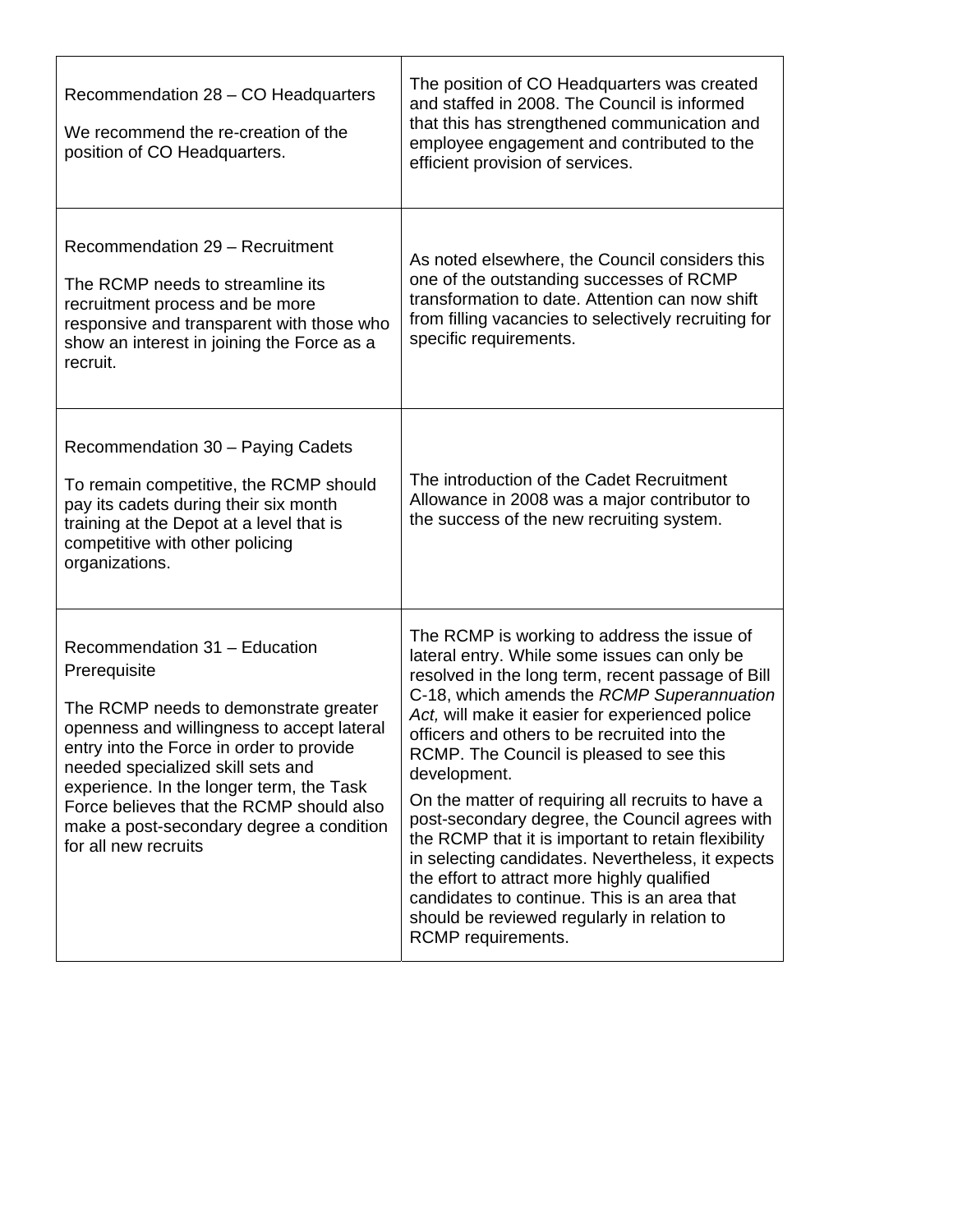| Recommendation 28 - CO Headquarters<br>We recommend the re-creation of the<br>position of CO Headquarters.                                                                                                                                                                                                                                                                        | The position of CO Headquarters was created<br>and staffed in 2008. The Council is informed<br>that this has strengthened communication and<br>employee engagement and contributed to the<br>efficient provision of services.                                                                                                                                                                                                                                                                                                                                                                                                                                                                                                                        |
|-----------------------------------------------------------------------------------------------------------------------------------------------------------------------------------------------------------------------------------------------------------------------------------------------------------------------------------------------------------------------------------|------------------------------------------------------------------------------------------------------------------------------------------------------------------------------------------------------------------------------------------------------------------------------------------------------------------------------------------------------------------------------------------------------------------------------------------------------------------------------------------------------------------------------------------------------------------------------------------------------------------------------------------------------------------------------------------------------------------------------------------------------|
| Recommendation 29 - Recruitment<br>The RCMP needs to streamline its<br>recruitment process and be more<br>responsive and transparent with those who<br>show an interest in joining the Force as a<br>recruit.                                                                                                                                                                     | As noted elsewhere, the Council considers this<br>one of the outstanding successes of RCMP<br>transformation to date. Attention can now shift<br>from filling vacancies to selectively recruiting for<br>specific requirements.                                                                                                                                                                                                                                                                                                                                                                                                                                                                                                                      |
| Recommendation 30 - Paying Cadets<br>To remain competitive, the RCMP should<br>pay its cadets during their six month<br>training at the Depot at a level that is<br>competitive with other policing<br>organizations.                                                                                                                                                             | The introduction of the Cadet Recruitment<br>Allowance in 2008 was a major contributor to<br>the success of the new recruiting system.                                                                                                                                                                                                                                                                                                                                                                                                                                                                                                                                                                                                               |
| Recommendation 31 - Education<br>Prerequisite<br>The RCMP needs to demonstrate greater<br>openness and willingness to accept lateral<br>entry into the Force in order to provide<br>needed specialized skill sets and<br>experience. In the longer term, the Task<br>Force believes that the RCMP should also<br>make a post-secondary degree a condition<br>for all new recruits | The RCMP is working to address the issue of<br>lateral entry. While some issues can only be<br>resolved in the long term, recent passage of Bill<br>C-18, which amends the RCMP Superannuation<br>Act, will make it easier for experienced police<br>officers and others to be recruited into the<br>RCMP. The Council is pleased to see this<br>development.<br>On the matter of requiring all recruits to have a<br>post-secondary degree, the Council agrees with<br>the RCMP that it is important to retain flexibility<br>in selecting candidates. Nevertheless, it expects<br>the effort to attract more highly qualified<br>candidates to continue. This is an area that<br>should be reviewed regularly in relation to<br>RCMP requirements. |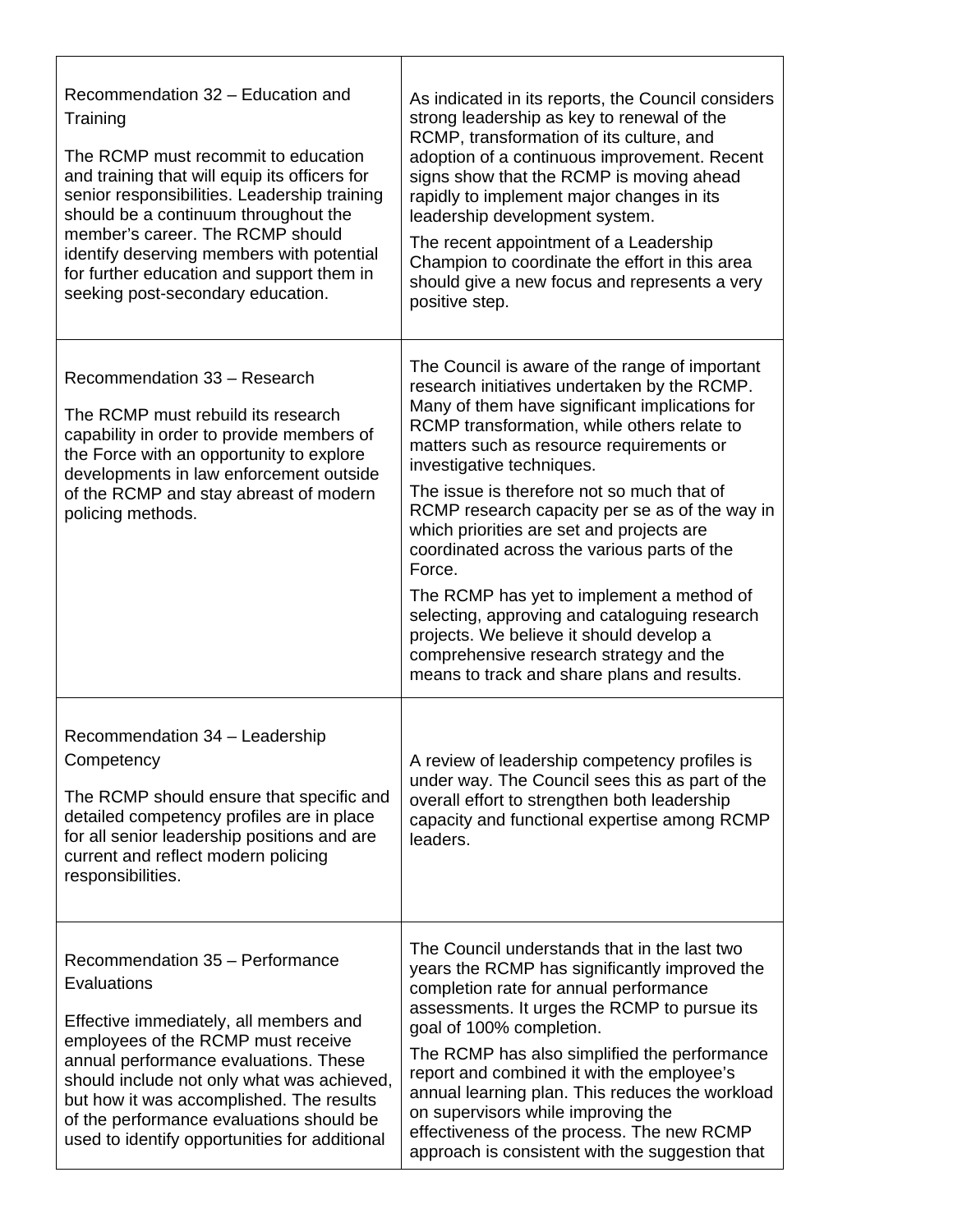| Recommendation 32 - Education and<br>Training<br>The RCMP must recommit to education<br>and training that will equip its officers for<br>senior responsibilities. Leadership training<br>should be a continuum throughout the<br>member's career. The RCMP should<br>identify deserving members with potential<br>for further education and support them in<br>seeking post-secondary education. | As indicated in its reports, the Council considers<br>strong leadership as key to renewal of the<br>RCMP, transformation of its culture, and<br>adoption of a continuous improvement. Recent<br>signs show that the RCMP is moving ahead<br>rapidly to implement major changes in its<br>leadership development system.<br>The recent appointment of a Leadership<br>Champion to coordinate the effort in this area<br>should give a new focus and represents a very<br>positive step.                                                                                                                                                                                                                             |
|--------------------------------------------------------------------------------------------------------------------------------------------------------------------------------------------------------------------------------------------------------------------------------------------------------------------------------------------------------------------------------------------------|--------------------------------------------------------------------------------------------------------------------------------------------------------------------------------------------------------------------------------------------------------------------------------------------------------------------------------------------------------------------------------------------------------------------------------------------------------------------------------------------------------------------------------------------------------------------------------------------------------------------------------------------------------------------------------------------------------------------|
| Recommendation 33 - Research<br>The RCMP must rebuild its research<br>capability in order to provide members of<br>the Force with an opportunity to explore<br>developments in law enforcement outside<br>of the RCMP and stay abreast of modern<br>policing methods.                                                                                                                            | The Council is aware of the range of important<br>research initiatives undertaken by the RCMP.<br>Many of them have significant implications for<br>RCMP transformation, while others relate to<br>matters such as resource requirements or<br>investigative techniques.<br>The issue is therefore not so much that of<br>RCMP research capacity per se as of the way in<br>which priorities are set and projects are<br>coordinated across the various parts of the<br>Force.<br>The RCMP has yet to implement a method of<br>selecting, approving and cataloguing research<br>projects. We believe it should develop a<br>comprehensive research strategy and the<br>means to track and share plans and results. |
| Recommendation 34 - Leadership<br>Competency<br>The RCMP should ensure that specific and<br>detailed competency profiles are in place<br>for all senior leadership positions and are<br>current and reflect modern policing<br>responsibilities.                                                                                                                                                 | A review of leadership competency profiles is<br>under way. The Council sees this as part of the<br>overall effort to strengthen both leadership<br>capacity and functional expertise among RCMP<br>leaders.                                                                                                                                                                                                                                                                                                                                                                                                                                                                                                       |
| Recommendation 35 - Performance<br>Evaluations<br>Effective immediately, all members and<br>employees of the RCMP must receive<br>annual performance evaluations. These<br>should include not only what was achieved,<br>but how it was accomplished. The results<br>of the performance evaluations should be<br>used to identify opportunities for additional                                   | The Council understands that in the last two<br>years the RCMP has significantly improved the<br>completion rate for annual performance<br>assessments. It urges the RCMP to pursue its<br>goal of 100% completion.<br>The RCMP has also simplified the performance<br>report and combined it with the employee's<br>annual learning plan. This reduces the workload<br>on supervisors while improving the<br>effectiveness of the process. The new RCMP<br>approach is consistent with the suggestion that                                                                                                                                                                                                        |

Г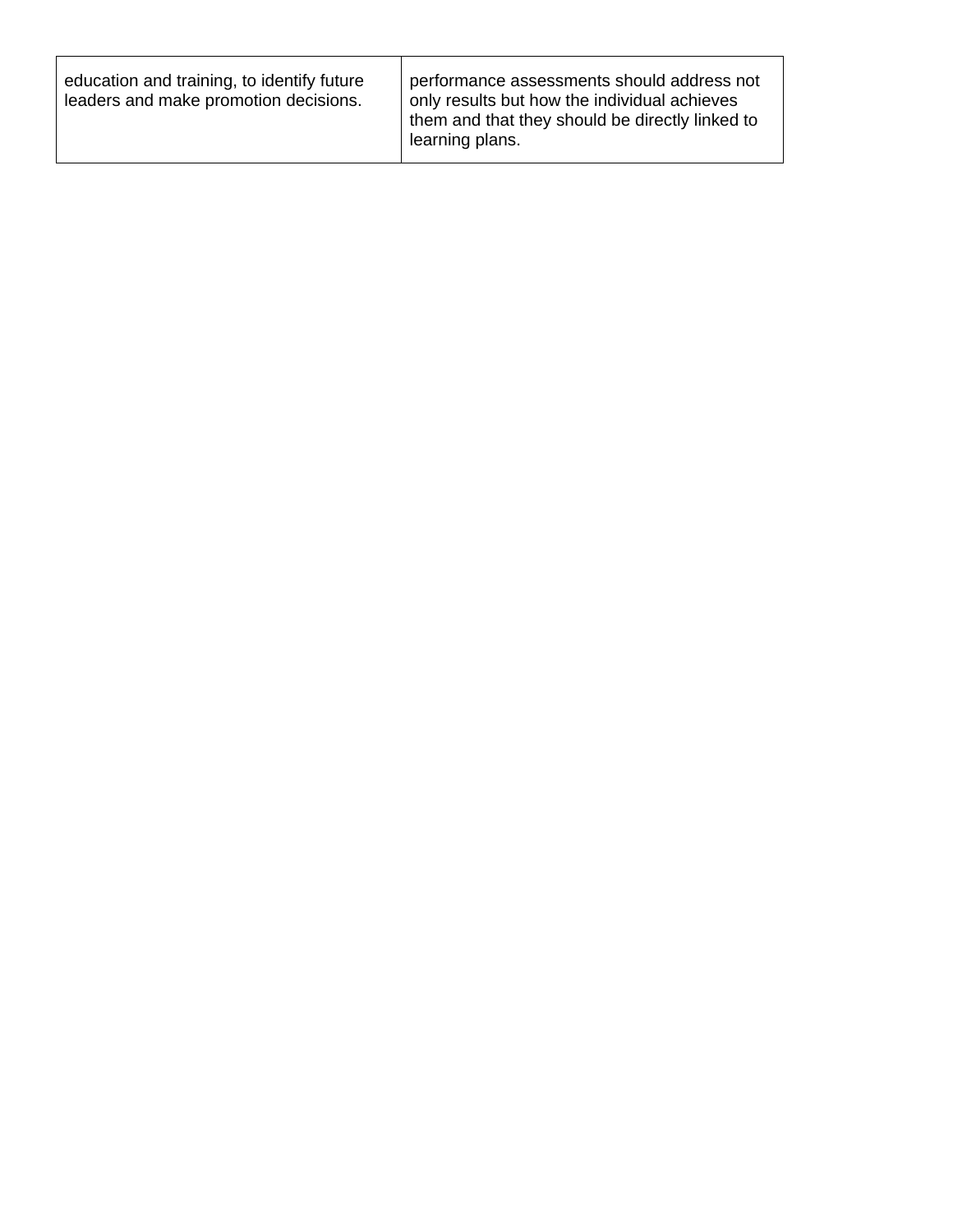| education and training, to identify future<br>leaders and make promotion decisions. | performance assessments should address not<br>only results but how the individual achieves<br>them and that they should be directly linked to<br>learning plans. |
|-------------------------------------------------------------------------------------|------------------------------------------------------------------------------------------------------------------------------------------------------------------|
|-------------------------------------------------------------------------------------|------------------------------------------------------------------------------------------------------------------------------------------------------------------|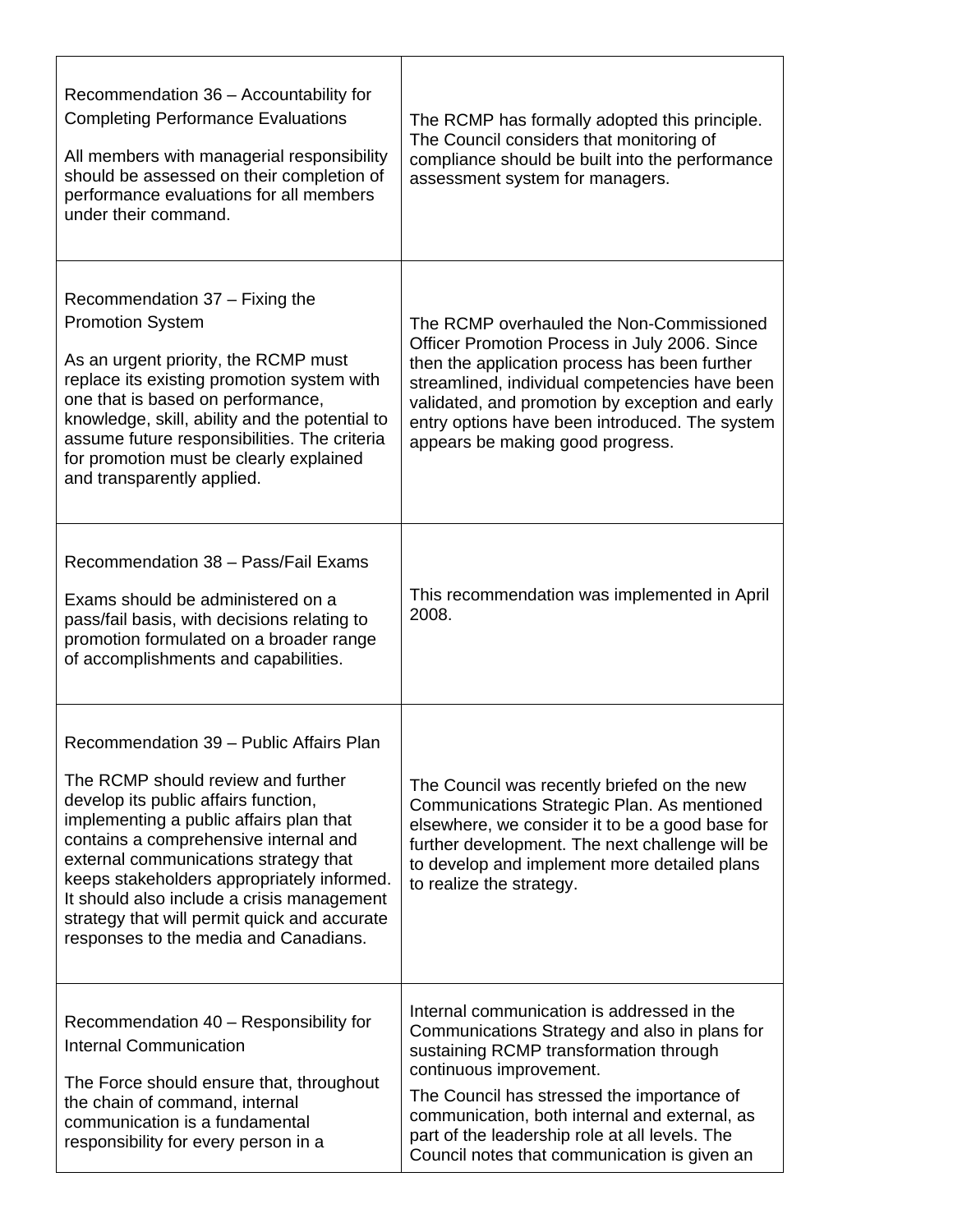| Recommendation 36 - Accountability for<br><b>Completing Performance Evaluations</b><br>All members with managerial responsibility<br>should be assessed on their completion of<br>performance evaluations for all members<br>under their command.                                                                                                                                                                                       | The RCMP has formally adopted this principle.<br>The Council considers that monitoring of<br>compliance should be built into the performance<br>assessment system for managers.                                                                                                                                                                                   |
|-----------------------------------------------------------------------------------------------------------------------------------------------------------------------------------------------------------------------------------------------------------------------------------------------------------------------------------------------------------------------------------------------------------------------------------------|-------------------------------------------------------------------------------------------------------------------------------------------------------------------------------------------------------------------------------------------------------------------------------------------------------------------------------------------------------------------|
| Recommendation 37 – Fixing the<br><b>Promotion System</b><br>As an urgent priority, the RCMP must<br>replace its existing promotion system with<br>one that is based on performance,<br>knowledge, skill, ability and the potential to<br>assume future responsibilities. The criteria<br>for promotion must be clearly explained<br>and transparently applied.                                                                         | The RCMP overhauled the Non-Commissioned<br>Officer Promotion Process in July 2006. Since<br>then the application process has been further<br>streamlined, individual competencies have been<br>validated, and promotion by exception and early<br>entry options have been introduced. The system<br>appears be making good progress.                             |
| Recommendation 38 - Pass/Fail Exams<br>Exams should be administered on a<br>pass/fail basis, with decisions relating to<br>promotion formulated on a broader range<br>of accomplishments and capabilities.                                                                                                                                                                                                                              | This recommendation was implemented in April<br>2008.                                                                                                                                                                                                                                                                                                             |
| Recommendation 39 - Public Affairs Plan<br>The RCMP should review and further<br>develop its public affairs function,<br>implementing a public affairs plan that<br>contains a comprehensive internal and<br>external communications strategy that<br>keeps stakeholders appropriately informed.<br>It should also include a crisis management<br>strategy that will permit quick and accurate<br>responses to the media and Canadians. | The Council was recently briefed on the new<br>Communications Strategic Plan. As mentioned<br>elsewhere, we consider it to be a good base for<br>further development. The next challenge will be<br>to develop and implement more detailed plans<br>to realize the strategy.                                                                                      |
| Recommendation 40 - Responsibility for<br><b>Internal Communication</b><br>The Force should ensure that, throughout<br>the chain of command, internal<br>communication is a fundamental<br>responsibility for every person in a                                                                                                                                                                                                         | Internal communication is addressed in the<br>Communications Strategy and also in plans for<br>sustaining RCMP transformation through<br>continuous improvement.<br>The Council has stressed the importance of<br>communication, both internal and external, as<br>part of the leadership role at all levels. The<br>Council notes that communication is given an |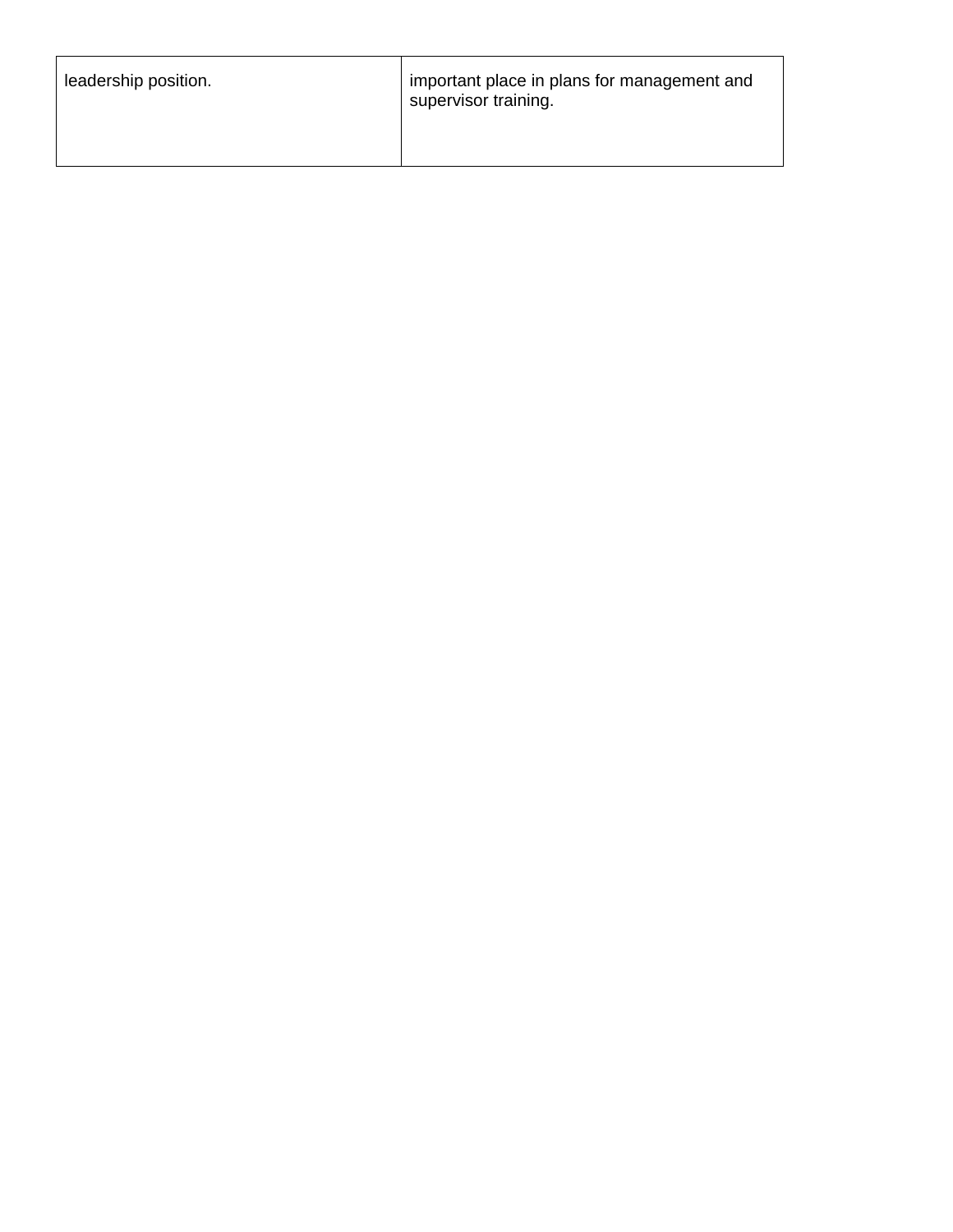| leadership position. | important place in plans for management and<br>supervisor training. |
|----------------------|---------------------------------------------------------------------|
|----------------------|---------------------------------------------------------------------|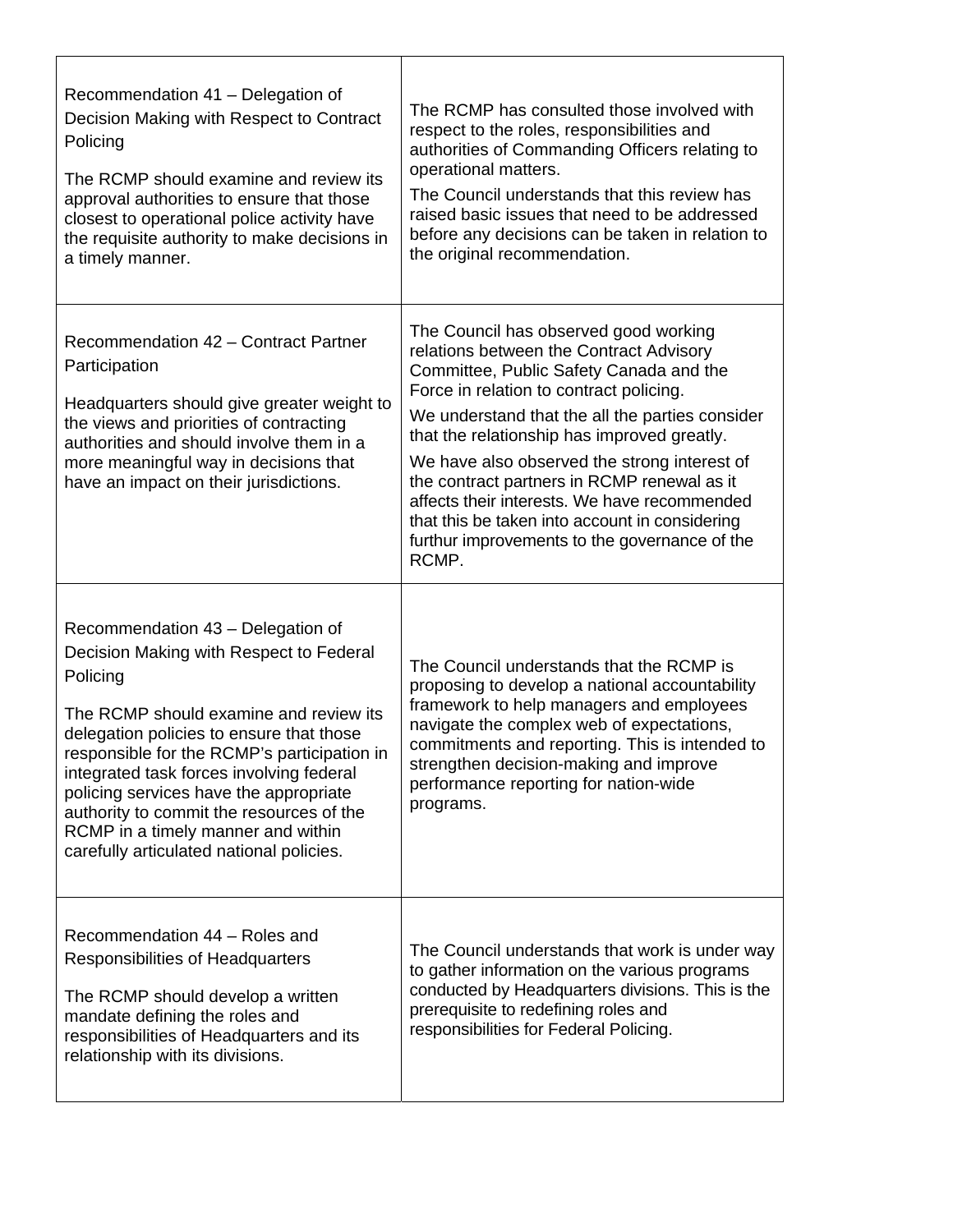| Recommendation 41 - Delegation of<br>Decision Making with Respect to Contract<br>Policing<br>The RCMP should examine and review its<br>approval authorities to ensure that those<br>closest to operational police activity have<br>the requisite authority to make decisions in<br>a timely manner.                                                                                                                                               | The RCMP has consulted those involved with<br>respect to the roles, responsibilities and<br>authorities of Commanding Officers relating to<br>operational matters.<br>The Council understands that this review has<br>raised basic issues that need to be addressed<br>before any decisions can be taken in relation to<br>the original recommendation.                                                                                                                                                                             |
|---------------------------------------------------------------------------------------------------------------------------------------------------------------------------------------------------------------------------------------------------------------------------------------------------------------------------------------------------------------------------------------------------------------------------------------------------|-------------------------------------------------------------------------------------------------------------------------------------------------------------------------------------------------------------------------------------------------------------------------------------------------------------------------------------------------------------------------------------------------------------------------------------------------------------------------------------------------------------------------------------|
| Recommendation 42 - Contract Partner<br>Participation<br>Headquarters should give greater weight to<br>the views and priorities of contracting<br>authorities and should involve them in a<br>more meaningful way in decisions that<br>have an impact on their jurisdictions.                                                                                                                                                                     | The Council has observed good working<br>relations between the Contract Advisory<br>Committee, Public Safety Canada and the<br>Force in relation to contract policing.<br>We understand that the all the parties consider<br>that the relationship has improved greatly.<br>We have also observed the strong interest of<br>the contract partners in RCMP renewal as it<br>affects their interests. We have recommended<br>that this be taken into account in considering<br>furthur improvements to the governance of the<br>RCMP. |
| Recommendation 43 - Delegation of<br>Decision Making with Respect to Federal<br>Policing<br>The RCMP should examine and review its<br>delegation policies to ensure that those<br>responsible for the RCMP's participation in<br>integrated task forces involving federal<br>policing services have the appropriate<br>authority to commit the resources of the<br>RCMP in a timely manner and within<br>carefully articulated national policies. | The Council understands that the RCMP is<br>proposing to develop a national accountability<br>framework to help managers and employees<br>navigate the complex web of expectations,<br>commitments and reporting. This is intended to<br>strengthen decision-making and improve<br>performance reporting for nation-wide<br>programs.                                                                                                                                                                                               |
| Recommendation 44 - Roles and<br>Responsibilities of Headquarters<br>The RCMP should develop a written<br>mandate defining the roles and<br>responsibilities of Headquarters and its<br>relationship with its divisions.                                                                                                                                                                                                                          | The Council understands that work is under way<br>to gather information on the various programs<br>conducted by Headquarters divisions. This is the<br>prerequisite to redefining roles and<br>responsibilities for Federal Policing.                                                                                                                                                                                                                                                                                               |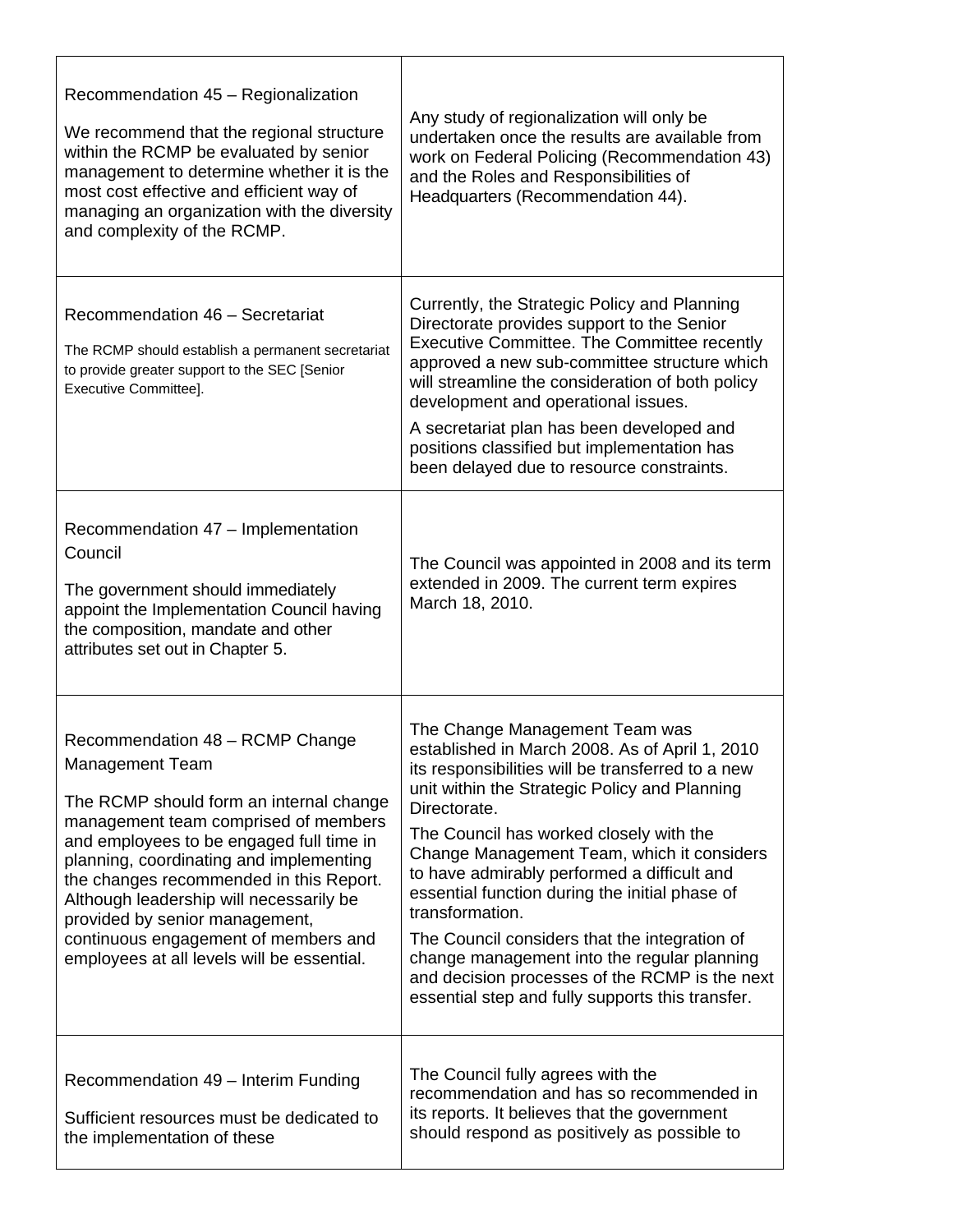| Recommendation 45 - Regionalization<br>We recommend that the regional structure<br>within the RCMP be evaluated by senior<br>management to determine whether it is the<br>most cost effective and efficient way of<br>managing an organization with the diversity<br>and complexity of the RCMP.                                                                                                                                           | Any study of regionalization will only be<br>undertaken once the results are available from<br>work on Federal Policing (Recommendation 43)<br>and the Roles and Responsibilities of<br>Headquarters (Recommendation 44).                                                                                                                                                                                                                                                                                                                                                                                                 |
|--------------------------------------------------------------------------------------------------------------------------------------------------------------------------------------------------------------------------------------------------------------------------------------------------------------------------------------------------------------------------------------------------------------------------------------------|---------------------------------------------------------------------------------------------------------------------------------------------------------------------------------------------------------------------------------------------------------------------------------------------------------------------------------------------------------------------------------------------------------------------------------------------------------------------------------------------------------------------------------------------------------------------------------------------------------------------------|
| Recommendation 46 - Secretariat<br>The RCMP should establish a permanent secretariat<br>to provide greater support to the SEC [Senior<br>Executive Committee].                                                                                                                                                                                                                                                                             | Currently, the Strategic Policy and Planning<br>Directorate provides support to the Senior<br>Executive Committee. The Committee recently<br>approved a new sub-committee structure which<br>will streamline the consideration of both policy<br>development and operational issues.<br>A secretariat plan has been developed and<br>positions classified but implementation has<br>been delayed due to resource constraints.                                                                                                                                                                                             |
| Recommendation 47 - Implementation<br>Council<br>The government should immediately<br>appoint the Implementation Council having<br>the composition, mandate and other<br>attributes set out in Chapter 5.                                                                                                                                                                                                                                  | The Council was appointed in 2008 and its term<br>extended in 2009. The current term expires<br>March 18, 2010.                                                                                                                                                                                                                                                                                                                                                                                                                                                                                                           |
| Recommendation 48 - RCMP Change<br>Management Team<br>The RCMP should form an internal change<br>management team comprised of members<br>and employees to be engaged full time in<br>planning, coordinating and implementing<br>the changes recommended in this Report.<br>Although leadership will necessarily be<br>provided by senior management,<br>continuous engagement of members and<br>employees at all levels will be essential. | The Change Management Team was<br>established in March 2008. As of April 1, 2010<br>its responsibilities will be transferred to a new<br>unit within the Strategic Policy and Planning<br>Directorate.<br>The Council has worked closely with the<br>Change Management Team, which it considers<br>to have admirably performed a difficult and<br>essential function during the initial phase of<br>transformation.<br>The Council considers that the integration of<br>change management into the regular planning<br>and decision processes of the RCMP is the next<br>essential step and fully supports this transfer. |
| Recommendation 49 - Interim Funding<br>Sufficient resources must be dedicated to<br>the implementation of these                                                                                                                                                                                                                                                                                                                            | The Council fully agrees with the<br>recommendation and has so recommended in<br>its reports. It believes that the government<br>should respond as positively as possible to                                                                                                                                                                                                                                                                                                                                                                                                                                              |